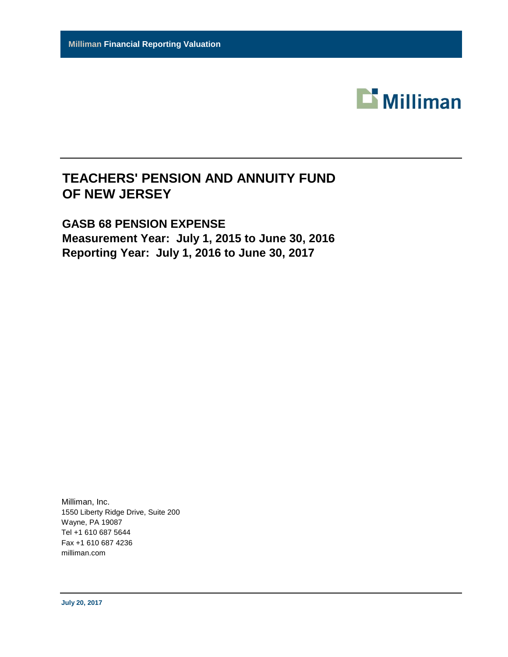

# **TEACHERS' PENSION AND ANNUITY FUND OF NEW JERSEY**

# **GASB 68 PENSION EXPENSE Measurement Year: July 1, 2015 to June 30, 2016 Reporting Year: July 1, 2016 to June 30, 2017**

Milliman, Inc. 1550 Liberty Ridge Drive, Suite 200 Wayne, PA 19087 Tel +1 610 687 5644 Fax +1 610 687 4236 milliman.com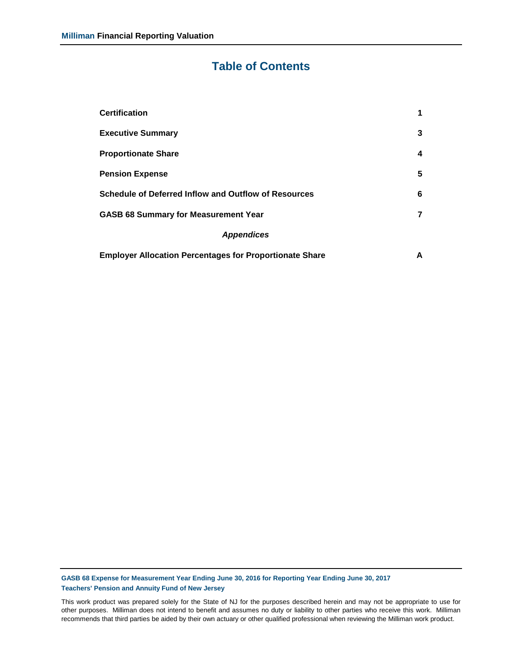# **Table of Contents**

| <b>Certification</b>                                           | 1 |
|----------------------------------------------------------------|---|
| <b>Executive Summary</b>                                       | 3 |
| <b>Proportionate Share</b>                                     | 4 |
| <b>Pension Expense</b>                                         | 5 |
| Schedule of Deferred Inflow and Outflow of Resources           | 6 |
| <b>GASB 68 Summary for Measurement Year</b>                    | 7 |
| <b>Appendices</b>                                              |   |
| <b>Employer Allocation Percentages for Proportionate Share</b> | A |

**GASB 68 Expense for Measurement Year Ending June 30, 2016 for Reporting Year Ending June 30, 2017 Teachers' Pension and Annuity Fund of New Jersey**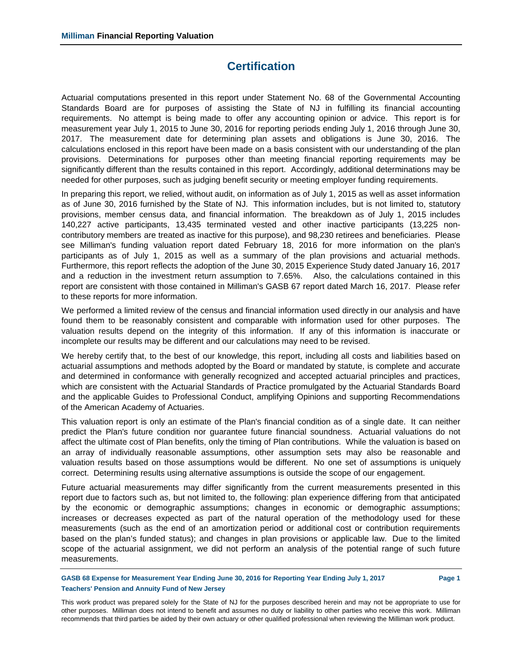# **Certification**

Actuarial computations presented in this report under Statement No. 68 of the Governmental Accounting Standards Board are for purposes of assisting the State of NJ in fulfilling its financial accounting requirements. No attempt is being made to offer any accounting opinion or advice. This report is for measurement year July 1, 2015 to June 30, 2016 for reporting periods ending July 1, 2016 through June 30, 2017. The measurement date for determining plan assets and obligations is June 30, 2016. The calculations enclosed in this report have been made on a basis consistent with our understanding of the plan provisions. Determinations for purposes other than meeting financial reporting requirements may be significantly different than the results contained in this report. Accordingly, additional determinations may be needed for other purposes, such as judging benefit security or meeting employer funding requirements.

In preparing this report, we relied, without audit, on information as of July 1, 2015 as well as asset information as of June 30, 2016 furnished by the State of NJ. This information includes, but is not limited to, statutory provisions, member census data, and financial information. The breakdown as of July 1, 2015 includes 140,227 active participants, 13,435 terminated vested and other inactive participants (13,225 noncontributory members are treated as inactive for this purpose), and 98,230 retirees and beneficiaries. Please see Milliman's funding valuation report dated February 18, 2016 for more information on the plan's participants as of July 1, 2015 as well as a summary of the plan provisions and actuarial methods. Furthermore, this report reflects the adoption of the June 30, 2015 Experience Study dated January 16, 2017 and a reduction in the investment return assumption to 7.65%. Also, the calculations contained in this report are consistent with those contained in Milliman's GASB 67 report dated March 16, 2017. Please refer to these reports for more information.

We performed a limited review of the census and financial information used directly in our analysis and have found them to be reasonably consistent and comparable with information used for other purposes. The valuation results depend on the integrity of this information. If any of this information is inaccurate or incomplete our results may be different and our calculations may need to be revised.

We hereby certify that, to the best of our knowledge, this report, including all costs and liabilities based on actuarial assumptions and methods adopted by the Board or mandated by statute, is complete and accurate and determined in conformance with generally recognized and accepted actuarial principles and practices, which are consistent with the Actuarial Standards of Practice promulgated by the Actuarial Standards Board and the applicable Guides to Professional Conduct, amplifying Opinions and supporting Recommendations of the American Academy of Actuaries.

This valuation report is only an estimate of the Plan's financial condition as of a single date. It can neither predict the Plan's future condition nor guarantee future financial soundness. Actuarial valuations do not affect the ultimate cost of Plan benefits, only the timing of Plan contributions. While the valuation is based on an array of individually reasonable assumptions, other assumption sets may also be reasonable and valuation results based on those assumptions would be different. No one set of assumptions is uniquely correct. Determining results using alternative assumptions is outside the scope of our engagement.

Future actuarial measurements may differ significantly from the current measurements presented in this report due to factors such as, but not limited to, the following: plan experience differing from that anticipated by the economic or demographic assumptions; changes in economic or demographic assumptions; increases or decreases expected as part of the natural operation of the methodology used for these measurements (such as the end of an amortization period or additional cost or contribution requirements based on the plan's funded status); and changes in plan provisions or applicable law. Due to the limited scope of the actuarial assignment, we did not perform an analysis of the potential range of such future measurements.

**GASB 68 Expense for Measurement Year Ending June 30, 2016 for Reporting Year Ending July 1, 2017 Page 1 Teachers' Pension and Annuity Fund of New Jersey**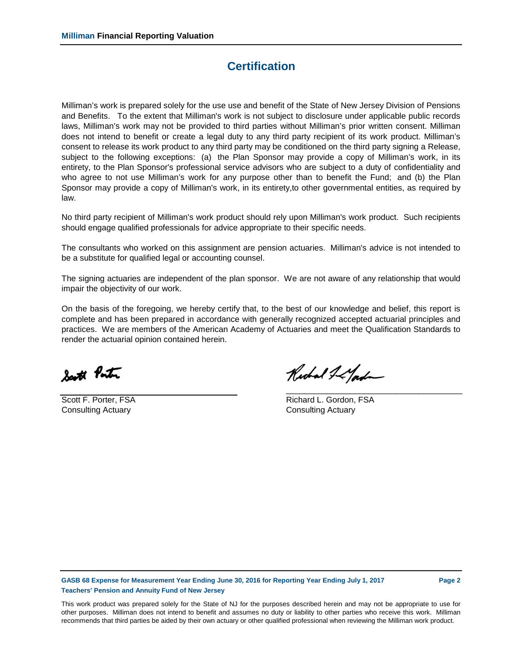## **Certification**

Milliman's work is prepared solely for the use use and benefit of the State of New Jersey Division of Pensions and Benefits. To the extent that Milliman's work is not subject to disclosure under applicable public records laws, Milliman's work may not be provided to third parties without Milliman's prior written consent. Milliman does not intend to benefit or create a legal duty to any third party recipient of its work product. Milliman's consent to release its work product to any third party may be conditioned on the third party signing a Release, subject to the following exceptions: (a) the Plan Sponsor may provide a copy of Milliman's work, in its entirety, to the Plan Sponsor's professional service advisors who are subject to a duty of confidentiality and who agree to not use Milliman's work for any purpose other than to benefit the Fund; and (b) the Plan Sponsor may provide a copy of Milliman's work, in its entirety,to other governmental entities, as required by law.

No third party recipient of Milliman's work product should rely upon Milliman's work product. Such recipients should engage qualified professionals for advice appropriate to their specific needs.

The consultants who worked on this assignment are pension actuaries. Milliman's advice is not intended to be a substitute for qualified legal or accounting counsel.

The signing actuaries are independent of the plan sponsor. We are not aware of any relationship that would impair the objectivity of our work.

On the basis of the foregoing, we hereby certify that, to the best of our knowledge and belief, this report is complete and has been prepared in accordance with generally recognized accepted actuarial principles and practices. We are members of the American Academy of Actuaries and meet the Qualification Standards to render the actuarial opinion contained herein.

South Ponton

**Consulting Actuary Consulting Actuary** 

Richard I Lyord

\_\_\_\_\_\_\_\_\_\_\_\_\_\_\_\_\_\_\_\_\_\_\_\_\_\_\_\_\_\_\_\_\_\_\_\_\_\_\_

Scott F. Porter, FSA Richard L. Gordon, FSA

**GASB 68 Expense for Measurement Year Ending June 30, 2016 for Reporting Year Ending July 1, 2017 Page 2 Teachers' Pension and Annuity Fund of New Jersey**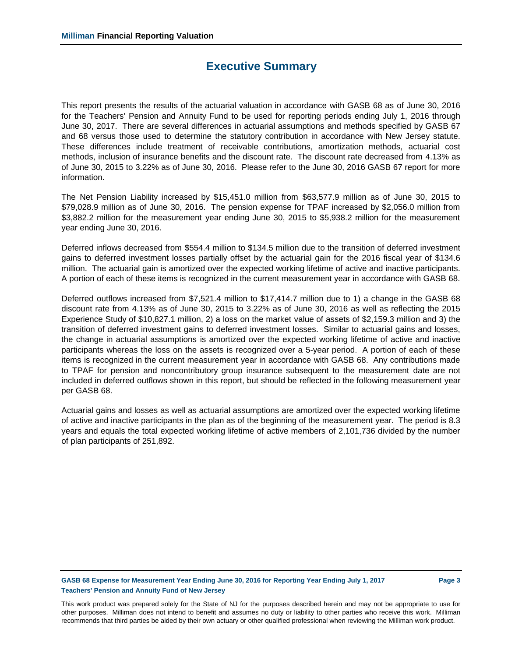## **Executive Summary**

This report presents the results of the actuarial valuation in accordance with GASB 68 as of June 30, 2016 for the Teachers' Pension and Annuity Fund to be used for reporting periods ending July 1, 2016 through June 30, 2017. There are several differences in actuarial assumptions and methods specified by GASB 67 and 68 versus those used to determine the statutory contribution in accordance with New Jersey statute. These differences include treatment of receivable contributions, amortization methods, actuarial cost methods, inclusion of insurance benefits and the discount rate. The discount rate decreased from 4.13% as of June 30, 2015 to 3.22% as of June 30, 2016. Please refer to the June 30, 2016 GASB 67 report for more information.

The Net Pension Liability increased by \$15,451.0 million from \$63,577.9 million as of June 30, 2015 to \$79,028.9 million as of June 30, 2016. The pension expense for TPAF increased by \$2,056.0 million from \$3,882.2 million for the measurement year ending June 30, 2015 to \$5,938.2 million for the measurement year ending June 30, 2016.

Deferred inflows decreased from \$554.4 million to \$134.5 million due to the transition of deferred investment gains to deferred investment losses partially offset by the actuarial gain for the 2016 fiscal year of \$134.6 million. The actuarial gain is amortized over the expected working lifetime of active and inactive participants. A portion of each of these items is recognized in the current measurement year in accordance with GASB 68.

Deferred outflows increased from \$7,521.4 million to \$17,414.7 million due to 1) a change in the GASB 68 discount rate from 4.13% as of June 30, 2015 to 3.22% as of June 30, 2016 as well as reflecting the 2015 Experience Study of \$10,827.1 million, 2) a loss on the market value of assets of \$2,159.3 million and 3) the transition of deferred investment gains to deferred investment losses. Similar to actuarial gains and losses, the change in actuarial assumptions is amortized over the expected working lifetime of active and inactive participants whereas the loss on the assets is recognized over a 5-year period. A portion of each of these items is recognized in the current measurement year in accordance with GASB 68. Any contributions made to TPAF for pension and noncontributory group insurance subsequent to the measurement date are not included in deferred outflows shown in this report, but should be reflected in the following measurement year per GASB 68.

Actuarial gains and losses as well as actuarial assumptions are amortized over the expected working lifetime of active and inactive participants in the plan as of the beginning of the measurement year. The period is 8.3 years and equals the total expected working lifetime of active members of 2,101,736 divided by the number of plan participants of 251,892.

### **GASB 68 Expense for Measurement Year Ending June 30, 2016 for Reporting Year Ending July 1, 2017 Page 3 Teachers' Pension and Annuity Fund of New Jersey**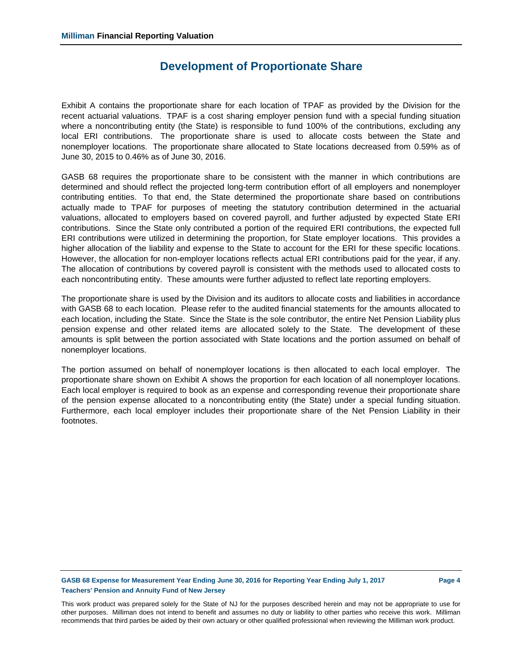## **Development of Proportionate Share**

Exhibit A contains the proportionate share for each location of TPAF as provided by the Division for the recent actuarial valuations. TPAF is a cost sharing employer pension fund with a special funding situation where a noncontributing entity (the State) is responsible to fund 100% of the contributions, excluding any local ERI contributions. The proportionate share is used to allocate costs between the State and nonemployer locations. The proportionate share allocated to State locations decreased from 0.59% as of June 30, 2015 to 0.46% as of June 30, 2016.

GASB 68 requires the proportionate share to be consistent with the manner in which contributions are determined and should reflect the projected long-term contribution effort of all employers and nonemployer contributing entities. To that end, the State determined the proportionate share based on contributions actually made to TPAF for purposes of meeting the statutory contribution determined in the actuarial valuations, allocated to employers based on covered payroll, and further adjusted by expected State ERI contributions. Since the State only contributed a portion of the required ERI contributions, the expected full ERI contributions were utilized in determining the proportion, for State employer locations. This provides a higher allocation of the liability and expense to the State to account for the ERI for these specific locations. However, the allocation for non-employer locations reflects actual ERI contributions paid for the year, if any. The allocation of contributions by covered payroll is consistent with the methods used to allocated costs to each noncontributing entity. These amounts were further adjusted to reflect late reporting employers.

The proportionate share is used by the Division and its auditors to allocate costs and liabilities in accordance with GASB 68 to each location. Please refer to the audited financial statements for the amounts allocated to each location, including the State. Since the State is the sole contributor, the entire Net Pension Liability plus pension expense and other related items are allocated solely to the State. The development of these amounts is split between the portion associated with State locations and the portion assumed on behalf of nonemployer locations.

The portion assumed on behalf of nonemployer locations is then allocated to each local employer. The proportionate share shown on Exhibit A shows the proportion for each location of all nonemployer locations. Each local employer is required to book as an expense and corresponding revenue their proportionate share of the pension expense allocated to a noncontributing entity (the State) under a special funding situation. Furthermore, each local employer includes their proportionate share of the Net Pension Liability in their footnotes.

### **GASB 68 Expense for Measurement Year Ending June 30, 2016 for Reporting Year Ending July 1, 2017 Page 4 Teachers' Pension and Annuity Fund of New Jersey**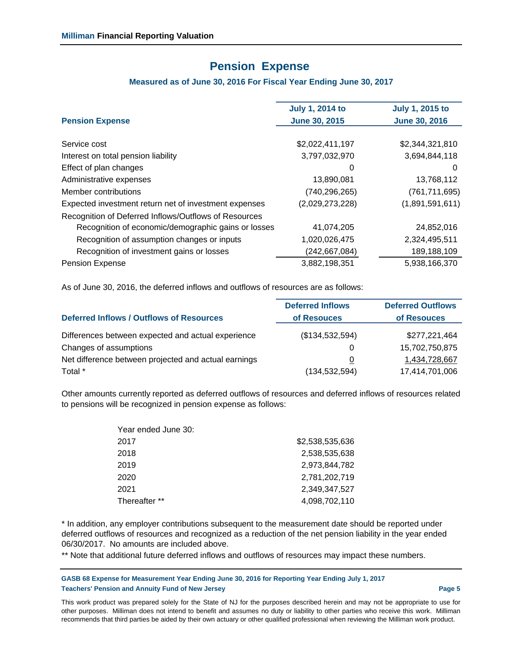# **Pension Expense**

## **Measured as of June 30, 2016 For Fiscal Year Ending June 30, 2017**

| <b>Pension Expense</b>                                | <b>July 1, 2014 to</b><br><b>June 30, 2015</b> | <b>July 1, 2015 to</b><br><b>June 30, 2016</b> |
|-------------------------------------------------------|------------------------------------------------|------------------------------------------------|
|                                                       |                                                |                                                |
| Service cost                                          | \$2,022,411,197                                | \$2,344,321,810                                |
| Interest on total pension liability                   | 3,797,032,970                                  | 3,694,844,118                                  |
| Effect of plan changes                                | 0                                              | 0                                              |
| Administrative expenses                               | 13,890,081                                     | 13,768,112                                     |
| Member contributions                                  | (740, 296, 265)                                | (761, 711, 695)                                |
| Expected investment return net of investment expenses | (2,029,273,228)                                | (1,891,591,611)                                |
| Recognition of Deferred Inflows/Outflows of Resources |                                                |                                                |
| Recognition of economic/demographic gains or losses   | 41,074,205                                     | 24,852,016                                     |
| Recognition of assumption changes or inputs           | 1,020,026,475                                  | 2,324,495,511                                  |
| Recognition of investment gains or losses             | (242, 667, 084)                                | 189,188,109                                    |
| <b>Pension Expense</b>                                | 3,882,198,351                                  | 5,938,166,370                                  |
|                                                       |                                                |                                                |

As of June 30, 2016, the deferred inflows and outflows of resources are as follows:

|                                                      | <b>Deferred Inflows</b> | <b>Deferred Outflows</b> |
|------------------------------------------------------|-------------------------|--------------------------|
| <b>Deferred Inflows / Outflows of Resources</b>      | of Resouces             | of Resouces              |
| Differences between expected and actual experience   | (\$134,532,594)         | \$277,221,464            |
| Changes of assumptions                               | 0                       | 15,702,750,875           |
| Net difference between projected and actual earnings | 0                       | 1,434,728,667            |
| Total *                                              | (134, 532, 594)         | 17,414,701,006           |

Other amounts currently reported as deferred outflows of resources and deferred inflows of resources related to pensions will be recognized in pension expense as follows:

| Year ended June 30: |                 |
|---------------------|-----------------|
| 2017                | \$2,538,535,636 |
| 2018                | 2,538,535,638   |
| 2019                | 2.973.844.782   |
| 2020                | 2,781,202,719   |
| 2021                | 2.349.347.527   |
| Thereafter **       | 4,098,702,110   |

\* In addition, any employer contributions subsequent to the measurement date should be reported under deferred outflows of resources and recognized as a reduction of the net pension liability in the year ended 06/30/2017. No amounts are included above.

\*\* Note that additional future deferred inflows and outflows of resources may impact these numbers.

**GASB 68 Expense for Measurement Year Ending June 30, 2016 for Reporting Year Ending July 1, 2017 Teachers' Pension and Annuity Fund of New Jersey Page 5**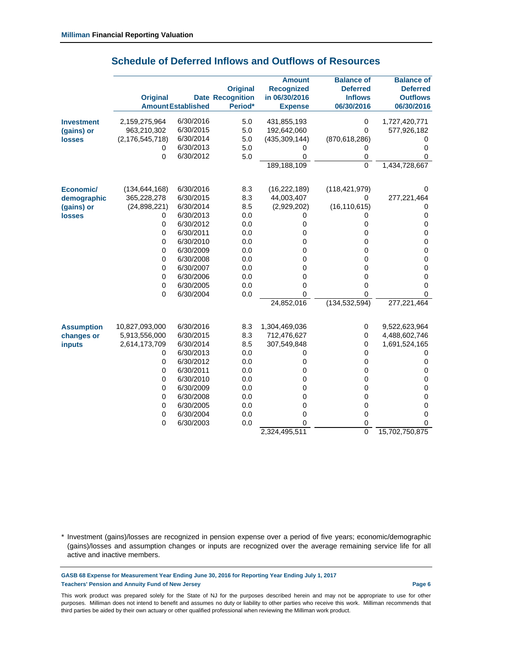|                   | <b>Original</b>    | <b>AmountEstablished</b> | <b>Original</b><br><b>Date Recognition</b><br>Period* | <b>Amount</b><br><b>Recognized</b><br>in 06/30/2016<br><b>Expense</b> | <b>Balance of</b><br><b>Deferred</b><br><b>Inflows</b><br>06/30/2016 | <b>Balance of</b><br><b>Deferred</b><br><b>Outflows</b><br>06/30/2016 |
|-------------------|--------------------|--------------------------|-------------------------------------------------------|-----------------------------------------------------------------------|----------------------------------------------------------------------|-----------------------------------------------------------------------|
| <b>Investment</b> | 2,159,275,964      | 6/30/2016                | 5.0                                                   | 431,855,193                                                           | $\mathbf 0$                                                          | 1,727,420,771                                                         |
| (gains) or        | 963,210,302        | 6/30/2015                | 5.0                                                   | 192,642,060                                                           | 0                                                                    | 577,926,182                                                           |
| <b>losses</b>     | (2, 176, 545, 718) | 6/30/2014                | 5.0                                                   | (435, 309, 144)                                                       | (870, 618, 286)                                                      | 0                                                                     |
|                   | 0                  | 6/30/2013                | 5.0                                                   | 0                                                                     | 0                                                                    | 0                                                                     |
|                   | 0                  | 6/30/2012                | 5.0                                                   | 0                                                                     | $\mathbf 0$                                                          | 0                                                                     |
|                   |                    |                          |                                                       | 189,188,109                                                           | $\overline{0}$                                                       | 1,434,728,667                                                         |
| Economic/         | (134, 644, 168)    | 6/30/2016                | 8.3                                                   | (16, 222, 189)                                                        | (118, 421, 979)                                                      | 0                                                                     |
| demographic       | 365,228,278        | 6/30/2015                | 8.3                                                   | 44,003,407                                                            | 0                                                                    | 277,221,464                                                           |
| (gains) or        | (24,898,221)       | 6/30/2014                | 8.5                                                   | (2,929,202)                                                           | (16, 110, 615)                                                       | 0                                                                     |
| <b>losses</b>     | 0                  | 6/30/2013                | 0.0                                                   | 0                                                                     | 0                                                                    | $\pmb{0}$                                                             |
|                   | 0                  | 6/30/2012                | 0.0                                                   | 0                                                                     | 0                                                                    | $\pmb{0}$                                                             |
|                   | 0                  | 6/30/2011                | 0.0                                                   | 0                                                                     | 0                                                                    | $\mathbf 0$                                                           |
|                   | 0                  | 6/30/2010                | 0.0                                                   | 0                                                                     | 0                                                                    | 0                                                                     |
|                   | 0                  | 6/30/2009                | 0.0                                                   | 0                                                                     | 0                                                                    | 0                                                                     |
|                   | 0                  | 6/30/2008                | 0.0                                                   | 0                                                                     | 0                                                                    | $\pmb{0}$                                                             |
|                   | 0                  | 6/30/2007                | 0.0                                                   | 0                                                                     | 0                                                                    | $\mathbf 0$                                                           |
|                   | 0                  | 6/30/2006                | 0.0                                                   | 0                                                                     | 0                                                                    | $\mathbf 0$                                                           |
|                   | 0                  | 6/30/2005                | 0.0                                                   | 0                                                                     | 0                                                                    | 0                                                                     |
|                   | 0                  | 6/30/2004                | 0.0                                                   | 0                                                                     | 0                                                                    | 0                                                                     |
|                   |                    |                          |                                                       | 24,852,016                                                            | (134, 532, 594)                                                      | 277,221,464                                                           |
| <b>Assumption</b> | 10,827,093,000     | 6/30/2016                | 8.3                                                   | 1,304,469,036                                                         | $\mathbf 0$                                                          | 9,522,623,964                                                         |
| changes or        | 5,913,556,000      | 6/30/2015                | 8.3                                                   | 712,476,627                                                           | 0                                                                    | 4,488,602,746                                                         |
| <b>inputs</b>     | 2,614,173,709      | 6/30/2014                | 8.5                                                   | 307,549,848                                                           | 0                                                                    | 1,691,524,165                                                         |
|                   | 0                  | 6/30/2013                | 0.0                                                   | 0                                                                     | 0                                                                    | 0                                                                     |
|                   | $\mathbf 0$        | 6/30/2012                | 0.0                                                   | 0                                                                     | 0                                                                    | $\pmb{0}$                                                             |
|                   | 0                  | 6/30/2011                | 0.0                                                   | 0                                                                     | 0                                                                    | $\pmb{0}$                                                             |
|                   | 0                  | 6/30/2010                | 0.0                                                   | 0                                                                     | 0                                                                    | $\pmb{0}$                                                             |
|                   | 0                  | 6/30/2009                | 0.0                                                   | 0                                                                     | 0                                                                    | $\mathbf 0$                                                           |
|                   | 0                  | 6/30/2008                | 0.0                                                   | 0                                                                     | 0                                                                    | $\mathbf 0$                                                           |
|                   | 0                  | 6/30/2005                | 0.0                                                   | 0                                                                     | 0                                                                    | 0                                                                     |
|                   | 0                  | 6/30/2004                | 0.0                                                   | 0                                                                     | 0                                                                    | 0                                                                     |
|                   | 0                  | 6/30/2003                | 0.0                                                   | 0                                                                     | 0                                                                    | 0                                                                     |
|                   |                    |                          |                                                       | 2,324,495,511                                                         | $\overline{0}$                                                       | 15,702,750,875                                                        |

## **Schedule of Deferred Inflows and Outflows of Resources**

\* Investment (gains)/losses are recognized in pension expense over a period of five years; economic/demographic (gains)/losses and assumption changes or inputs are recognized over the average remaining service life for all active and inactive members.

**GASB 68 Expense for Measurement Year Ending June 30, 2016 for Reporting Year Ending July 1, 2017 Teachers' Pension and Annuity Fund of New Jersey Page 6**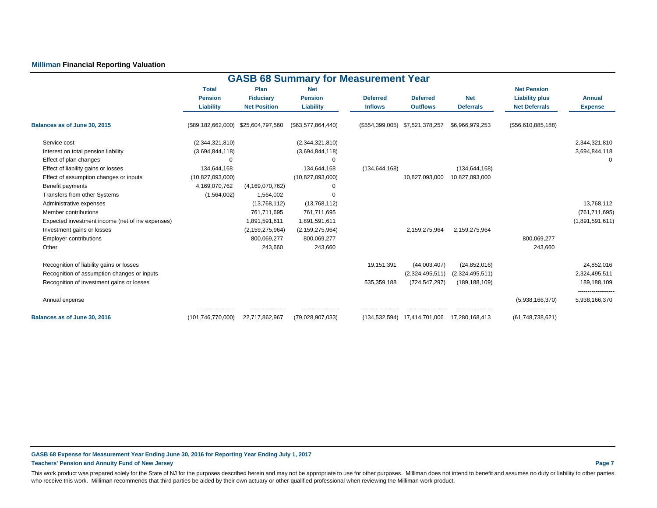### **Milliman Financial Reporting Valuation**

| <b>GASB 68 Summary for Measurement Year</b>                                                                                          |                                                     |                                                           |                                                          |                                   |                                                    |                                                      |                                                                     |                                                  |  |  |  |  |
|--------------------------------------------------------------------------------------------------------------------------------------|-----------------------------------------------------|-----------------------------------------------------------|----------------------------------------------------------|-----------------------------------|----------------------------------------------------|------------------------------------------------------|---------------------------------------------------------------------|--------------------------------------------------|--|--|--|--|
|                                                                                                                                      | <b>Total</b><br><b>Pension</b><br>Liability         | Plan<br><b>Fiduciary</b><br><b>Net Position</b>           | <b>Net</b><br><b>Pension</b><br>Liability                | <b>Deferred</b><br><b>Inflows</b> | <b>Deferred</b><br><b>Outflows</b>                 | <b>Net</b><br><b>Deferrals</b>                       | <b>Net Pension</b><br><b>Liability plus</b><br><b>Net Deferrals</b> | <b>Annual</b><br><b>Expense</b>                  |  |  |  |  |
| Balances as of June 30, 2015                                                                                                         | (\$89,182,662,000)                                  | \$25,604,797,560                                          | $(\$63,577,864,440)$                                     |                                   | (\$554,399,005) \$7,521,378,257                    | \$6,966,979,253                                      | (\$56,610,885,188)                                                  |                                                  |  |  |  |  |
| Service cost<br>Interest on total pension liability<br>Effect of plan changes                                                        | (2,344,321,810)<br>(3,694,844,118)<br>$\Omega$      |                                                           | (2,344,321,810)<br>(3,694,844,118)<br>$\Omega$           |                                   |                                                    |                                                      |                                                                     | 2,344,321,810<br>3,694,844,118<br>$\Omega$       |  |  |  |  |
| Effect of liability gains or losses<br>Effect of assumption changes or inputs<br>Benefit payments                                    | 134,644,168<br>(10, 827, 093, 000)<br>4,169,070,762 | (4, 169, 070, 762)                                        | 134,644,168<br>(10,827,093,000)                          | (134, 644, 168)                   | 10,827,093,000                                     | (134, 644, 168)<br>10,827,093,000                    |                                                                     |                                                  |  |  |  |  |
| Transfers from other Systems<br>Administrative expenses<br>Member contributions<br>Expected investment income (net of inv expenses)  | (1,564,002)                                         | 1,564,002<br>(13,768,112)<br>761,711,695<br>1,891,591,611 | $\Omega$<br>(13,768,112)<br>761,711,695<br>1,891,591,611 |                                   |                                                    |                                                      |                                                                     | 13,768,112<br>(761, 711, 695)<br>(1,891,591,611) |  |  |  |  |
| Investment gains or losses<br><b>Employer contributions</b><br>Other                                                                 |                                                     | (2, 159, 275, 964)<br>800,069,277<br>243,660              | (2, 159, 275, 964)<br>800,069,277<br>243,660             |                                   | 2,159,275,964                                      | 2,159,275,964                                        | 800,069,277<br>243,660                                              |                                                  |  |  |  |  |
| Recognition of liability gains or losses<br>Recognition of assumption changes or inputs<br>Recognition of investment gains or losses |                                                     |                                                           |                                                          | 19,151,391<br>535,359,188         | (44,003,407)<br>(2,324,495,511)<br>(724, 547, 297) | (24, 852, 016)<br>(2,324,495,511)<br>(189, 188, 109) |                                                                     | 24,852,016<br>2,324,495,511<br>189, 188, 109     |  |  |  |  |
| Annual expense                                                                                                                       |                                                     |                                                           |                                                          |                                   |                                                    |                                                      | (5,938,166,370)                                                     | <br>5,938,166,370                                |  |  |  |  |
| Balances as of June 30, 2016                                                                                                         | ------------------<br>(101, 746, 770, 000)          | ------------------<br>22,717,862,967                      | <br>(79,028,907,033)                                     | (134, 532, 594)                   | 17,414,701,006                                     | <br>17,280,168,413                                   | -------------------<br>(61,748,738,621)                             |                                                  |  |  |  |  |

**GASB 68 Expense for Measurement Year Ending June 30, 2016 for Reporting Year Ending July 1, 2017 Teachers' Pension and Annuity Fund of New Jersey Page 7**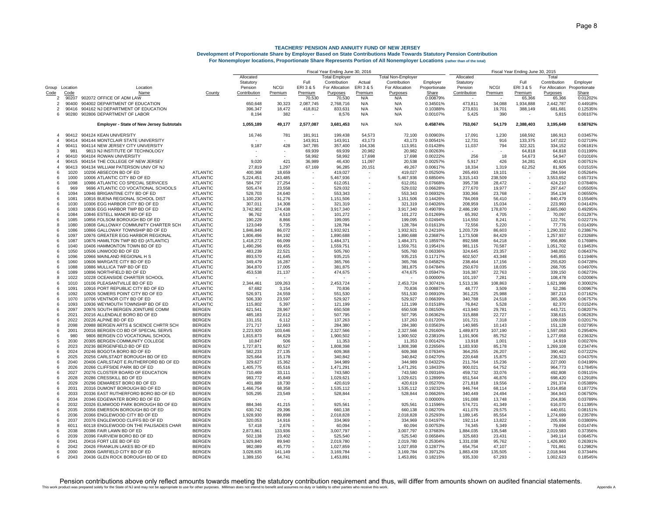|                     |              |                                                                          |                                    | Fiscal Year Ending June 30, 2016 |                        |                   |                            |                   |                           |                        |                         |                        |                      | Fiscal Year Ending June 30, 2015 |                      |  |  |
|---------------------|--------------|--------------------------------------------------------------------------|------------------------------------|----------------------------------|------------------------|-------------------|----------------------------|-------------------|---------------------------|------------------------|-------------------------|------------------------|----------------------|----------------------------------|----------------------|--|--|
|                     |              |                                                                          |                                    | Allocated                        |                        |                   | <b>Total Employer</b>      |                   | <b>Total Non-Employer</b> |                        | Allocated               |                        |                      | Tota                             |                      |  |  |
|                     |              |                                                                          |                                    | Statutory                        |                        | Full              | Contribution               | Actual            | Contribution              | Employer               | Statutory               |                        | Full                 | Contribution                     | Employer             |  |  |
| Group Location      | Code         | Location<br>Name                                                         |                                    | Pension<br>Contribution          | <b>NCGI</b><br>Premium | ERI3&5<br>Premium | For Allocation<br>Purposes | ERI3&5<br>Premium | For Allocation            | Proportionate<br>Share | Pension<br>Contribution | <b>NCGI</b><br>Premium | ERI 3 & 5<br>Premium | For Allocation Proportionate     |                      |  |  |
| Code<br>-2          | 90207        | 902072 OFFICE OF ADM LAW                                                 | County                             |                                  |                        | 70,530            | 70,530                     | N/A               | Purposes<br>N/A           | 0.00879%               |                         |                        | 65,366               | Purposes<br>65,366               | Share<br>0.01202%    |  |  |
| $\overline{2}$      | 90400        | 904002 DEPARTMENT OF EDUCATION                                           |                                    | 650,648                          | 30,323                 | 2,087,745         | 2,768,716                  | N/A               | N/A                       | 0.34501%               | 473,811                 | 34,088                 | 1,934,888            | 2,442,787                        | 0.44918%             |  |  |
| $\overline{2}$      | 90416        | 904162 NJ DEPARTMENT OF EDUCATION                                        |                                    | 396,347                          | 18,472                 | 418,812           | 833,631                    | N/A               | N/A                       | 0.10388%               | 273,831                 | 19,701                 | 388,149              | 681,681                          | 0.12535%             |  |  |
| 6                   | 90280        | 902806 DEPARTMENT OF LABOR                                               |                                    | 8.194                            | 382                    |                   | 8,576                      | N/A               | N/A                       | 0.00107%               | 5,425                   | 390                    |                      | 5,815                            | 0.00107%             |  |  |
|                     |              | <b>Employer - State of New Jersey Subtotals</b>                          |                                    | 1,055,189                        | 49,177                 | 2,577,087         | 3,681,453                  | N/A               | N/A                       | 0.45874%               | 753,067                 | 54,179                 | 2,388,403            | 3,195,649                        | 0.58762%             |  |  |
| $\overline{4}$      |              | 90412 904124 KEAN UNIVERSITY                                             |                                    | 16,746                           | 781                    | 181,911           | 199,438                    | 54.573            | 72,100                    | 0.00903%               | 17,091                  | 1,230                  | 168,592              | 186,913                          | 0.03457%             |  |  |
| $\overline{4}$      | 90414        | 904144 MONTCLAIR STATE UNIVERSITY                                        |                                    |                                  |                        | 143,911           | 143,911                    | 43,173            | 43,173                    | 0.00541%               | 12,731                  | 916                    | 133,375              | 147,022                          | 0.02719%             |  |  |
| $\overline{4}$      | 90411        | 904114 NEW JERSEY CITY UNIVERSITY                                        |                                    | 9,187                            | 428                    | 347,785           | 357,400                    | 104,336           | 113,951                   | 0.01428%               | 11,037                  | 794                    | 322,321              | 334,152                          | 0.06181%             |  |  |
| 3<br>$\overline{4}$ | 981<br>90410 | 9813 NJ INSTITUTE OF TECHNOLOGY<br>904104 ROWAN UNIVERSITY               |                                    |                                  |                        | 69,939<br>58,992  | 69,939<br>58,992           | 20,982<br>17,698  | 20,982<br>17,698          | 0.00263%<br>0.00222%   | 256                     | 18                     | 64,818<br>54,673     | 64,818<br>54,947                 | 0.01199%<br>0.01016% |  |  |
| $\overline{4}$      | 90415        | 904154 THE COLLEGE OF NEW JERSEY                                         |                                    | 9,020                            | 421                    | 36,989            | 46,430                     | 11,097            | 20,538                    | 0.00257%               | 5,917                   | 426                    | 34,281               | 40,624                           | 0.00751%             |  |  |
| $\mathbf{A}$        | 90413        | 904134 WILLIAM PATERSON UNIV OF NJ                                       |                                    | 27,819                           | 1,297                  | 67,169            | 96,285                     | 20,151            | 49,267                    | 0.00617%               | 18,334                  | 1,319                  | 62,252               | 81,905                           | 0.01515%             |  |  |
| 6                   | 1020         | 10206 ABSECON BD OF ED                                                   | <b>ATLANTIC</b>                    | 400.368                          | 18.659                 |                   | 419,027                    |                   | 419,027                   | 0.05250%               | 265.493                 | 19.101                 |                      | 284,594                          | 0.05264%             |  |  |
| 6                   | 1000         | 10006 ATLANTIC CITY BD OF ED                                             | <b>ATLANTIC</b>                    | 5,224,451                        | 243,485                |                   | 5,467,936                  |                   | 5,467,936                 | 0.68504%               | 3,315,143               | 238,509                |                      | 3,553,652                        | 0.65731%             |  |  |
| 6                   | 1098         | 10986 ATLANTIC CO SPECIAL SERVICES                                       | <b>ATLANTIC</b>                    | 584,797                          | 27.254                 |                   | 612,051                    |                   | 612.051                   | 0.07668%               | 395,738                 | 28,472                 |                      | 424.210                          | 0.07846%             |  |  |
| 6                   | 969<br>1094  | 9696 ATLANTIC CO VOCATIONAL SCHOOLS                                      | <b>ATLANTIC</b>                    | 505,474                          | 23,558                 |                   | 529,032                    |                   | 529,032                   | 0.06628%               | 277,670                 | 19,977                 |                      | 297,647                          | 0.05505%             |  |  |
| 6<br>6              | 1081         | 10946 BRIGANTINE CITY BD OF ED<br>10816 BUENA REGIONAL SCHOOL DIST       | <b>ATLANTIC</b><br><b>ATLANTIC</b> | 528,703<br>1,100,230             | 24,640<br>51,276       |                   | 553,343<br>1,151,506       |                   | 553,343<br>1,151,506      | 0.06932%<br>0.14426%   | 330,366<br>784,069      | 23,768<br>56,410       |                      | 354,134<br>840,479               | 0.06550%<br>0.15546% |  |  |
| 6                   | 1030         | 10306 EGG HARBOR CITY BD OF ED                                           | <b>ATLANTIC</b>                    | 307,011                          | 14,308                 |                   | 321,319                    |                   | 321,319                   | 0.04026%               | 208,959                 | 15,034                 |                      | 223,993                          | 0.04143%             |  |  |
| 6                   | 1083         | 10836 EGG HARBOR TWP BD OF ED                                            | <b>ATLANTIC</b>                    | 3,742,902                        | 174,438                |                   | 3,917,340                  |                   | 3,917,340                 | 0.49078%               | 2,486,190               | 178,870                |                      | 2,665,060                        | 0.49295%             |  |  |
| 6                   | 1084         | 10846 ESTELL MANOR BD OF ED                                              | <b>ATLANTIC</b>                    | 96.762                           | 4,510                  |                   | 101,272                    |                   | 101,272                   | 0.01269%               | 65,392                  | 4,705                  |                      | 70,097                           | 0.01297%             |  |  |
| -6                  | 1085         | 10856 FOLSOM BOROUGH BD OF ED                                            | <b>ATLANTIC</b>                    | 190,229                          | 8,866                  |                   | 199,095                    |                   | 199,095                   | 0.02494%               | 114,550                 | 8,241                  |                      | 122,791                          | 0.02271%             |  |  |
| -8                  | 1080         | 10808 GALLOWAY COMMUNITY CHARTER SCH                                     | <b>ATLANTIC</b>                    | 123,049                          | 5,735                  |                   | 128,784                    |                   | 128,784                   | 0.01613%               | 72,556                  | 5,220                  |                      | 77,776                           | 0.01439%             |  |  |
| 6                   | 1086         | 10866 GALLOWAY TOWNSHIP BD OF ED                                         | <b>ATLANTIC</b>                    | 1,846,849                        | 86,072                 |                   | 1,932,921                  |                   | 1,932,921                 | 0.24216%               | 1,203,729               | 86,603                 |                      | 1,290,332                        | 0.23867%             |  |  |
| 6<br>6              | 1097<br>1087 | 10976 GREATER EGG HARBOR REGIONAL<br>10876 HAMILTON TWP BD ED (ATLANTIC) | <b>ATLANTIC</b><br><b>ATLANTIC</b> | 1,806,496                        | 84,192                 |                   | 1,890,688                  |                   | 1,890,688<br>1,484,371    | 0.23687%<br>0.18597%   | 1,173,508<br>892,588    | 84,429<br>64,218       |                      | 1,257,937<br>956,806             | 0.23268%<br>0.17698% |  |  |
| -6                  | 1040         | 10406 HAMMONTON TOWN BD OF ED                                            | <b>ATLANTIC</b>                    | 1,418,272<br>1,490,296           | 66,099<br>69,455       |                   | 1,484,371<br>1,559,751     |                   | 1,559,751                 | 0.19541%               | 981,115                 | 70,587                 |                      | 1,051,702                        | 0.19453%             |  |  |
| 6                   | 1050         | 10506 LINWOOD BD OF ED                                                   | <b>ATLANTIC</b>                    | 483.239                          | 22,521                 |                   | 505,760                    |                   | 505,760                   | 0.06336%               | 324,645                 | 23,357                 |                      | 348,002                          | 0.06437%             |  |  |
| -6                  | 1096         | 10966 MAINLAND REGIONAL H S                                              | <b>ATLANTIC</b>                    | 893,570                          | 41,645                 |                   | 935,215                    |                   | 935,215                   | 0.11717%               | 602,507                 | 43,348                 |                      | 645,855                          | 0.11946%             |  |  |
| -6                  | 1060         | 10606 MARGATE CITY BD OF ED                                              | <b>ATLANTIC</b>                    | 349,479                          | 16,287                 |                   | 365,766                    |                   | 365,766                   | 0.04582%               | 238,464                 | 17,156                 |                      | 255,620                          | 0.04728%             |  |  |
| -6                  | 1088         | 10886 MULLICA TWP BD OF ED                                               | <b>ATLANTIC</b>                    | 364,870                          | 17,005                 |                   | 381,875                    |                   | 381,875                   | 0.04784%               | 250,670                 | 18,035                 |                      | 268,705                          | 0.04970%             |  |  |
| 6<br>8              | 1089<br>1022 | 10896 NORTHFIELD BD OF ED                                                | <b>ATLANTIC</b>                    | 453,538                          | 21,137                 |                   | 474,675                    |                   | 474,675                   | 0.05947%               | 316,387<br>101,197      | 22,763                 |                      | 339,150                          | 0.06273%<br>0.02006% |  |  |
| 6                   | 1010         | 10228 OCEANSIDE CHARTER SCHOOL<br>10106 PLEASANTVILLE BD OF ED           | <b>ATLANTIC</b><br><b>ATLANTIC</b> | 2,344,461                        | 109,263                |                   | 2,453,724                  |                   | 2,453,724                 | 0.00000%<br>0.30741%   | 1,513,136               | 7,281<br>108,863       |                      | 108,478<br>1,621,999             | 0.30002%             |  |  |
| 6                   | 1091         | 10916 PORT REPUBLIC CITY BD OF ED                                        | <b>ATLANTIC</b>                    | 67,682                           | 3,154                  |                   | 70,836                     |                   | 70,836                    | 0.00887%               | 48,777                  | 3,509                  |                      | 52,286                           | 0.00967%             |  |  |
| 6                   | 1092         | 10926 SOMERS POINT CITY BD OF ED                                         | <b>ATLANTIC</b>                    | 526,971                          | 24,559                 |                   | 551,530                    |                   | 551,530                   | 0.06910%               | 361,225                 | 25,988                 |                      | 387,213                          | 0.07162%             |  |  |
| 6                   | 1070         | 10706 VENTNOR CITY BD OF ED                                              | ATLANTIC                           | 506,330                          | 23,597                 |                   | 529,927                    |                   | 529,927                   | 0.06639%               | 340,788                 | 24,518                 |                      | 365,306                          | 0.06757%             |  |  |
| 6                   | 1093         | 10936 WEYMOUTH TOWNSHIP BD OF ED                                         | ATLANTIC                           | 115,802                          | 5,397                  |                   | 121,199                    |                   | 121,199                   | 0.01518%               | 76,842                  | 5,528                  |                      | 82,370                           | 0.01524%             |  |  |
| 6                   | 2097         | 20976 SOUTH BERGEN JOINTURE COMM                                         | <b>BERGEN</b>                      | 621,541                          | 28,967                 |                   | 650,508                    |                   | 650,508                   | 0.08150%               | 413,940                 | 29,781                 |                      | 443,721                          | 0.08207%             |  |  |
| 6<br>6              | 2021<br>2022 | 20216 ALLENDALE BORO BD OF ED<br>20226 ALPINE BD OF ED                   | <b>BERGEN</b><br><b>BERGEN</b>     | 485,183<br>131,151               | 22,612<br>6,112        |                   | 507,795<br>137,263         |                   | 507,795<br>137,263        | 0.06362%<br>0.01720%   | 315,888<br>101,721      | 22,727<br>7,318        |                      | 338,615<br>109,039               | 0.06263%<br>0.02017% |  |  |
| 8                   | 2098         | 20988 BERGEN ARTS & SCIENCE CHRTR SCH                                    | <b>BERGEN</b>                      | 271,717                          | 12,663                 |                   | 284,380                    |                   | 284,380                   | 0.03563%               | 140,985                 | 10,143                 |                      | 151,128                          | 0.02795%             |  |  |
| 6                   | 2001         | 20016 BERGEN CO BD OF SPECIAL SERVS                                      | <b>BERGEN</b>                      | 2,223,920                        | 103,646                |                   | 2,327,566                  |                   | 2,327,566                 | 0.29160%               | 1,489,873               | 107,190                |                      | 1,597,063                        | 0.29540%             |  |  |
| 6                   | 980          | 9806 BERGEN CO VOCATIONAL SCHOOL                                         | <b>BERGEN</b>                      | 1,815,873                        | 84,629                 |                   | 1,900,502                  |                   | 1,900,502                 | 0.23810%               | 1,191,906               | 85,752                 |                      | 1,277,658                        | 0.23632%             |  |  |
| 5                   | 2030         | 20305 BERGEN COMMUNITY COLLEGE                                           | <b>BERGEN</b>                      | 10,847                           | 506                    |                   | 11,353                     |                   | 11,353                    | 0.00142%               | 13,918                  | 1,001                  |                      | 14,919                           | 0.00276%             |  |  |
| 6                   | 2023         | 20236 BERGENFIELD BD OF ED                                               | <b>BERGEN</b>                      | 1,727,871                        | 80,527                 |                   | 1,808,398                  |                   | 1,808,398                 | 0.22656%               | 1,183,930               | 85,178                 |                      | 1,269,108                        | 0.23474%             |  |  |
| 6<br>6              | 2024<br>2025 | 20246 BOGOTA BORO BD OF ED<br>20256 CARLSTADT BOROUGH BD OF ED           | <b>BERGEN</b><br><b>BERGEN</b>     | 582,233<br>325,664               | 27,135<br>15,178       |                   | 609,368<br>340,842         |                   | 609,368<br>340,842        | 0.07634%<br>0.04270%   | 364,255<br>220,648      | 26,207<br>15,875       |                      | 390,462<br>236,523               | 0.07222%<br>0.04375% |  |  |
| 6                   | 2040         | 20406 CARLSTADT E.RUTHERFORD BD OF ED                                    | <b>BERGEN</b>                      | 329,627                          | 15,362                 |                   | 344,989                    |                   | 344,989                   | 0.04322%               | 211,764                 | 15,236                 |                      | 227,000                          | 0.04199%             |  |  |
| 6                   | 2026         | 20266 CLIFFSIDE PARK BD OF ED                                            | <b>BERGEN</b>                      | 1,405,775                        | 65,516                 |                   | 1,471,291                  |                   | 1,471,291                 | 0.18433%               | 900,021                 | 64,752                 |                      | 964,773                          | 0.17845%             |  |  |
| 6                   | 2027         | 20276 CLOSTER BOARD OF EDUCATION                                         | <b>BERGEN</b>                      | 710,469                          | 33,111                 |                   | 743,580                    |                   | 743,580                   | 0.09316%               | 459,732                 | 33,076                 |                      | 492,808                          | 0.09115%             |  |  |
| 6                   | 2028         | 20286 CRESSKILL BD OF ED                                                 | <b>BERGEN</b>                      | 983.772                          | 45.849                 |                   | 1.029.621                  |                   | 1.029.621                 | 0.12899%               | 651.544                 | 46.876                 |                      | 698.420                          | 0.12918%             |  |  |
| 6                   | 2029         | 20296 DEMAREST BORO BD OF ED                                             | <b>BERGEN</b>                      | 401,889                          | 18,730                 |                   | 420,619                    |                   | 420,619                   | 0.05270%               | 271,818                 | 19,556                 |                      | 291,374                          | 0.05389%             |  |  |
| 6<br>6              | 2031<br>2033 | 20316 DUMONT BOROUGH BD OF ED                                            | <b>BERGEN</b>                      | 1,466,754                        | 68,358                 |                   | 1,535,112                  |                   | 1,535,112                 | 0.19232%               | 946,744                 | 68,114                 |                      | 1,014,858                        | 0.18772%             |  |  |
| 6                   | 2034         | 20336 EAST RUTHERFORD BORO BD OF ED<br>20346 EDGEWATER BORO BD OF ED     | <b>BERGEN</b><br><b>BERGEN</b>     | 505,295                          | 23,549                 |                   | 528,844                    |                   | 528,844                   | 0.06626%<br>0.00000%   | 340,449<br>191,088      | 24,494<br>13,748       |                      | 364,943<br>204,836               | 0.06750%<br>0.03789% |  |  |
| 6                   | 2032         | 20326 ELMWOOD PARK BOROUGH BD OF ED                                      | <b>BERGEN</b>                      | 884,346                          | 41,215                 |                   | 925,561                    |                   | 925,561                   | 0.11596%               | 574,721                 | 41,349                 |                      | 616,070                          | 0.11395%             |  |  |
| 6                   | 2035         | 20356 EMERSON BOROUGH BD OF ED                                           | <b>BERGEN</b>                      | 630,742                          | 29,396                 |                   | 660,138                    |                   | 660,138                   | 0.08270%               | 411,076                 | 29,575                 |                      | 440,651                          | 0.08151%             |  |  |
| 6                   | 2036         | 20366 ENGLEWOOD CITY BD OF ED                                            | <b>BERGEN</b>                      | 1.928.930                        | 89.898                 |                   | 2.018.828                  |                   | 2.018.828                 | 0.25293%               | 1.189.145               | 85.554                 |                      | 1,274,699                        | 0.23578%             |  |  |
| 6                   | 2037         | 20376 ENGLEWOOD CLIFFS BD OF ED                                          | <b>BERGEN</b>                      | 320.053                          | 14.916                 |                   | 334.969                    |                   | 334.969                   | 0.04197%               | 192.114                 | 13,822                 |                      | 205,936                          | 0.03809%             |  |  |
| 8                   | 6011         | 60118 ENGLEWOOD ON THE PALISADES CHAR                                    | <b>BERGEN</b>                      | 57,418                           | 2,676                  |                   | 60,094                     |                   | 60,094                    | 0.00753%               | 74.345                  | 5,349                  |                      | 79,694                           | 0.01474%             |  |  |
| 6<br>6              | 2038<br>2039 | 20386 FAIR LAWN BD OF ED<br>20396 FAIRVIEW BORO BD OF ED                 | <b>BERGEN</b><br><b>BERGEN</b>     | 2,873,861<br>502,138             | 133,936<br>23,402      |                   | 3,007,797                  |                   | 3,007,797                 | 0.37683%<br>0.06584%   | 1,884,035<br>325,683    | 135,548<br>23,431      |                      | 2,019,583<br>349,114             | 0.37356%<br>0.06457% |  |  |
| 6                   | 2041         | 20416 FORT LEE BD OF ED                                                  | <b>BERGEN</b>                      | 1,929,840                        | 89,940                 |                   | 525,540<br>2,019,780       |                   | 525,540<br>2,019,780      | 0.25304%               | 1,331,038               | 95,762                 |                      | 1,426,800                        | 0.26391%             |  |  |
| 6                   | 2042         | 20426 FRANKLIN LAKES BD OF ED                                            | <b>BERGEN</b>                      | 982,089                          | 45,770                 |                   | 1,027,859                  |                   | 1,027,859                 | 0.12877%               | 654,754                 | 47,107                 |                      | 701,861                          | 0.12982%             |  |  |
| $\epsilon$          | 2000         | 20006 GARFIELD CITY BD OF ED                                             | <b>BERGEN</b>                      | 3,028,635                        | 141,149                |                   | 3,169,784                  |                   | 3,169,784                 | 0.39712%               | 1,883,439               | 135,505                |                      | 2,018,944                        | 0.37344%             |  |  |
| 6                   | 2043         | 20436 GLEN ROCK BOROUGH BD OF ED                                         | <b>RERGEN</b>                      | 1.389.150                        | 64.741                 |                   | 1.453.891                  |                   | 1.453.891                 | 0.18215%               | 935.330                 | 67.293                 |                      | 1.002.623                        | 0.18545%             |  |  |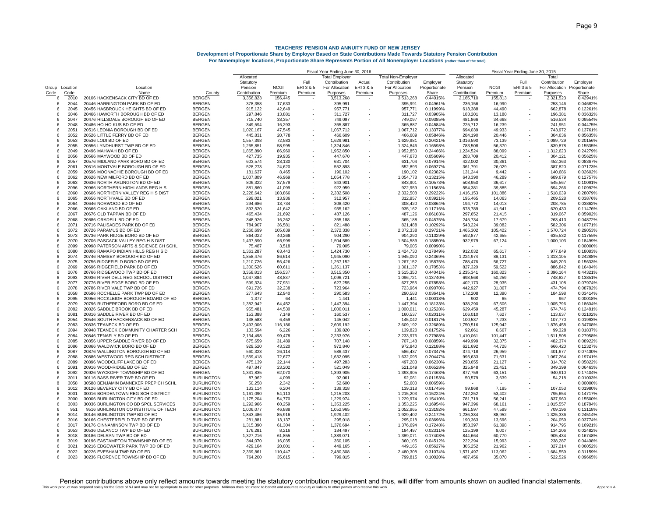|                |      |                                       |                   | Fiscal Year Ending June 30, 2016 |             |           |                |          |                    | Fiscal Year Ending June 30, 2015 |              |             |           |                              |          |
|----------------|------|---------------------------------------|-------------------|----------------------------------|-------------|-----------|----------------|----------|--------------------|----------------------------------|--------------|-------------|-----------|------------------------------|----------|
|                |      |                                       |                   | Allocated                        |             |           | Total Employer |          | Total Non-Employer |                                  | Allocated    |             |           | Total                        |          |
|                |      |                                       |                   | Statutory                        |             | Full      | Contribution   | Actual   | Contribution       | Employer                         | Statutory    |             | Full      | Contribution                 | Employer |
| Group Location |      | Location                              |                   | Pension                          | <b>NCGI</b> | ERI 3 & 5 | For Allocation | ERI3 & 5 | For Allocation     | Proportionate                    | Pension      | <b>NCGI</b> | ERI 3 & 5 | For Allocation Proportionate |          |
| Code           | Code | Name                                  | County            | Contribution                     | Premium     | Premium   | Purposes       | Premium  | Purposes           | Share                            | Contribution | Premium     | Premium   | Purposes                     | Share    |
| 6              | 2010 | 20106 HACKENSACK CITY BD OF ED        | BERGEN            | 3,356,823                        | 156,445     |           | 3,513,268      |          | 3,513,268          | 0.44015%                         | 2,165,710    | 155,813     |           | 2,321,523                    | 0.42941% |
| 6              | 2044 | 20446 HARRINGTON PARK BD OF ED        | <b>BERGEN</b>     | 378,358                          | 17,633      |           | 395,991        |          | 395,991            | 0.04961%                         | 236,156      | 16,990      |           | 253,146                      | 0.04682% |
| 6              | 2045 | 20456 HASBROUCK HEIGHTS BD OF ED      | <b>BERGEN</b>     | 915,122                          | 42,649      |           | 957,771        |          | 957,771            | 0.11999%                         | 618,388      | 44,490      |           | 662,878                      | 0.12261% |
| 6              | 2046 | 20466 HAWORTH BOROUGH BD OF ED        | <b>BERGEN</b>     | 297,846                          | 13,881      |           | 311,727        |          | 311,727            | 0.03905%                         | 183,201      | 13,180      |           | 196,381                      | 0.036329 |
| 6              | 2047 | 20476 HILLSDALE BOROUGH BD OF ED      | <b>BERGEN</b>     | 715,740                          | 33,357      |           | 749,097        |          | 749,097            | 0.09385%                         | 481,866      | 34,668      |           | 516,534                      | 0.09554% |
| 6              | 2048 | 20486 HO-HO-KUS BD OF ED              | <b>BERGEN</b>     | 349,594                          | 16,293      |           | 365,887        |          | 365,887            | 0.04584%                         | 225,712      | 16,239      |           | 241,951                      | 0.04475% |
| 6              | 2051 | 20516 LEONIA BOROUGH BD OF ED         | <b>BERGEN</b>     | 1,020,167                        | 47,545      |           | 1,067,712      |          | 1,067,712          | 0.13377%                         | 694,039      | 49,933      |           | 743,972                      | 0.137619 |
| 6              | 2052 | 20526 LITTLE FERRY BD OF ED           | <b>BERGEN</b>     | 445.831                          | 20.778      |           | 466,609        |          | 466,609            | 0.05846%                         | 284.190      | 20.446      |           | 304.636                      | 0.05635% |
| 6              | 2053 | 20536 LODI BD OF ED                   | <b>BERGEN</b>     | 1,557,398                        | 72,583      |           | 1,629,981      |          | 1,629,981          | 0.20421%                         | 1,016,590    | 73,139      |           | 1,089,729                    | 0.20156% |
| 6              | 2055 | 20556 LYNDHURST TWP BD OF ED          | <b>BERGEN</b>     | 1,265,851                        | 58,995      |           | 1,324,846      |          | 1,324,846          | 0.16598%                         | 783,508      | 56,370      |           | 839,878                      | 0.15535% |
| 6              | 2049 | 20496 MAHWAH BD OF ED                 | <b>BERGEN</b>     | 1,865,890                        | 86,960      |           | 1,952,850      |          | 1,952,850          | 0.24466%                         | 1,224,524    | 88,099      |           | 1,312,623                    | 0.24279% |
| 6              | 2056 | 20566 MAYWOOD BD OF ED                | <b>BERGEN</b>     | 427,735                          | 19,935      |           | 447,670        |          | 447,670            | 0.05609%                         | 283.709      | 20,412      |           | 304,121                      | 0.05625% |
| 6              | 2057 | 20576 MIDLAND PARK BORO BD OF ED      | <b>BERGEN</b>     | 603,574                          | 28,130      |           | 631,704        |          | 631,704            | 0.07914%                         | 422,002      | 30,361      |           | 452,363                      | 0.08367% |
| 6              | 2061 | 20616 MONTVALE BOROUGH BD OF ED       | <b>BERGEN</b>     | 528,273                          | 24,620      |           | 552,893        |          | 552,893            | 0.06927%                         | 361,791      | 26,029      |           | 387,820                      | 0.07173% |
| 6              | 2059 | 20596 MOONACHIE BOROUGH BD OF ED      | <b>BERGEN</b>     | 181,637                          | 8,465       |           | 190,102        |          | 190,102            | 0.02382%                         | 131,244      | 9,442       |           | 140,686                      | 0.02602% |
| 6              | 2062 | 20626 NEW MILFORD BD OF ED            | <b>BERGEN</b>     | 1,007,809                        | 46,969      |           | 1,054,778      |          | 1,054,778          | 0.13215%                         | 643,390      | 46,289      |           | 689,679                      | 0.12757% |
| 6              | 2063 | 20636 NORTH ARLINGTON BD OF ED        | <b>BERGEN</b>     | 806,322                          | 37,579      |           | 843,901        |          | 843,901            | 0.10573%                         | 508,950      | 36,617      |           | 545,567                      | 0.10091% |
| 6              | 2096 | 20966 NORTHERN HIGHLANDS REG H S      | <b>BERGEN</b>     | 881,860                          | 41,099      |           | 922,959        |          | 922,959            | 0.11563%                         | 554,381      | 39,885      |           | 594,266                      | 0.10992% |
| 6              | 2060 | 20606 NORTHERN VALLEY REG H S DIST    | <b>BERGEN</b>     | 2,228,642                        | 103,866     |           | 2,332,508      |          | 2,332,508          | 0.29222%                         | 1,416,153    | 101,886     |           | 1,518,039                    | 0.28079% |
| 6              | 2065 | 20656 NORTHVALE BD OF ED              | <b>BERGEN</b>     | 299,021                          | 13,936      |           | 312,957        |          | 312,957            | 0.03921%                         | 195,465      | 14,063      |           | 209,528                      | 0.03876% |
| 6              | 2064 | 20646 NORWOOD BD OF ED                | <b>BERGEN</b>     | 294,686                          | 13,734      |           | 308,420        |          | 308,420            | 0.03864%                         | 194,772      | 14,013      |           | 208,785                      | 0.03862% |
| 6              | 2066 | 20666 OAKLAND BD OF ED                | <b>BERGEN</b>     | 893,520                          | 41,642      |           | 935,162        |          | 935,162            | 0.11716%                         | 578,789      | 41,641      |           | 620,430                      | 0.114769 |
| 6              | 2067 | 20676 OLD TAPPAN BD OF ED             | <b>BERGEN</b>     | 465,434                          | 21,692      |           | 487,126        |          | 487,126            | 0.06103%                         | 297,652      | 21,415      |           | 319,067                      | 0.059029 |
| 6              | 2068 | 20686 ORADELL BD OF ED                | <b>BERGEN</b>     | 348.926                          | 16,262      |           | 365,188        |          | 365,188            | 0.04575%                         | 245.734      | 17,679      |           | 263.413                      | 0.04872% |
| 6              | 2071 | 20716 PALISADES PARK BD OF ED         | <b>BERGEN</b>     | 784,907                          | 36,581      |           | 821,488        |          | 821,488            | 0.10292%                         | 543,224      | 39,082      |           | 582,306                      | 0.107719 |
| 6              | 2072 | 20726 PARAMUS BD OF ED                | <b>BERGEN</b>     | 2,266,699                        | 105,639     |           | 2,372,338      |          | 2,372,338          | 0.29721%                         | 1,465,302    | 105,422     |           | 1,570,724                    | 0.290539 |
| 6              | 2073 | 20736 PARK RIDGE BORO BD OF ED        | <b>BERGEN</b>     | 864,022                          | 40,268      |           | 904,290        |          | 904,290            | 0.11329%                         | 592,877      | 42,655      |           | 635,532                      | 0.11755% |
| 6              | 2070 | 20706 PASCACK VALLEY REG H S DIST     | <b>BERGEN</b>     | 1.437.590                        | 66.999      |           | 1.504.589      |          | 1.504.589          | 0.18850%                         | 932.979      | 67,124      |           | 1,000,103                    | 0.18499% |
| 8              | 2099 | 20998 PATERSON ARTS & SCIENCE CH SCHL | <b>BERGEN</b>     | 75,487                           | 3,518       |           | 79,005         |          | 79,005             | 0.00990%                         |              |             |           |                              | 0.00000% |
| 6              | 2080 | 20806 RAMAPO INDIAN HILLS REG H S D   | <b>BERGEN</b>     | 1,361,287                        | 63,443      |           | 1,424,730      |          | 1,424,730          | 0.17849%                         | 912,032      | 65,617      |           | 977,649                      | 0.18083% |
| 6              | 2074 | 20746 RAMSEY BOROUGH BD OF ED         | <b>BERGEN</b>     | 1,858,476                        | 86,614      |           | 1,945,090      |          | 1,945,090          | 0.24369%                         | 1,224,974    | 88,131      |           | 1,313,105                    | 0.242889 |
| $\epsilon$     | 2075 | 20756 RIDGEFIELD BORO BD OF ED        | <b>BERGEN</b>     | 1,210,726                        | 56,426      |           | 1,267,152      |          | 1,267,152          | 0.15875%                         | 788,476      | 56,727      |           | 845,203                      | 0.156339 |
| 6              | 2069 | 20696 RIDGEFIELD PARK BD OF ED        | <b>BERGEN</b>     | 1,300,526                        | 60,611      |           | 1,361,137      |          | 1,361,137          | 0.17053%                         | 827,320      | 59,522      |           | 886,842                      | 0.16404% |
| 6              | 2076 | 20766 RIDGEWOOD TWP BD OF ED          | <b>BERGEN</b>     | 3,358,813                        | 156,537     | ٠         | 3,515,350      |          | 3,515,350          | 0.44041%                         | 2,235,341    | 160,823     |           | 2,396,164                    | 0.443219 |
| 6              | 2093 | 20936 RIVER DELL REG SCHOOL DISTRICT  | <b>BERGEN</b>     | 1,047,884                        | 48,837      |           | 1,096,721      |          | 1,096,721          | 0.13740%                         | 698,568      | 50,259      |           | 748,827                      | 0.138519 |
| 6              | 2077 | 20776 RIVER EDGE BORO BD OF ED        | <b>BERGEN</b>     | 599,324                          | 27,931      |           | 627,255        |          | 627,255            | 0.07858%                         | 402,173      | 28,935      |           | 431,108                      | 0.07974% |
| 6              | 2078 | 20786 RIVER VALE TWP BD OF ED         | <b>BERGEN</b>     | 691,726                          | 32,238      |           | 723,964        |          | 723,964            | 0.09070%                         | 442,927      | 31,867      |           | 474,794                      | 0.08782% |
| 6              | 2058 | 20586 ROCHELLE PARK TWP BD OF ED      | <b>BERGEN</b>     | 277,643                          | 12,940      |           | 290,583        |          | 290,583            | 0.03641%                         | 172,208      | 12,390      |           | 184,598                      | 0.03414% |
| 6              | 2095 | 20956 ROCKLEIGH BOROUGH BOARD OF ED   | <b>BERGEN</b>     | 1,377                            | 64          |           | 1,441          |          | 1,441              | 0.00018%                         | 902          | 65          |           | 967                          | 0.00018% |
| 6              | 2079 | 20796 RUTHERFORD BORO BD OF ED        | <b>BERGEN</b>     | 1,382,942                        | 64,452      |           | 1,447,394      |          | 1,447,394          | 0.18133%                         | 938,290      | 67,506      |           | 1,005,796                    | 0.18604% |
| 6              | 2082 | 20826 SADDLE BROOK BD OF ED           | <b>BERGEN</b>     | 955,481                          | 44,530      |           | 1,000,011      |          | 1,000,011          | 0.12528%                         | 629,459      | 45,287      |           | 674,746                      | 0.12481% |
| 6              | 2081 | 20816 SADDLE RIVER BD OF ED           | <b>BERGEN</b>     | 153,388                          | 7,149       |           | 160,537        |          | 160,537            | 0.02011%                         | 106,010      | 7,627       |           | 113,637                      | 0.02102% |
| 6              | 2054 | 20546 SOUTH HACKENSACK BD OF ED       | <b>BERGEN</b>     | 138,583                          | 6,459       |           | 145,042        |          | 145,042            | 0.01817%                         | 100,537      | 7,233       |           | 107,770                      | 0.01993% |
| 6              | 2083 | 20836 TEANECK BD OF ED                | <b>BERGEN</b>     | 2,493,006                        | 116,186     | ÷,        | 2,609,192      |          | 2,609,192          | 0.32689%                         | 1,750,516    | 125,942     |           | 1,876,458                    | 0.34708% |
| 8              | 2094 | 20948 TEANECK COMMUNITY CHARTER SCH   | <b>BERGEN</b>     | 133,594                          | 6,226       |           | 139,820        |          | 139,820            | 0.01752%                         | 92,661       | 6,667       |           | 99,328                       | 0.01837% |
| 6              | 2084 | 20846 TENAFLY BD OF ED                | <b>BERGEN</b>     | 2,134,498                        | 99,478      |           | 2,233,976      |          | 2,233,976          | 0.27988%                         | 1,410,061    | 101,447     |           | 1,511,508                    | 0.279589 |
| 6              | 2085 | 20856 UPPER SADDLE RIVER BD OF ED     | <b>BERGEN</b>     | 675,659                          | 31,489      |           | 707,148        |          | 707,148            | 0.08859%                         | 449,999      | 32,375      |           | 482,374                      | 0.08922% |
| 6              | 2086 | 20866 WALDWICK BORO BD OF ED          | <b>BERGEN</b>     | 929,520                          | 43,320      |           | 972,840        |          | 972,840            | 0.12188%                         | 621,692      | 44,728      |           | 666,420                      | 0.12327% |
| 6              | 2087 | 20876 WALLINGTON BOROUGH BD OF ED     | <b>BERGEN</b>     | 560.323                          | 26.114      |           | 586.437        |          | 586.437            | 0.07347%                         | 374.718      | 26,959      |           | 401.677                      | 0.07430% |
| 6              | 2088 | 20886 WESTWOOD REG SCH DISTRICT       | <b>BERGEN</b>     | 1,559,418                        | 72,677      |           | 1,632,095      |          | 1,632,095          | 0.20447%                         | 995.633      | 71,631      |           | 1,067,264                    | 0.19741% |
| 6              | 2089 | 20896 WOODCLIFF LAKE BD OF ED         | <b>BERGEN</b>     | 475,139                          | 22,144      |           | 497,283        |          | 497,283            | 0.06230%                         | 293,655      | 21,127      |           | 314,782                      | 0.05822% |
| 6              | 2091 | 20916 WOOD-RIDGE BD OF ED             | <b>BERGEN</b>     | 497,847                          | 23,202      |           | 521,049        |          | 521,049            | 0.06528%                         | 325,948      | 23,451      |           | 349,399                      | 0.06463% |
| 6              | 2092 | 20926 WYCKOFF TOWNSHIP BD OF ED       | <b>BERGEN</b>     | 1.331.835                        | 62,070      |           | 1,393,905      |          | 1,393,905          | 0.17463%                         | 877.759      | 63,151      |           | 940,910                      | 0.17404% |
| 6              | 3011 | 30116 BASS RIVER TWP BD OF ED         | <b>BURLINGTON</b> | 87.962                           | 4,099       |           | 92.061         |          | 92,061             | 0.01153%                         | 50,579       | 3,639       |           | 54,218                       | 0.01003% |
| 8              | 3058 | 30588 BENJAMIN BANNEKER PREP CH SCHL  | <b>BURLINGTON</b> | 50.258                           | 2,342       |           | 52,600         |          | 52,600             | 0.00659%                         |              |             |           |                              | 0.00000% |
| 6              | 3012 | 30126 BEVERLY CITY BD OF ED           | <b>BURLINGTON</b> | 133,114                          | 6,204       |           | 139,318        |          | 139,318            | 0.01745%                         | 99,868       | 7,185       |           | 107,053                      | 0.01980% |
| 6              | 3001 | 30016 BORDENTOWN REG SCH DISTRICT     | <b>BURLINGTON</b> | 1,161,090                        | 54,113      |           | 1,215,203      |          | 1,215,203          | 0.15224%                         | 742,252      | 53,402      |           | 795,654                      | 0.14717% |
| 6              | 3000 | 30006 BURLINGTON CITY BD OF ED        | <b>BURLINGTON</b> | 1,175,204                        | 54,770      |           | 1,229,974      |          | 1,229,974          | 0.15410%                         | 781,719      | 56,241      |           | 837,960                      | 0.15500% |
| 6              | 3003 | 30036 BURLINGTON CO BD SPCL SERVICES  | <b>BURLINGTON</b> | 1,292,966                        | 60,259      |           | 1,353,225      |          | 1,353,225          | 0.16954%                         | 947,396      | 68,161      |           | 1,015,557                    | 0.18784% |
| 6              | 951  | 9516 BURLINGTON CO INSTITUTE OF TECH  | <b>BURLINGTON</b> | 1,006,077                        | 46,888      |           | 1,052,965      |          | 1,052,965          | 0.13192%                         | 661,597      | 47,599      |           | 709,196                      | 0.131189 |
| 6              | 3014 | 30146 BURLINGTON TWP BD OF ED         | <b>BURLINGTON</b> | 1.843.486                        | 85,916      |           | 1,929,402      |          | 1,929,402          | 0.24172%                         | 1,236,384    | 88,952      |           | 1,325,336                    | 0.245149 |
| 6              | 3016 | 30166 CHESTERFIELD TWP BD OF ED       | <b>BURLINGTON</b> | 281,881                          | 13,137      |           | 295,018        |          | 295,018            | 0.03696%                         | 190,363      | 13,696      |           | 204,059                      | 0.03774% |
| 6              | 3017 | 30176 CINNAMINSON TWP BD OF ED        | <b>BURLINGTON</b> | 1,315,390                        | 61,304      |           | 1,376,694      |          | 1,376,694          | 0.17248%                         | 853,397      | 61,398      |           | 914,795                      | 0.169219 |
| 6              | 3053 | 30536 DELANCO TWP BD OF ED            | <b>BURLINGTON</b> | 176.281                          | 8,216       |           | 184,497        |          | 184,497            | 0.02311%                         | 125,199      | 9,007       |           | 134,206                      | 0.024829 |
| 6              | 3018 | 30186 DELRAN TWP BD OF ED             | <b>BURLINGTON</b> | 1,327,216                        | 61,855      |           | 1,389,071      |          | 1,389,071          | 0.17403%                         | 844.664      | 60,770      |           | 905,434                      | 0.167489 |
| 6              | 3019 | 30196 EASTAMPTON TOWNSHIP BD OF ED    | <b>BURLINGTON</b> | 344,070                          | 16,035      |           | 360,105        |          | 360,105            | 0.04512%                         | 222.294      | 15,993      |           | 238,287                      | 0.04408% |
| 6              | 3021 | 30216 EDGEWATER PARK TWP BD OF ED     | <b>BURLINGTON</b> | 429,164                          | 20,001      |           | 449,165        |          | 449,165            | 0.05627%                         | 305,252      | 21,962      |           | 327,214                      | 0.06052% |
| 6              | 3022 | 30226 EVESHAM TWP BD OF ED            | <b>BURLINGTON</b> | 2,369,861                        | 110,447     |           | 2,480,308      |          | 2,480,308          | 0.31074%                         | 1,571,497    | 113,062     |           | 1,684,559                    | 0.31159% |
| 6              | 3023 | 30236 FLORENCE TOWNSHIP BD OF ED      | <b>BURLINGTON</b> | 764.200                          | 35.615      |           | 799.815        |          | 799.815            | 0.10020%                         | 487.456      | 35.070      |           | 522.526                      | 0.09665% |
|                |      |                                       |                   |                                  |             |           |                |          |                    |                                  |              |             |           |                              |          |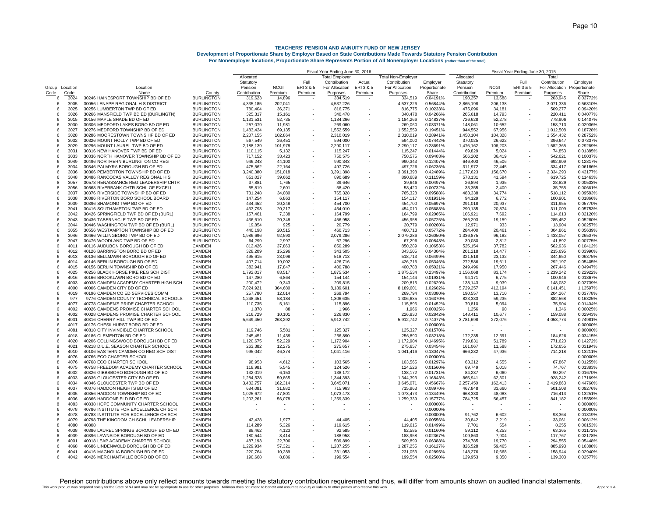|        |                |                                                                     |                                        | Fiscal Year Ending June 30, 2016 |                   |                          |                       |         | Fiscal Year Ending June 30, 2015 |                      |                    |                  |           |                      |                      |
|--------|----------------|---------------------------------------------------------------------|----------------------------------------|----------------------------------|-------------------|--------------------------|-----------------------|---------|----------------------------------|----------------------|--------------------|------------------|-----------|----------------------|----------------------|
|        |                |                                                                     |                                        | Allocated                        |                   |                          | <b>Total Employer</b> |         | <b>Total Non-Employer</b>        |                      | Allocated          |                  |           | Total                |                      |
|        |                |                                                                     |                                        | Statutory                        |                   | Full                     | Contribution          | Actual  | Contribution                     | Employer             | Statutory          |                  | Full      | Contribution         | Employer             |
|        | Group Location | Location                                                            |                                        | Pension                          | <b>NCGI</b>       | ERI3&5                   | For Allocation        | ERI3&5  | For Allocation                   | Proportionate        | Pension            | <b>NCGI</b>      | ERI 3 & 5 | For Allocation       | Proportionate        |
| Code   | Code           | Name                                                                | County                                 | Contribution                     | Premium           | Premium                  | Purposes              | Premium | Purposes                         | Share                | Contribution       | Premium          | Premium   | Purposes             | Share                |
| 6      | 3024           | 30246 HAINESPORT TOWNSHIP BD OF ED                                  | <b>BURLINGTON</b>                      | 319,623                          | 14,896            |                          | 334,519               |         | 334,519                          | 0.04191%             | 190,257            | 13,688           |           | 203,945              | 0.03772%             |
| 6<br>6 | 3005<br>3025   | 30056 LENAPE REGIONAL H S DISTRICT                                  | <b>BURLINGTON</b>                      | 4,335,185                        | 202,041           |                          | 4,537,226             |         | 4,537,226                        | 0.56844%             | 2,865,198          | 206,138          |           | 3,071,336            | 0.56810%             |
|        |                | 30256 LUMBERTON TWP BD OF ED                                        | <b>BURLINGTON</b>                      | 780,404                          | 36,371            |                          | 816,775               |         | 816,775                          | 0.10233%             | 475,096            | 34,181           |           | 509,277              | 0.09420%             |
| 6<br>6 | 3026<br>3015   | 30266 MANSFIELD TWP BD ED (BURLINGTN)<br>30156 MAPLE SHADE BD OF ED | <b>BURLINGTON</b><br><b>BURLINGTON</b> | 325,317<br>1,131,531             | 15,161<br>52,735  |                          | 340,478               |         | 340,478                          | 0.04266%<br>0.14837% | 205,618<br>726,628 | 14,793           |           | 220,411<br>778,906   | 0.04077%<br>0.144079 |
| 6      | 3030           | 30306 MEDFORD LAKES BORO BD OF ED                                   | <b>BURLINGTON</b>                      |                                  |                   |                          | 1,184,266             |         | 1,184,266                        | 0.03371%             | 148,061            | 52,278           |           |                      | 0.029369             |
| 6      | 3027           | 30276 MEDFORD TOWNSHIP BD OF ED                                     | <b>BURLINGTON</b>                      | 257,079<br>1,483,424             | 11,981            |                          | 269,060<br>1,552,559  |         | 269,060<br>1,552,559             | 0.19451%             | 944,552            | 10,652<br>67,956 |           | 158,713<br>1,012,508 | 0.187289             |
| 6      | 3028           | 30286 MOORESTOWN TOWNSHIP BD OF ED                                  | <b>BURLINGTON</b>                      | 2,207,155                        | 69,135<br>102,864 |                          | 2,310,019             |         | 2,310,019                        | 0.28941%             | 1,450,104          | 104,328          |           | 1,554,432            | 0.287529             |
| 6      | 3032           | 30326 MOUNT HOLLY TWP BD OF ED                                      | <b>BURLINGTON</b>                      | 567,549                          | 26,451            |                          | 594,000               |         | 594,000                          | 0.07442%             | 370,025            | 26,622           |           | 396,647              | 0.07337              |
| 6      | 3029           | 30296 MOUNT LAUREL TWP BD OF ED                                     | <b>BURLINGTON</b>                      | 2,188,139                        | 101,978           |                          | 2,290,117             |         | 2,290,117                        | 0.28691%             | 1,476,162          | 106,203          |           | 1,582,365            | 0.292699             |
| -6     | 3031           | 30316 NEW HANOVER TWP BD OF ED                                      | <b>BURLINGTON</b>                      | 110.115                          | 5,132             |                          | 115,247               |         | 115,247                          | 0.01444%             | 69.829             | 5,024            |           | 74.853               | 0.01385%             |
| -6     | 3033           | 30336 NORTH HANOVER TOWNSHIP BD OF ED                               | <b>BURLINGTON</b>                      | 717.152                          | 33,423            |                          | 750,575               |         | 750,575                          | 0.09403%             | 506.202            | 36,419           |           | 542.621              | 0.10037%             |
| 6      | 3049           | 30496 NORTHERN BURLINGTON CO REG                                    | <b>BURLINGTON</b>                      | 946,243                          | 44,100            |                          | 990,343               |         | 990,343                          | 0.12407%             | 646,403            | 46,506           |           | 692,909              | 0.128179             |
| 6      | 3034           | 30346 PALMYRA BOROUGH BD OF ED                                      | <b>BURLINGTON</b>                      | 475,562                          | 22,164            |                          | 497,726               |         | 497,726                          | 0.06236%             | 311,972            | 22,445           |           | 334,417              | 0.06186%             |
| -6     | 3036           | 30366 PEMBERTON TOWNSHIP BD OF ED                                   | <b>BURLINGTON</b>                      | 3.240.380                        | 151,018           |                          | 3,391,398             |         | 3,391,398                        | 0.42489%             | 2.177.623          | 156,670          |           | 2,334,293            | 0.43177%             |
| -6     | 3048           | 30486 RANCOCAS VALLEY REGIONAL H S                                  | <b>BURLINGTON</b>                      | 851.027                          | 39,662            |                          | 890,689               |         | 890,689                          | 0.11159%             | 578,131            | 41,594           |           | 619,725              | 0.11463%             |
| 8      | 3057           | 30578 RENAISSANCE REG LEADERSHIP CHTR                               | <b>BURLINGTON</b>                      | 37,881                           | 1,765             |                          | 39,646                |         | 39,646                           | 0.00497%             | 26,894             | 1,935            |           | 28,829               | 0.00533%             |
| -8     | 3056           | 30568 RIVERBANK CHTR SCHL OF EXCELL                                 | <b>BURLINGTON</b>                      | 55,819                           | 2,601             |                          | 58,420                |         | 58,420                           | 0.00732%             | 33,355             | 2,400            |           | 35,755               | 0.00661%             |
| -6     | 3037           | 30376 RIVERSIDE TOWNSHIP BD OF ED                                   | <b>BURLINGTON</b>                      | 731,248                          | 34,080            |                          | 765,328               |         | 765,328                          | 0.09588%             | 483,338            | 34,774           |           | 518,112              | 0.09583%             |
| -6     | 3038           | 30386 RIVERTON BORO SCHOOL BOARD                                    | <b>BURLINGTON</b>                      | 147,254                          | 6,863             |                          | 154,117               |         | 154,117                          | 0.01931%             | 94,129             | 6,772            |           | 100,901              | 0.01866%             |
| 6      | 3039           | 30396 SHAMONG TWP BD OF ED                                          | <b>BURLINGTON</b>                      | 434,452                          | 20,248            |                          | 454,700               |         | 454,700                          | 0.05697%             | 291,018            | 20,937           |           | 311,955              | 0.05770%             |
| 6      | 3041           | 30416 SOUTHAMPTON TWP BD OF ED                                      | <b>BURLINGTON</b>                      | 433,793                          | 20,217            |                          | 454,010               |         | 454,010                          | 0.05688%             | 290,135            | 20,874           |           | 311,009              | 0.05753%             |
| 6      | 3042           | 30426 SPRINGFIELD TWP BD OF ED (BURL)                               | <b>BURLINGTON</b>                      | 157,461                          | 7,338             |                          | 164,799               |         | 164,799                          | 0.02065%             | 106,921            | 7,692            |           | 114,613              | 0.02120%             |
| -6     | 3043           | 30436 TABERNACLE TWP BD OF ED                                       | <b>BURLINGTON</b>                      | 436,610                          | 20,348            |                          | 456,958               |         | 456,958                          | 0.05725%             | 266,293            | 19,159           |           | 285,452              | 0.05280%             |
| 6      | 3044           | 30446 WASHINGTON TWP BD OF ED (BURL)                                | <b>BURLINGTON</b>                      | 19,854                           | 925               |                          | 20,779                |         | 20,779                           | 0.00260%             | 12,971             | 933              |           | 13,904               | 0.00257%             |
| 6      | 3055           | 30556 WESTAMPTON TOWNSHIP BD OF ED                                  | <b>BURLINGTON</b>                      | 440.198                          | 20,515            |                          | 460,713               |         | 460,713                          | 0.05772%             | 284.400            | 20,461           |           | 304,861              | 0.05639%             |
| 6      | 3046           | 30466 WILLINGBORO TWP BD OF ED                                      | <b>BURLINGTON</b>                      | 1,986,696                        | 92,590            |                          | 2,079,286             |         | 2,079,286                        | 0.26050%             | 1,336,875          | 96,182           |           | 1,433,057            | 0.26507%             |
| 6      | 3047           | 30476 WOODLAND TWP BD OF ED                                         | <b>BURLINGTON</b>                      | 64,299                           | 2,997             |                          | 67,296                |         | 67,296                           | 0.00843%             | 39,080             | 2,812            |           | 41,892               | 0.00775%             |
| 6      | 4011           | 40116 AUDUBON BOROUGH BD OF ED                                      | CAMDEN                                 | 812,426                          | 37,863            |                          | 850,289               |         | 850,289                          | 0.10653%             | 525,154            | 37,782           |           | 562,936              | 0.10412%             |
| 6      | 4012           | 40126 BARRINGTON BORO BD OF ED                                      | <b>CAMDEN</b>                          | 328.209                          | 15.296            |                          | 343.505               |         | 343.505                          | 0.04304%             | 201.218            | 14.477           |           | 215.695              | 0.03990%             |
| -6     | 4013           | 40136 BELLMAWR BOROUGH BD OF ED                                     | <b>CAMDEN</b>                          | 495.615                          | 23,098            |                          | 518.713               |         | 518,713                          | 0.06499%             | 321.518            | 23,132           |           | 344.650              | 0.06375%             |
| 6      | 4014           | 40146 BERLIN BOROUGH BD OF ED                                       | CAMDEN                                 | 407.714                          | 19,002            |                          | 426.716               |         | 426,716                          | 0.05346%             | 272.586            | 19,611           |           | 292.197              | 0.05405%             |
| -6     | 4015           | 40156 BERLIN TOWNSHIP BD OF ED                                      | CAMDEN                                 | 382,941                          | 17,847            |                          | 400,788               |         | 400,788                          | 0.05021%             | 249,496            | 17,950           |           | 267,446              | 0.04947%             |
| -6     | 4025           | 40256 BLACK HORSE PIKE REG SCH DIST                                 | <b>CAMDEN</b>                          | 1,792,017                        | 83,517            |                          | 1,875,534             |         | 1,875,534                        | 0.23497%             | 1,156,068          | 83,174           |           | 1,239,242            | 0.22922%             |
| -6     | 4016           | 40166 BROOKLAWN BORO BD OF ED                                       | <b>CAMDEN</b>                          | 147,280                          | 6,864             |                          | 154.144               |         | 154,144                          | 0.01931%             | 94,171             | 6,775            |           | 100,946              | 0.01867%             |
| 8      | 4003           | 40038 CAMDEN ACADEMY CHARTER HIGH SCH                               | CAMDEN                                 | 200,472                          | 9,343             |                          | 209,815               |         | 209,815                          | 0.02629%             | 138,143            | 9,939            |           | 148,082              | 0.02739%             |
| -6     | 4000           | 40006 CAMDEN CITY BD OF ED                                          | <b>CAMDEN</b>                          | 7,824,921                        | 364,680           | $\sim$                   | 8,189,601             |         | 8,189,601                        | 1.02602%             | 5,729,257          | 412,194          |           | 6,141,451            | 1.13597%             |
| -6     | 4019           | 40196 CAMDEN CO ED SERVICES COMM                                    | <b>CAMDEN</b>                          | 257,780                          | 12.014            |                          | 269,794               |         | 269,794                          | 0.03380%             | 190,557            | 13,710           |           | 204,267              | 0.03778%             |
| -6     | 977            | 9776 CAMDEN COUNTY TECHNICAL SCHOOLS                                | <b>CAMDEN</b>                          | 1,248,451                        | 58.184            |                          | 1,306,635             |         | 1,306,635                        | 0.16370%             | 823,333            | 59,235           |           | 882,568              | 0.16325%             |
| -8     | 4077           | 40778 CAMDEN'S PRIDE CHARTER SCHOOL                                 | CAMDEN                                 | 110,735                          | 5,161             | $\overline{\phantom{a}}$ | 115,896               |         | 115,896                          | 0.01452%             | 70,810             | 5,094            |           | 75,904               | 0.01404%             |
| 6      | 4002           | 40026 CAMDENS PROMISE CHARTER SCHOOL                                | CAMDEN                                 | 1,878                            | 88                |                          | 1,966                 |         | 1,966                            | 0.00025%             | 1,256              | 90               |           | 1,346                | 0.00025%             |
| 8      | 4002           | 40028 CAMDENS PROMISE CHARTER SCHOOL                                | CAMDEN                                 | 216,729                          | 10,101            |                          | 226,830               |         | 226,830                          | 0.02842%             | 148,411            | 10,677           |           | 159,088              | 0.02943%             |
| 6      | 4031           | 40316 CHERRY HILL TWP BD OF ED                                      | CAMDEN                                 | 5,649,450                        | 263,292           |                          | 5,912,742             |         | 5,912,742                        | 0.74077%             | 3,781,698          | 272,076          |           | 4,053,774            | 0.74981%             |
| 6      | 4017           | 40176 CHESILHURST BORO BD OF ED                                     | <b>CAMDEN</b>                          |                                  |                   |                          |                       |         |                                  | 0.00000%             |                    |                  |           |                      | 0.00000%             |
| 8      | 4081           | 40818 CITY INVINCIBLE CHARTER SCHOOL                                | CAMDEN                                 | 119,746                          | 5,581             |                          | 125,327               |         | 125,327                          | 0.01570%             |                    |                  |           |                      | 0.00000%             |
| 6      | 4018           | 40186 CLEMENTON BD OF ED                                            | CAMDEN                                 | 245,451                          | 11,439            |                          | 256,890               |         | 256,890                          | 0.03218%             | 172,235            | 12,391           |           | 184,626              | 0.03415%             |
| 6      | 4020           | 40206 COLLINGSWOOD BOROUGH BD OF ED                                 | CAMDEN                                 | 1,120,675                        | 52,229            |                          | 1,172,904             |         | 1,172,904                        | 0.14695%             | 719,831            | 51,789           |           | 771,620              | 0.14272%             |
| 8      | 4021           | 40218 D.U.E. SEASON CHARTER SCHOOL                                  | CAMDEN                                 | 263,382                          | 12,275            |                          | 275,657               |         | 275,657                          | 0.03454%             | 161,067            | 11,588           |           | 172,655              | 0.03194%             |
| 6      | 4010           | 40106 EASTERN CAMDEN CO REG SCH DIST                                | CAMDEN                                 | 995,042                          | 46,374            |                          | 1,041,416             |         | 1,041,416                        | 0.13047%             | 666,282            | 47,936           |           | 714,218              | 0.13211%             |
| -6     | 4076           | 40766 ECO CHARTER SCHOOL                                            | <b>CAMDEN</b>                          |                                  |                   |                          |                       |         |                                  | 0.00000%             |                    |                  |           |                      | 0.00000%             |
| -8     | 4076           | 40768 ECO CHARTER SCHOOL                                            | <b>CAMDEN</b>                          | 98.953                           | 4.612             |                          | 103,565               |         | 103,565                          | 0.01297%             | 63.312             | 4.555            |           | 67.867               | 0.01255%             |
| -8     | 4075           | 40758 FREEDOM ACADEMY CHARTER SCHOOL                                | CAMDEN                                 | 118,981                          | 5,545             |                          | 124,526               |         | 124,526                          | 0.01560%             | 69,749             | 5,018            |           | 74,767               | 0.01383%             |
| -6     | 4032           | 40326 GIBBSBORO BOROUGH BD OF ED                                    | CAMDEN                                 | 132,019                          | 6,153             |                          | 138,172               |         | 138,172                          | 0.01731%             | 84,237             | 6,060            |           | 90,297               | 0.01670%             |
| -6     | 4033           | 40336 GLOUCESTER CITY BD OF ED                                      | CAMDEN                                 | 1,284,528                        | 59,865            |                          | 1,344,393             |         | 1,344,393                        | 0.16843%             | 865,941            | 62,301           |           | 928,242              | 0.17169%             |
| -6     | 4034           | 40346 GLOUCESTER TWP BD OF ED                                       | CAMDEN                                 | 3,482,757                        | 162,314           |                          | 3,645,071             |         | 3,645,071                        | 0.45667%             | 2,257,450          | 162,413          |           | 2,419,863            | 0.44760%             |
| 6      | 4037           | 40376 HADDON HEIGHTS BD OF ED                                       | CAMDEN                                 | 684,081                          | 31,882            |                          | 715,963               |         | 715,963                          | 0.08970%             | 467,848            | 33,660           |           | 501,508              | 0.09276%             |
| 6      | 4035           | 40356 HADDON TOWNSHIP BD OF ED                                      | CAMDEN                                 | 1,025,672                        | 47,801            |                          | 1,073,473             |         | 1,073,473                        | 0.13449%             | 668,330            | 48,083           |           | 716,413              | 0.13251%             |
| 6      | 4036           | 40366 HADDONFIELD BD OF ED                                          | CAMDEN                                 | 1,203,261                        | 56,078            | ٠                        | 1,259,339             |         | 1,259,339                        | 0.15777%             | 784,725            | 56,457           |           | 841,182              | 0.15559%             |
| 8      | 4083           | 40838 HOPE COMMUNITY CHARTER SCHOOL                                 | CAMDEN                                 |                                  |                   |                          |                       |         |                                  | 0.00000%             |                    |                  |           |                      | 0.00000%             |
| 6      | 4078           | 40786 INSTITUTE FOR EXCELLENCE CH SCH                               | CAMDEN                                 |                                  |                   |                          |                       |         |                                  | 0.00000%             |                    |                  |           |                      | 0.00000%             |
| 8      | 4078           | 40788 INSTITUTE FOR EXCELLENCE CH SCH                               | <b>CAMDEN</b>                          |                                  |                   |                          |                       |         |                                  | 0.00000%             | 91.762             |                  |           | 98.364               |                      |
| 8      | 4079           | 40798 THE KINGDOM CH SCHL LEADERSHIP                                | <b>CAMDEN</b>                          | 42.428                           | 1.977             |                          | 44,405                |         | 44,405                           | 0.00556%             | 30,842             | 6,602<br>2,219   |           | 33,061               | 0.01819%<br>0.00612% |
| 8      | 4080           | 40808                                                               | CAMDEN                                 | 114,289                          | 5,326             |                          | 119,615               |         | 119,615                          | 0.01499%             | 7,701              | 554              |           | 8,255                | 0.00153%             |
| 6      | 4038           | 40386 LAUREL SPRINGS BOROUGH BD OF ED                               | CAMDEN                                 | 88.462                           | 4,123             |                          | 92,585                |         | 92,585                           | 0.01160%             | 59,112             | 4,253            |           | 63,365               | 0.01172%             |
| 6      | 4039           | 40396 LAWNSIDE BOROUGH BD OF ED                                     | <b>CAMDEN</b>                          | 180.544                          | 8,414             |                          | 188,958               |         | 188,958                          | 0.02367%             | 109.863            | 7,904            |           | 117,767              | 0.02178%             |
| 8      | 4001           | 40018 LEAP ACADEMY CHARTER SCHOOL                                   | CAMDEN                                 | 487.193                          | 22,706            |                          | 509,899               |         | 509,899                          | 0.06388%             | 274,785            | 19,770           |           | 294,555              | 0.05448%             |
| 6      | 4068           | 40686 LINDENWOLD BOROUGH BD OF ED                                   | CAMDEN                                 | 1,229,934                        | 57,321            |                          | 1,287,255             |         | 1,287,255                        | 0.16127%             | 826,528            | 59,465           |           | 885,993              | 0.16388%             |
| 6      | 4041           | 40416 MAGNOLIA BOROUGH BD OF ED                                     | CAMDEN                                 | 220,764                          | 10,289            |                          | 231,053               |         | 231,053                          | 0.02895%             | 148,276            | 10,668           |           | 158,944              | 0.02940%             |
| ĥ      | 4042           | 40426 MERCHANTVILLE BORO BD OF ED                                   | <b>CAMDEN</b>                          | 190.668                          | 8.886             |                          | 199.554               |         | 199.554                          | 0.02500%             | 129.953            | 9.350            |           | 139.303              | 0.02577%             |
|        |                |                                                                     |                                        |                                  |                   |                          |                       |         |                                  |                      |                    |                  |           |                      |                      |

This work product was prepared solely for the State of NJ and may not be appropriate to use for other purposes. Milliman does not iterated benefit and assumes no duty or lability to other parties who receive this work. Pension contributions above only reflect amounts towards meeting the statutory contribution requirement and thus, will differ from amounts shown on audited financial statements.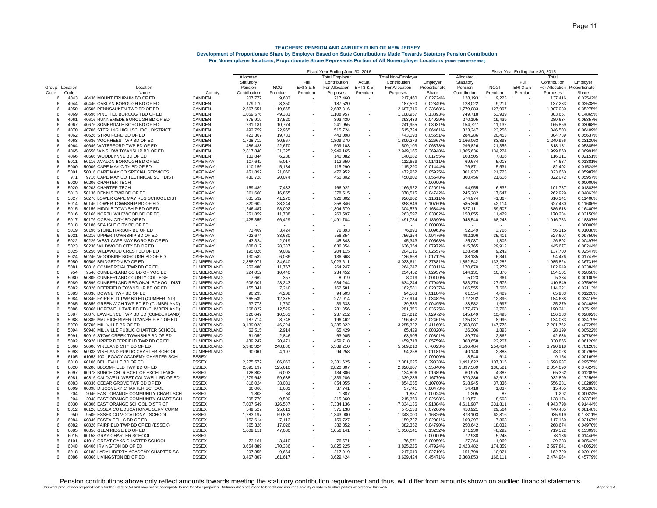|                |              |                                                                            |                                        | Fiscal Year Ending June 30, 2016 |                  |                          |                                |                     |                                | Fiscal Year Ending June 30, 2015 |                      |                  |                   |                                |                           |
|----------------|--------------|----------------------------------------------------------------------------|----------------------------------------|----------------------------------|------------------|--------------------------|--------------------------------|---------------------|--------------------------------|----------------------------------|----------------------|------------------|-------------------|--------------------------------|---------------------------|
|                |              |                                                                            |                                        | Allocated                        |                  |                          | <b>Total Employer</b>          |                     | <b>Total Non-Employer</b>      |                                  | Allocated            |                  |                   | Total                          |                           |
| Group Location |              | Location                                                                   |                                        | Statutory<br>Pension             | <b>NCGI</b>      | Full<br>ERI3&5           | Contribution<br>For Allocation | Actual<br>ERI 3 & 5 | Contribution<br>For Allocation | Employer<br>Proportionate        | Statutory<br>Pension | <b>NCGI</b>      | Full<br>ERI 3 & 5 | Contribution<br>For Allocation | Employer<br>Proportionate |
| Code           | Code         | Name                                                                       | County                                 | Contribution                     | Premium          | Premium                  | Purposes                       | Premium             | Purposes                       | Share                            | Contribution         | Premium          | Premium           | Purposes                       | Share                     |
| 6              | 4043         | 40436 MOUNT EPHRAIM BD OF ED                                               | CAMDEN                                 | 207.777                          | 9.683            |                          | 217,460                        |                     | 217,460                        | 0.02724%                         | 128,193              | 9,223            |                   | 137,416                        | 0.02542%                  |
| 6              | 4044         | 40446 OAKLYN BOROUGH BD OF ED                                              | CAMDEN                                 | 179,170                          | 8.350            |                          | 187,520                        |                     | 187,520                        | 0.02349%                         | 128,022              | 9.211            |                   | 137,233                        | 0.02538%                  |
| 6              | 4050         | 40506 PENNSAUKEN TWP BD OF ED                                              | <b>CAMDEN</b>                          | 2,567,651                        | 119,665          |                          | 2,687,316                      |                     | 2,687,316                      | 0.33668%                         | 1,779,083            | 127,997          |                   | 1,907,080                      | 0.35275%                  |
| ĥ              | 4069         | 40696 PINE HILL BOROUGH BD OF ED                                           | CAMDEN                                 | 1,059,576                        | 49,381           |                          | 1,108,957                      |                     | 1,108,957                      | 0.13893%                         | 749,718              | 53,939           |                   | 803,657                        | 0.14865%                  |
| 6              | 4061         | 40616 RUNNEMEDE BOROUGH BD OF ED                                           | <b>CAMDEN</b>                          | 375,919                          | 17,520           |                          | 393,439                        |                     | 393,439                        | 0.04929%                         | 270.195              | 19,439           |                   | 289,634                        | 0.05357%                  |
| 6              | 4067         | 40676 SOMERDALE BORO BD OF ED                                              | CAMDEN                                 | 231,181                          | 10,774           |                          | 241,955                        |                     | 241,955                        | 0.03031%                         | 154,727              | 11,132           |                   | 165,859                        | 0.03068%                  |
| 6              | 4070         | 40706 STERLING HIGH SCHOOL DISTRICT                                        | CAMDEN                                 | 492,759                          | 22,965           |                          | 515,724                        |                     | 515,724                        | 0.06461%                         | 323,247              | 23,256           |                   | 346,503                        | 0.06409%                  |
| 6              | 4062         | 40626 STRATFORD BD OF ED                                                   | CAMDEN                                 | 423,367                          | 19,731           |                          | 443,098                        |                     | 443,098                        | 0.05551%                         | 284,286              | 20,453           |                   | 304,739                        | 0.05637%                  |
| 6              | 4063         | 40636 VOORHEES TWP BD OF ED                                                | CAMDEN                                 | 1,728,712                        | 80,567           |                          | 1,809,279                      |                     | 1,809,279                      | 0.22667%                         | 1,166,063            | 83,893           |                   | 1,249,956                      | 0.23120%                  |
| 6              | 4064         | 40646 WATERFORD TWP BD OF ED                                               | CAMDEN                                 | 486,433                          | 22,670           |                          | 509,103                        |                     | 509,103                        | 0.06378%                         | 296,826              | 21,355           |                   | 318,181                        | 0.05885%                  |
| 6<br>6         | 4065<br>4066 | 40656 WINSLOW TOWNSHIP BD OF ED<br>40666 WOODLYNNE BD OF ED                | CAMDEN<br>CAMDEN                       | 2,817,840<br>133,844             | 131,325<br>6,238 |                          | 2,949,165<br>140,082           |                     | 2,949,165<br>140,082           | 0.36948%<br>0.01755%             | 1,865,636<br>108,505 | 134,224<br>7,806 |                   | 1,999,860<br>116,311           | 0.36991%<br>0.021519      |
| 6              | 5011         | 50116 AVALON BOROUGH BD OF ED                                              | <b>CAPE MAY</b>                        | 107,642                          | 5,017            |                          | 112,659                        |                     | 112,659                        | 0.01411%                         | 69,674               | 5,013            |                   | 74,687                         | 0.013819                  |
| 6              | 5000         | 50006 CAPE MAY CITY BD OF ED                                               | <b>CAPE MAY</b>                        | 110,156                          | 5,134            |                          | 115,290                        |                     | 115,290                        | 0.01444%                         | 76,871               | 5,531            |                   | 82,402                         | 0.015249                  |
| 6              | 5001         | 50016 CAPE MAY CO SPECIAL SERVICES                                         | <b>CAPE MAY</b>                        | 451,892                          | 21,060           |                          | 472,952                        |                     | 472,952                        | 0.05925%                         | 301,937              | 21,723           |                   | 323,660                        | 0.05987%                  |
| 6              | 971          | 9716 CAPE MAY CO TECHNICAL SCH DIST                                        | <b>CAPE MAY</b>                        | 430,728                          | 20,074           |                          | 450,802                        |                     | 450,802                        | 0.05648%                         | 300,456              | 21,616           |                   | 322,072                        | 0.059579                  |
| 6              | 5020         | 50206 CHARTER TECH                                                         | <b>CAPE MAY</b>                        |                                  |                  |                          |                                |                     |                                | 0.00000%                         |                      |                  |                   |                                | 0.000009                  |
| 8              | 5020         | 50208 CHARTER TECH                                                         | <b>CAPE MAY</b>                        | 159,489                          | 7,433            |                          | 166,922                        |                     | 166,922                        | 0.02091%                         | 94,955               | 6,832            |                   | 101,787                        | 0.018839                  |
| 6              | 5013         | 50136 DENNIS TWP BD OF ED                                                  | <b>CAPE MAY</b>                        | 361,660                          | 16,855           |                          | 378,515                        |                     | 378,515                        | 0.04742%                         | 245,282              | 17,647           |                   | 262,929                        | 0.048639                  |
| 6              | 5027         | 50276 LOWER CAPE MAY REG SCHOOL DIST                                       | <b>CAPE MAY</b>                        | 885,532                          | 41,270           |                          | 926,802                        |                     | 926,802                        | 0.11611%                         | 574,974              | 41,367           |                   | 616,341                        | 0.114009                  |
| 6              | 5014         | 50146 LOWER TOWNSHIP BD OF ED                                              | <b>CAPE MAY</b>                        | 820,602                          | 38,244           |                          | 858,846                        |                     | 858,846                        | 0.10760%                         | 585,366              | 42,114           |                   | 627,480                        | 0.116069                  |
| 6              | 5015         | 50156 MIDDLE TOWNSHIP BD OF ED                                             | <b>CAPE MAY</b>                        | 1,246,487                        | 58,092           |                          | 1,304,579                      |                     | 1,304,579                      | 0.16344%                         | 827,111              | 59,507           |                   | 886,618                        | 0.164009                  |
| 6<br>6         | 5016<br>5017 | 50166 NORTH WILDWOOD BD OF ED<br>50176 OCEAN CITY BD OF ED                 | <b>CAPE MAY</b><br><b>CAPE MAY</b>     | 251,859<br>1,425,355             | 11,738           |                          | 263,597                        |                     | 263,597                        | 0.03302%<br>0.18690%             | 158,855<br>948,540   | 11,429           |                   | 170,284                        | 0.03150%<br>0.18807%      |
| 6              | 5018         | 50186 SEA ISLE CITY BD OF ED                                               | <b>CAPE MAY</b>                        |                                  | 66,429           |                          | 1,491,784                      |                     | 1,491,784                      | 0.00000%                         |                      | 68,243           |                   | 1,016,783                      | 0.000009                  |
| 6              | 5019         | 50196 STONE HARBOR BD OF ED                                                | <b>CAPE MAY</b>                        | 73.469                           | 3,424            |                          | 76,893                         |                     | 76,893                         | 0.00963%                         | 52.349               | 3.766            |                   | 56.115                         | 0.01038%                  |
| 6              | 5021         | 50216 UPPER TOWNSHIP BD OF ED                                              | CAPE MAY                               | 722,674                          | 33,680           |                          | 756,354                        |                     | 756,354                        | 0.09476%                         | 492,196              | 35,411           |                   | 527,607                        | 0.09759%                  |
| 6              | 5022         | 50226 WEST CAPE MAY BORO BD OF ED                                          | <b>CAPE MAY</b>                        | 43,324                           | 2,019            |                          | 45,343                         |                     | 45,343                         | 0.00568%                         | 25,087               | 1,805            |                   | 26,892                         | 0.00497%                  |
| 6              | 5023         | 50236 WILDWOOD CITY BD OF ED                                               | <b>CAPE MAY</b>                        | 608,017                          | 28,337           |                          | 636,354                        |                     | 636,354                        | 0.07972%                         | 415,765              | 29,912           |                   | 445.677                        | 0.08244%                  |
| 6              | 5025         | 50256 WILDWOOD CREST BD OF ED                                              | CAPE MAY                               | 195,026                          | 9,089            |                          | 204,115                        |                     | 204,115                        | 0.02557%                         | 128,458              | 9,242            |                   | 137,700                        | 0.02547%                  |
| 6              | 5024         | 50246 WOODBINE BOROUGH BD OF ED                                            | CAPE MAY                               | 130,582                          | 6,086            |                          | 136,668                        |                     | 136,668                        | 0.01712%                         | 88,135               | 6,341            |                   | 94,476                         | 0.01747%                  |
| 6              | 5050         | 50506 BRIDGETON BD OF ED                                                   | CUMBERLAND                             | 2,888,971                        | 134,640          |                          | 3,023,611                      |                     | 3,023,611                      | 0.37881%                         | 1,852,542            | 133,282          |                   | 1,985,824                      | 0.36731%                  |
| 6              | 5081         | 50816 COMMERCIAL TWP BD OF ED                                              | CUMBERLAND                             | 252,480                          | 11,767           |                          | 264,247                        |                     | 264,247                        | 0.03311%                         | 170,670              | 12,279           |                   | 182,949                        | 0.03384%                  |
| 6              | 954          | 9546 CUMBERLAND CO BD OF VOC ED                                            | CUMBERLAND                             | 224,012                          | 10,440           |                          | 234,452                        |                     | 234,452                        | 0.02937%                         | 144,131              | 10,370           |                   | 154,501                        | 0.02858%                  |
| 5              | 5080         | 50805 CUMBERLAND COUNTY COLLEGE                                            | CUMBERLAND                             | 7,662                            | 357              |                          | 8,019                          |                     | 8,019                          | 0.00100%                         | 5,023                | 361              |                   | 5,384                          | 0.00100%                  |
| 6<br>6         | 5089<br>5082 | 50896 CUMBERLAND REGIONAL SCHOOL DIST<br>50826 DEERFIELD TOWNSHIP BD OF ED | CUMBERLAND<br>CUMBERLAND               | 606,001<br>155,341               | 28,243<br>7,240  | $\overline{\phantom{a}}$ | 634,244<br>162,581             |                     | 634,244<br>162,581             | 0.07946%<br>0.02037%             | 383,274<br>106,555   | 27,575<br>7,666  |                   | 410,849<br>114,221             | 0.07599%<br>0.02113%      |
| 6              | 5083         | 50836 DOWNE TWP BD OF ED                                                   | CUMBERLAND                             | 90,295                           | 4,208            | $\sim$                   | 94,503                         |                     | 94,503                         | 0.01184%                         | 61,554               | 4,429            |                   | 65,983                         | 0.01220%                  |
| 6              | 5084         | 50846 FAIRFIELD TWP BD ED (CUMBERLND)                                      | CUMBERLAND                             | 265,539                          | 12,375           |                          | 277,914                        |                     | 277,914                        | 0.03482%                         | 172,292              | 12,396           |                   | 184,688                        | 0.03416%                  |
| 6              | 5085         | 50856 GREENWICH TWP BD ED (CUMBRLAND)                                      | CUMBERLAND                             | 37,773                           | 1,760            |                          | 39,533                         |                     | 39,533                         | 0.00495%                         | 23,582               | 1,697            |                   | 25,279                         | 0.00468%                  |
| 6              | 5086         | 50866 HOPEWELL TWP BD ED (CUMBERLAND)                                      | CUMBERLAND                             | 268,827                          | 12,529           |                          | 281,356                        |                     | 281,356                        | 0.03525%                         | 177,473              | 12,768           |                   | 190,241                        | 0.03519%                  |
| 6              | 5087         | 50876 LAWRENCE TWP BD ED (CUMBERLAND                                       | CUMBERLAND                             | 226,649                          | 10,563           |                          | 237,212                        |                     | 237,212                        | 0.02972%                         | 145,840              | 10,493           |                   | 156,333                        | 0.02892%                  |
| 6              | 5088         | 50886 MAURICE RIVER TOWNSHIP BD OF ED                                      | CUMBERLAND                             | 187,714                          | 8,748            |                          | 196,462                        |                     | 196,462                        | 0.02461%                         | 125,037              | 8,996            |                   | 134,033                        | 0.02479%                  |
| 6              | 5070         | 50706 MILLVILLE BD OF ED                                                   | <b>CUMBERLAND</b>                      | 3,139,028                        | 146,294          |                          | 3,285,322                      |                     | 3,285,322                      | 0.41160%                         | 2,053,987            | 147,775          |                   | 2,201,762                      | 0.40725%                  |
| 8              | 5094         | 50948 MILLVILLE PUBLIC CHARTER SCHOOL                                      | CUMBERLAND                             | 62,515                           | 2,914            | $\overline{\phantom{a}}$ | 65,429                         |                     | 65,429                         | 0.00820%                         | 26,306               | 1,893            |                   | 28,199                         | 0.00522%                  |
| 6              | 5091         | 50916 STOW CREEK TOWNSHIP BD OF ED                                         | CUMBERLAND                             | 61,059                           | 2,846            |                          | 63,905                         |                     | 63,905                         | 0.00801%                         | 39,774               | 2,862            |                   | 42,636                         | 0.00789%                  |
| 6              | 5092         | 50926 UPPER DEERFIELD TWP BD OF ED                                         | CUMBERLAND                             | 439,247                          | 20,471           |                          | 459,718                        |                     | 459,718                        | 0.05759%                         | 308,658              | 22,207           |                   | 330,865                        | 0.06120%                  |
| 6<br>8         | 5060<br>5093 | 50606 VINELAND CITY BD OF ED<br>50938 VINELAND PUBLIC CHARTER SCHOOL       | <b>CUMBERLAND</b><br><b>CUMBERLAND</b> | 5.340.324<br>90,061              | 248.886<br>4,197 | $\overline{\phantom{a}}$ | 5.589.210<br>94.258            |                     | 5.589.210<br>94.258            | 0.70023%<br>0.01181%             | 3.536.484<br>40.140  | 254.434<br>2.888 |                   | 3.790.918<br>43.028            | 0.70120%<br>0.00796%      |
| 8              | 6105         | 61058 100 LEGACY ACADEMY CHARTER SCHL                                      | <b>ESSEX</b>                           |                                  |                  |                          |                                |                     |                                | 0.00000%                         | 8.540                | 614              |                   | 9,154                          | 0.00169%                  |
| 6              | 6010         | 60106 BELLEVILLE BD OF ED                                                  | <b>ESSEX</b>                           | 2,275,572                        | 106,053          |                          | 2,381,625                      |                     | 2,381,625                      | 0.29838%                         | 1,491,622            | 107,315          |                   | 1,598,937                      | 0.29575%                  |
| 6              | 6020         | 60206 BLOOMFIELD TWP BD OF ED                                              | <b>ESSEX</b>                           | 2,695,197                        | 125,610          |                          | 2,820,807                      |                     | 2,820,807                      | 0.35340%                         | 1,897,569            | 136,521          |                   | 2,034,090                      | 0.37624%                  |
| 8              | 6097         | 60978 BURCH CHTR SCHL OF EXCELLENCE                                        | <b>ESSEX</b>                           | 128,803                          | 6,003            |                          | 134,806                        |                     | 134,806                        | 0.01689%                         | 60,975               | 4,387            |                   | 65,362                         | 0.01209%                  |
| ĥ              | 6081         | 60816 CALDWELL WEST CALDWELL BD OF ED                                      | <b>ESSEX</b>                           | 1,279,648                        | 59,638           | ٠                        | 1,339,286                      |                     | 1,339,286                      | 0.16779%                         | 870,286              | 62,613           |                   | 932,899                        | 0.17256%                  |
| 6              | 6083         | 60836 CEDAR GROVE TWP BD OF ED                                             | <b>ESSEX</b>                           | 816,024                          | 38,031           | ٠                        | 854,055                        |                     | 854,055                        | 0.10700%                         | 518,945              | 37,336           |                   | 556,281                        | 0.10289%                  |
| 8              | 6009         | 60098 DISCOVERY CHARTER SCHOOL                                             | <b>ESSEX</b>                           | 36,060                           | 1,681            |                          | 37,741                         |                     | 37,741                         | 0.00473%                         | 14,418               | 1,037            |                   | 15,455                         | 0.00286%                  |
| 6              | 204          | 2046 EAST ORANGE COMMUNITY CHART SCH                                       | <b>ESSEX</b>                           | 1,803                            | 84               | ٠                        | 1,887                          |                     | 1,887                          | 0.00024%                         | 1.205                | 87               |                   | 1,292                          | 0.00024%                  |
| 8              | 204          | 2048 EAST ORANGE COMMUNITY CHART SCH                                       | <b>ESSEX</b>                           | 205,770                          | 9,590            | ٠                        | 215,360                        |                     | 215,360                        | 0.02698%                         | 119,571              | 8,603            |                   | 128,174                        | 0.02371%                  |
| 6              | 6030         | 60306 EAST ORANGE SCHOOL DISTRICT                                          | ESSEX                                  | 7,007,549                        | 326,587          | ٠                        | 7,334,136                      |                     | 7,334,136                      | 0.91884%                         | 4,611,987            | 331,811          |                   | 4,943,798                      | 0.91444%                  |
| 6              | 6012         | 60126 ESSEX CO EDUCATIONAL SERV COMM                                       | <b>ESSEX</b>                           | 549,527                          | 25,611           | ٠                        | 575,138                        |                     | 575,138                        | 0.07206%                         | 410,921              | 29,564           |                   | 440,485                        | 0.08148%                  |
| 6              | 950          | 9506 ESSEX CO VOCATIONAL SCHOOL                                            | <b>ESSEX</b>                           | 1,283,197                        | 59,803           |                          | 1,343,000                      |                     | 1,343,000                      | 0.16826%                         | 873,103              | 62,816           |                   | 935,919                        | 0.17311%                  |
| 6<br>6         | 6084<br>6082 | 60846 ESSEX FELLS BD OF ED<br>60826 FAIRFIELD TWP BD OF ED (ESSEX)         | <b>ESSEX</b><br><b>ESSEX</b>           | 152,614<br>365,326               | 7.113<br>17,026  | $\overline{\phantom{a}}$ | 159,727<br>382.352             |                     | 159,727<br>382,352             | 0.02001%<br>0.04790%             | 109,297<br>250.642   | 7,863<br>18.032  |                   | 117,160<br>268,674             | 0.02167%<br>0.04970%      |
| 6              | 6085         | 60856 GLEN RIDGE BD OF ED                                                  | ESSEX                                  | 1,009,111                        | 47,030           | ٠                        | 1,056,141                      |                     | 1,056,141                      | 0.13232%                         | 671,230              | 48,292           |                   | 719,522                        | 0.13309%                  |
| 8              | 6015         | 60158 GRAY CHARTER SCHOOL                                                  | <b>ESSEX</b>                           |                                  |                  |                          |                                |                     |                                | 0.00000%                         | 72,938               | 5,248            |                   | 78,186                         | 0.01446%                  |
| 8              | 6101         | 61018 GREAT OAKS CHARTER SCHOOL                                            | <b>ESSEX</b>                           | 73,161                           | 3,410            |                          | 76,571                         |                     | 76,571                         | 0.00959%                         | 27,364               | 1,969            |                   | 29,333                         | 0.00543%                  |
| 6              | 6040         | 60406 IRVINGTON BD OF ED                                                   | <b>ESSEX</b>                           | 3.654.889                        | 170,336          |                          | 3,825,225                      |                     | 3,825,225                      | 0.47924%                         | 2,423,482            | 174,359          |                   | 2,597,841                      | 0.48052%                  |
| 8              | 6018         | 60188 LADY LIBERTY ACADEMY CHARTER SC                                      | <b>ESSEX</b>                           | 207.355                          | 9.664            |                          | 217,019                        |                     | 217,019                        | 0.02719%                         | 151.799              | 10,921           |                   | 162,720                        | 0.03010%                  |
| 6              | 6086         | 60866 LIVINGSTON BD OF ED                                                  | <b>ESSEX</b>                           | 3,467,807                        | 161,617          |                          | 3,629,424                      |                     | 3,629,424                      | 0.45471%                         | 2,308,853            | 166,111          |                   | 2,474,964                      | 0.45779%                  |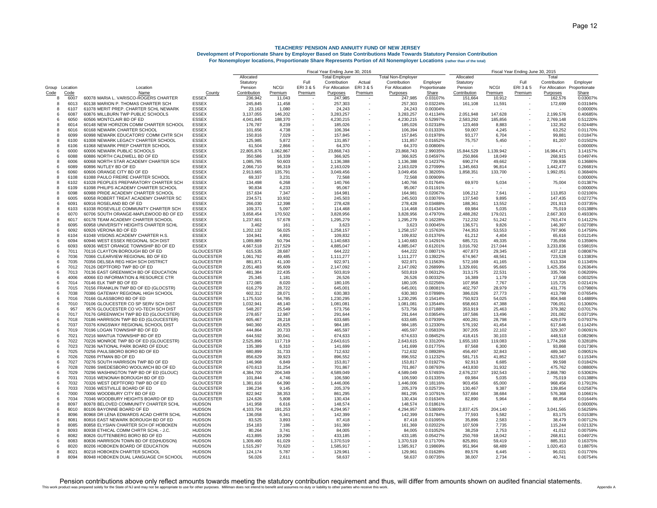|                |              |                                                                            |                                        | Fiscal Year Ending June 30, 2016 |                   |                          |                        |                          |                           | Fiscal Year Ending June 30, 2015 |                     |                  |           |                              |                      |
|----------------|--------------|----------------------------------------------------------------------------|----------------------------------------|----------------------------------|-------------------|--------------------------|------------------------|--------------------------|---------------------------|----------------------------------|---------------------|------------------|-----------|------------------------------|----------------------|
|                |              |                                                                            |                                        | Allocated                        |                   |                          | <b>Total Employer</b>  |                          | <b>Total Non-Employer</b> |                                  | Allocated           |                  |           | Total                        |                      |
|                |              |                                                                            |                                        | Statutory                        |                   | Full                     | Contribution           | Actual                   | Contribution              | Employer                         | Statutory           |                  | Full      | Contribution                 | Employer             |
| Group Location |              | Location                                                                   |                                        | Pension                          | <b>NCGI</b>       | ERI3&5                   | For Allocation         | ERI3&5                   | For Allocation            | Proportionate                    | Pension             | <b>NCGI</b>      | ERI 3 & 5 | For Allocation Proportionate |                      |
| Code           | Code         | Name                                                                       | County                                 | Contribution                     | Premium           | Premium                  | Purposes               | Premium                  | Purposes                  | Share                            | Contribution        | Premium          | Premium   | <b>Purposes</b>              | Share                |
| 8              | 6007         | 60078 MARIA L. VARISCO-ROGERS CHARTER                                      | <b>ESSEX</b>                           | 236,942                          | 11,043            |                          | 247,985                | $\overline{\phantom{a}}$ | 247,985                   | 0.03107%                         | 151,664             | 10,912           |           | 162,576                      | 0.03007%             |
| $\mathbf{R}$   | 6013         | 60138 MARION P. THOMAS CHARTER SCH                                         | <b>ESSEX</b>                           | 245,845                          | 11,458            |                          | 257,303                |                          | 257,303                   | 0.03224%                         | 161,108             | 11,591           |           | 172,699                      | 0.03194%             |
| 8              | 6107         | 61078 MERIT PREP. CHARTER SCHL NEWARK                                      | <b>ESSEX</b>                           | 23,163                           | 1,080             |                          | 24,243                 |                          | 24,243                    | 0.00304%                         |                     |                  |           | $\sim$                       | 0.000009             |
| 6              | 6087         | 60876 MILLBURN TWP PUBLIC SCHOOLS                                          | ESSEX                                  | 3,137,055                        | 146,202           |                          | 3,283,257              |                          | 3,283,257                 | 0.41134%                         | 2,051,948           | 147,628          |           | 2,199,576                    | 0.40685%             |
| 6              | 6050         | 60506 MONTCLAIR BD OF ED                                                   | ESSEX                                  | 4,041,845                        | 188,370           |                          | 4,230,215              |                          | 4,230,215                 | 0.52997%                         | 2,583,292           | 185,856          |           | 2,769,148                    | 0.512209             |
| 8              | 6014         | 60148 NEW HORIZON COMM CHARTER SCHOOL                                      | <b>ESSEX</b>                           | 176,787                          | 8,239             |                          | 185,026                |                          | 185,026                   | 0.02318%                         | 123,469             | 8,883            |           | 132,352                      | 0.024489             |
| 8              | 6016         | 60168 NEWARK CHARTER SCHOOL                                                | <b>ESSEX</b>                           | 101,656                          | 4,738             |                          | 106,394                |                          | 106,394                   | 0.01333%                         | 59,007              | 4,245            |           | 63,252                       | 0.011709             |
| 8              | 6099         | 60998 NEWARK EDUCATORS' COMM CHTR SCH                                      | <b>ESSEX</b>                           | 150,816                          | 7,029             |                          | 157,845                |                          | 157,845                   | 0.01978%                         | 93,177              | 6,704            |           | 99,881                       | 0.01847%             |
| 8              | 6100         | 61008 NEWARK LEGACY CHARTER SCHOOL                                         | <b>ESSEX</b>                           | 125,985                          | 5,872             |                          | 131,857                |                          | 131,857                   | 0.01652%                         | 75,757              | 5,450            |           | 81,207                       | 0.015029             |
| 8              | 6106         | 61068 NEWARK PREP CHARTER SCHOOL                                           | <b>ESSEX</b>                           | 61,504                           | 2,866             |                          | 64,370                 |                          | 64,370                    | 0.00806%                         |                     |                  |           |                              | 0.000009             |
| 6              | 6000<br>6088 | 60006 NEWARK PUBLIC SCHOOLS                                                | <b>ESSEX</b>                           | 22,805,876                       | 1,062,867         |                          | 23,868,743             |                          | 23,868,743                | 2.99035%                         | 15,844,529          | 1,139,942        |           | 16,984,471                   | 3.141579             |
| 6<br>8         | 6006         | 60886 NORTH CALDWELL BD OF ED<br>60068 NORTH STAR ACADEMY CHARTER SCH      | <b>ESSEX</b><br><b>ESSEX</b>           | 350,586<br>1,085,785             | 16,339            |                          | 366,925                |                          | 366,925<br>1,136,388      | 0.04597%<br>0.14237%             | 250,866<br>690,274  | 18,049           |           | 268,915<br>739,936           | 0.04974%<br>0.136869 |
| 6              | 6089         | 60896 NUTLEY BD OF ED                                                      | <b>ESSEX</b>                           |                                  | 50,603            |                          | 1,136,388              |                          |                           | 0.27099%                         |                     | 49,662           |           | 1,442,477                    |                      |
| 6              | 6060         | 60606 ORANGE CITY BD OF ED                                                 | <b>ESSEX</b>                           | 2,066,710<br>2,913,665           | 96,319<br>135,791 |                          | 2,163,029<br>3,049,456 |                          | 2,163,029<br>3,049,456    | 0.38205%                         | 1,345,663           | 96,814           |           | 1,992,051                    | 0.266819<br>0.36846% |
| 8              | 6108         | 61088 PAULO FREIRE CHARTER SCHOOL                                          | <b>ESSEX</b>                           | 69.337                           | 3.231             |                          | 72,568                 |                          | 72,568                    | 0.00909%                         | 1,858,351           | 133,700          |           |                              | 0.000009             |
| 8              | 6102         | 61028 PEOPLES PREPARATORY CHARTER SCH                                      | <b>ESSEX</b>                           | 134.498                          | 6,268             |                          | 140,766                |                          | 140,766                   | 0.01764%                         | 69,970              | 5,034            |           | 75,004                       | 0.01387%             |
| 8              | 6109         | 61098 PHILIPS ACADEMY CHARTER SCHOOL                                       | <b>ESSEX</b>                           | 90,834                           | 4,233             |                          |                        |                          | 95,067                    | 0.01191%                         |                     |                  |           |                              | 0.000009             |
| 8              | 6098         | 60988 PRIDE ACADEMY CHARTER SCHOOL                                         | <b>ESSEX</b>                           | 157,634                          |                   |                          | 95,067                 |                          |                           | 0.02067%                         | 106,212             | 7,641            |           | 113,853                      | 0.02106%             |
| 8              | 6005         | 60058 ROBERT TREAT ACADEMY CHARTER SC                                      | <b>ESSEX</b>                           | 234,571                          | 7,347<br>10,932   |                          | 164,981                |                          | 164,981<br>245,503        | 0.03076%                         | 137,540             |                  |           | 147,435                      | 0.02727%             |
|                | 6091         | 60916 ROSELAND BD OF ED                                                    | <b>ESSEX</b>                           |                                  |                   |                          | 245,503                |                          |                           |                                  |                     | 9,895            |           | 201,913                      | 0.03735%             |
| 6              |              |                                                                            |                                        | 266,030                          | 12,398            |                          | 278,428                |                          | 278,428                   | 0.03488%                         | 188,361             | 13,552           |           |                              |                      |
| 8              | 6103<br>6070 | 61038 ROSEVILLE COMMUNITY CHARTER SCH                                      | ESSEX                                  | 109,371                          | 5,097             |                          | 114,468                |                          | 114,468                   | 0.01434%                         | 69,984              | 5,035            |           | 75,019                       | 0.01388%             |
| 6              |              | 60706 SOUTH ORANGE-MAPLEWOOD BD OF ED                                      | ESSEX                                  | 3,658,454                        | 170,502           |                          | 3,828,956              |                          | 3,828,956                 | 0.47970%                         | 2,488,282           | 179,021          |           | 2,667,303                    | 0.49336%             |
| 8              | 6017         | 60178 TEAM ACADEMY CHARTER SCHOOL                                          | <b>ESSEX</b>                           | 1,237,601                        | 57,678            |                          | 1,295,279              |                          | 1,295,279                 | 0.16228%                         | 712,232             | 51,242           |           | 763,474                      | 0.14122%             |
| 8              | 6095         | 60958 UNIVERSITY HEIGHTS CHARTER SCHL                                      | <b>ESSEX</b>                           | 3,462                            | 161               |                          | 3,623                  |                          | 3,623                     | 0.00045%                         | 136,571             | 9,826            |           | 146,397                      | 0.02708%             |
| 6              | 6092         | 60926 VERONA BD OF ED                                                      | <b>ESSEX</b>                           | 1,202,132                        | 56,025            |                          | 1,258,157              |                          | 1,258,157                 | 0.15763%                         | 744,353             | 53,553           |           | 797,906                      | 0.14759%             |
| 8              | 6104         | 61048 VISIONS ACADEMY CHARTER H.S.                                         | <b>ESSEX</b>                           | 104,941                          | 4,891             |                          | 109,832                |                          | 109,832                   | 0.01376%                         | 61.212              | 4,404            |           | 65,616                       | 0.01214%             |
| 6              | 6094         | 60946 WEST ESSEX REGIONAL SCH DIST                                         | <b>ESSEX</b>                           | 1,089,889                        | 50,794            |                          | 1,140,683              |                          | 1,140,683                 | 0.14291%                         | 685,721             | 49,335           |           | 735,056                      | 0.13596%             |
| 6              | 6093         | 60936 WEST ORANGE TOWNSHIP BD OF ED                                        | <b>ESSEX</b><br><b>GLOUCESTER</b>      | 4,667,518                        | 217,529           |                          | 4,885,047              |                          | 4,885,047                 | 0.61201%                         | 3,016,792           | 217,044          |           | 3,233,836                    | 0.59815%             |
| 6              | 7011         | 70116 CLAYTON BOROUGH BD OF ED                                             |                                        | 615.535                          | 28.687            |                          | 644.222                |                          | 644.222                   | 0.08071%                         | 407.873             | 29.345           |           | 437.218                      | 0.08087%             |
| 6              | 7036         | 70366 CLEARVIEW REGIONAL BD OF ED                                          | <b>GLOUCESTER</b>                      | 1.061.792                        | 49.485            |                          | 1,111,277              |                          | 1,111,277                 | 0.13922%                         | 674.967             | 48,561           |           | 723.528                      | 0.13383%             |
| 6              | 7035         | 70356 DELSEA REG HIGH SCH DISTRICT                                         | <b>GLOUCESTER</b>                      | 881.871                          | 41,100            |                          | 922.971                |                          | 922,971                   | 0.11563%                         | 572,169             | 41,165           |           | 613,334                      | 0.11345%             |
| 6              | 7012         | 70126 DEPTFORD TWP BD OF ED                                                | <b>GLOUCESTER</b>                      | 2,051,483                        | 95,609            |                          | 2,147,092              |                          | 2,147,092                 | 0.26899%                         | 1,329,691           | 95,665           |           | 1,425,356                    | 0.26364%             |
| ĥ              | 7013         | 70136 EAST GREENWICH BD OF EDUCATION                                       | <b>GLOUCESTER</b>                      | 481,384                          | 22,435            |                          | 503,819                |                          | 503,819                   | 0.06312%                         | 313,175             | 22,531           |           | 335,706                      | 0.06209%             |
| 6              | 4006         | 40066 ED INFORMATION & RESOURCE CTR                                        | <b>GLOUCESTER</b>                      | 25,345                           | 1,181             | $\overline{\phantom{a}}$ | 26,526                 |                          | 26,526                    | 0.00332%                         | 16,389              | 1,179            |           | 17,568                       | 0.00325%             |
| 6              | 7014         | 70146 ELK TWP BD OF ED                                                     | <b>GLOUCESTER</b>                      | 172,085                          | 8,020             | $\sim$                   | 180,105                |                          | 180,105                   | 0.02256%                         | 107,958             | 7,767            |           | 115,725                      | 0.02141%             |
| 6              | 7015         | 70156 FRANKLIN TWP BD OF ED (GLOCSTR)                                      | <b>GLOUCESTER</b>                      | 616,279                          | 28,722            | $\sim$                   | 645,001                |                          | 645,001                   | 0.08081%                         | 402,797             | 28,979           |           | 431,776                      | 0.079869             |
| 6              | 7038         | 70386 GATEWAY REGIONAL HIGH SCHOOL                                         | <b>GLOUCESTER</b>                      | 602,312                          | 28,071            |                          | 630,383                |                          | 630,383                   | 0.07898%                         | 386,026             | 27,773           |           | 413,799                      | 0.07654%             |
| 6              | 7016         | 70166 GLASSBORO BD OF ED                                                   | <b>GLOUCESTER</b>                      | 1,175,510                        | 54,785            | ٠                        | 1,230,295              |                          | 1,230,295                 | 0.15414%                         | 750,923             | 54,025           |           | 804,948                      | 0.148899             |
| 6              | 7010         | 70106 GLOUCESTER CO SP SERV SCH DIST                                       | <b>GLOUCESTER</b>                      | 1,032,941                        | 48,140            | $\sim$                   | 1,081,081              |                          | 1,081,081                 | 0.13544%                         | 658,663             | 47,388           |           | 706,051                      | 0.13060%             |
| 6              | 957          | 9576 GLOUCESTER CO VO-TECH SCH DIST                                        | <b>GLOUCESTER</b>                      | 548,207                          | 25,549            |                          | 573,756                |                          | 573,756                   | 0.07188%                         | 353,919             | 25,463           |           | 379,382                      | 0.07017%             |
| 6              | 7017         | 70176 GREENWICH TWP BD ED (GLOUCSTER)                                      | <b>GLOUCESTER</b>                      | 278,657                          | 12,987            |                          | 291,644                |                          | 291,644                   | 0.03654%                         | 187,586             | 13,496           |           | 201,082                      | 0.037199             |
| 6<br>6         | 7018<br>7037 | 70186 HARRISON TWP BD ED (GLOUCESTER)                                      | <b>GLOUCESTER</b>                      | 605,467                          | 28,218            |                          | 633,685                |                          | 633,685                   | 0.07939%                         | 400,281             | 28,798           |           | 429,079                      | 0.07937%             |
| 6              | 7019         | 70376 KINGSWAY REGIONAL SCHOOL DIST                                        | <b>GLOUCESTER</b>                      | 940,360                          | 43,825            |                          | 984,185                |                          | 984,185                   | 0.12330%                         | 576,192             | 41,454           |           | 617,646                      | 0.11424%             |
| 6              | 7021         | 70196 LOGAN TOWNSHIP BD OF ED<br>70216 MANTUA TOWNSHIP BD OF ED            | <b>GLOUCESTER</b><br><b>GLOUCESTER</b> | 444,864                          | 20,733            |                          | 465,597                |                          | 465,597                   | 0.05833%<br>0.08452%             | 307,205             | 22,102           |           | 329,307<br>448,518           | 0.06091%<br>0.08296% |
|                |              |                                                                            |                                        | 644,592                          | 30,041            |                          | 674,633                |                          | 674,633                   |                                  | 418,415             | 30,103           |           |                              | 0.32818%             |
| 6<br>6         | 7022<br>7023 | 70226 MONROE TWP BD OF ED (GLOUCESTR)<br>70236 NATIONAL PARK BOARD OF EDUC | <b>GLOUCESTER</b><br><b>GLOUCESTER</b> | 2,525,896<br>135.389             | 117,719<br>6.310  |                          | 2,643,615<br>141.699   |                          | 2,643,615<br>141.699      | 0.33120%<br>0.01775%             | 1,655,183<br>87.568 | 119,083<br>6.300 |           | 1,774,266<br>93.868          | 0.01736%             |
| 6              | 7025         | 70256 PAULSBORO BORO BD OF ED                                              | <b>GLOUCESTER</b>                      | 680.899                          | 31,733            |                          |                        |                          | 712,632                   | 0.08928%                         | 456,497             | 32,843           |           | 489,340                      | 0.09051%             |
| 6              | 7026         | 70266 PITMAN BD OF ED                                                      | <b>GLOUCESTER</b>                      | 856,629                          | 39,923            |                          | 712,632                |                          | 896,552                   | 0.11232%                         | 581,715             | 41,852           |           | 623,567                      | 0.11534%             |
| 6              | 7027         | 70276 SOUTH HARRISON TWP BD OF ED                                          |                                        | 146,968                          |                   |                          | 896,552                |                          |                           | 0.01927%                         | 92,913              |                  |           |                              | 0.01842%             |
| 6              | 7028         | 70286 SWEDESBORO WOOLWICH BD OF ED                                         | <b>GLOUCESTER</b><br><b>GLOUCESTER</b> | 670,613                          | 6,849<br>31,254   |                          | 153,817<br>701,867     |                          | 153,817<br>701,867        | 0.08793%                         | 443,830             | 6,685<br>31,932  |           | 99,598<br>475,762            | 0.08800%             |
|                |              | 70296 WASHINGTON TWP BD OF ED (GLOUC)                                      |                                        |                                  |                   |                          |                        |                          |                           |                                  |                     |                  |           | 2,868,780                    |                      |
| 6              | 7029         |                                                                            | <b>GLOUCESTER</b>                      | 4,384,700                        | 204.349           |                          | 4,589,049              |                          | 4,589,049                 | 0.57493%                         | 2,676,237           | 192,543          |           |                              | 0.53063%             |
| 6              | 7031<br>7032 | 70316 WENONAH BOROUGH BD OF ED                                             | <b>GLOUCESTER</b>                      | 101.844                          | 4,746             |                          | 106,590                |                          | 106,590                   | 0.01335%                         | 69,984              | 5,035            |           | 75,019                       | 0.01388%             |
| 6              | 7033         | 70326 WEST DEPTFORD TWP BD OF ED                                           | <b>GLOUCESTER</b>                      | 1,381,616                        | 64,390            |                          | 1,446,006              |                          | 1,446,006                 | 0.18116%                         | 903,456             | 65,000           |           | 968,456                      | 0.17913%             |
| 6<br>6         | 7000         | 70336 WESTVILLE BOARD OF ED<br>70006 WOODBURY CITY BD OF ED                | <b>GLOUCESTER</b><br><b>GLOUCESTER</b> | 196,234<br>822,942               | 9,145<br>38,353   |                          | 205,379<br>861,295     |                          | 205,379<br>861,295        | 0.02573%<br>0.10791%             | 130,467<br>537,684  | 9,387<br>38,684  |           | 139,854<br>576,368           | 0.02587%<br>0.10661% |
| 6              | 7034         | 70346 WOODBURY HEIGHTS BOARD OF ED                                         | <b>GLOUCESTER</b>                      | 124,626                          | 5,808             |                          |                        |                          |                           | 0.01634%                         |                     |                  |           |                              | 0.01644%             |
| 8              | 8097         | 80978 BELOVED COMMUNITY CHARTER SCHL                                       | <b>HUDSON</b>                          |                                  |                   |                          | 130,434<br>148,574     |                          | 130,434<br>148,574        | 0.01861%                         | 82,890              | 5,964            |           | 88,854                       | 0.00000%             |
|                |              |                                                                            |                                        | 141,958                          | 6,616             |                          |                        |                          |                           |                                  |                     |                  |           |                              |                      |
| 6<br>8         | 8010<br>8096 | 80106 BAYONNE BOARD OF ED                                                  | <b>HUDSON</b>                          | 4,103,704                        | 191,253           |                          | 4,294,957              |                          | 4,294,957                 | 0.53809%                         | 2,837,425           | 204,140          |           | 3,041,565                    | 0.56259%             |
|                |              | 80968 DR LENA EDWARDS ACAD CHRTR SCHL                                      | <b>HUDSON</b>                          | 136,058                          | 6,341             |                          | 142,399                |                          | 142,399                   | 0.01784%                         | 77,593              | 5,582            |           | 83,175                       | 0.01538%             |
| 6<br>8         | 8081<br>8085 | 80816 EAST NEWARK BOROUGH BD OF ED<br>80858 ELYSIAN CHARTER SCH OF HOBOKEN | <b>HUDSON</b><br><b>HUDSON</b>         | 83.525<br>154.183                | 3.893<br>7.186    |                          | 87.418<br>161.369      |                          | 87.418<br>161.369         | 0.01095%<br>0.02022%             | 35.896<br>107.509   | 2.583<br>7.735   |           | 38.479<br>115.244            | 0.00712%<br>0.02132% |
| 8              | 8093         | 80938 ETHICAL COMM CHRTR SCHL - J.C.                                       | <b>HUDSON</b>                          | 80,264                           | 3,741             |                          | 84,005                 |                          | 84,005                    | 0.01052%                         | 38,259              | 2,753            |           | 41,012                       | 0.00759%             |
| $\epsilon$     | 8082         | 80826 GUTTENBERG BORO BD OF ED                                             | <b>HUDSON</b>                          | 413,895                          | 19,290            |                          | 433,185                |                          | 433,185                   | 0.05427%                         | 250,769             | 18,042           |           | 268,811                      | 0.04972%             |
| 6              | 8083         | 80836 HARRISON TOWN BD OF ED(HUDSON)                                       | <b>HUDSON</b>                          | 1.309.490                        | 61.029            |                          | 1,370,519              |                          | 1,370,519                 | 0.17170%                         | 825.891             | 59.419           |           | 885.310                      | 0.16375%             |
| 6              | 8020         | 80206 HOBOKEN BOARD OF EDUCATION                                           | <b>HUDSON</b>                          | 1,515,297                        | 70.620            |                          | 1,585,917              |                          | 1,585,917                 | 0.19869%                         | 951.964             | 68.489           |           | 1,020,453                    | 0.18875%             |
| 8              | 8021         | 80218 HOBOKEN CHARTER SCHOOL                                               | <b>HUDSON</b>                          | 124,174                          | 5,787             |                          | 129,961                |                          | 129,961                   | 0.01628%                         | 89,576              | 6.445            |           | 96,021                       | 0.01776%             |
| 8              | 8094         | 80948 HOBOKEN DUAL LANGUAGE CH SCHOOL                                      | <b>HUDSON</b>                          | 56.026                           | 2.611             |                          | 58.637                 |                          | 58.637                    | 0.00735%                         | 38.007              | 2,734            |           | 40 741                       | 0.00754%             |
|                |              |                                                                            |                                        |                                  |                   |                          |                        |                          |                           |                                  |                     |                  |           |                              |                      |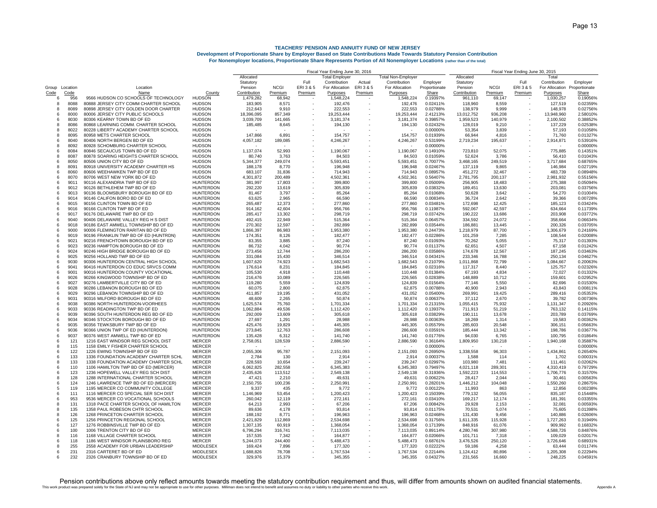|                |             |                                                                     |                                   | Fiscal Year Ending June 30, 2016 |             |                          |                       |         | Fiscal Year Ending June 30, 2015 |                      |              |             |           |                              |                      |
|----------------|-------------|---------------------------------------------------------------------|-----------------------------------|----------------------------------|-------------|--------------------------|-----------------------|---------|----------------------------------|----------------------|--------------|-------------|-----------|------------------------------|----------------------|
|                |             |                                                                     |                                   | Allocated                        |             |                          | <b>Total Employer</b> |         | <b>Total Non-Employer</b>        |                      | Allocated    |             |           | Total                        |                      |
|                |             |                                                                     |                                   | Statutory                        |             | Full                     | Contribution          | Actual  | Contribution                     | Employer             | Statutory    |             | Full      | Contribution                 | Employer             |
| Group Location |             | Location                                                            |                                   | Pension                          | <b>NCGI</b> | ERI 3 & 5                | For Allocation        | ERI3&5  | For Allocation                   | Proportionate        | Pension      | <b>NCGI</b> | ERI 3 & 5 | For Allocation Proportionate |                      |
| Code           | Code        | Name                                                                | County                            | Contribution                     | Premium     | Premium                  | Purposes              | Premium | Purposes                         | Share                | Contribution | Premium     | Premium   | Purposes                     | Share                |
| 6              | 956         | 9566 HUDSON CO SCHOOLS OF TECHNOLOGY                                | <b>HUDSON</b>                     | 1,479,282                        | 68,942      |                          | 1,548,224             |         | 1,548,224                        | 0.19397%             | 961,110      | 69,147      |           | 1,030,257                    | 0.19056%             |
| 8              | 8088        | 80888 JERSEY CITY COMM CHARTER SCHOOL                               | <b>HUDSON</b>                     | 183,905                          | 8,571       |                          | 192,476               |         | 192,476                          | 0.02411%             | 118,960      | 8,559       |           | 127,519                      | 0.02359%             |
| 8              | 8089        | 80898 JERSEY CITY GOLDEN DOOR CHARTER                               | <b>HUDSON</b>                     | 212,643                          | 9,910       |                          | 222,553               |         | 222,553                          | 0.02788%             | 138,979      | 9,999       |           | 148,978                      | 0.02756%             |
| 6              | 8000        | 80006 JERSEY CITY PUBLIC SCHOOLS                                    | <b>HUDSON</b>                     | 18,396,095                       | 857,349     |                          | 19,253,444            |         | 19,253,444                       | 2.41213%             | 13,012,752   | 936,208     |           | 13,948,960                   | 2.580109             |
| 6              | 8030        | 80306 KEARNY TOWN BD OF ED                                          | <b>HUDSON</b>                     | 3,039,709                        | 141,665     |                          | 3,181,374             |         | 3,181,374                        | 0.39857%             | 1,959,523    | 140,979     |           | 2,100,502                    | 0.388529             |
| 8              | 8086        | 80868 LEARNING COMM. CHARTER SCHOOL                                 | <b>HUDSON</b>                     | 185,485                          | 8,645       |                          | 194,130               |         | 194,130                          | 0.02432%             | 128,019      | 9,210       |           | 137,229                      | 0.025389             |
| 8              | 8022        | 80228 LIBERTY ACADEMY CHARTER SCHOOL                                | <b>HUDSON</b>                     |                                  |             |                          |                       |         |                                  | 0.00000%             | 53,354       | 3,839       |           | 57,193                       | 0.010589             |
| 8              | 8095        | 80958 METS CHARTER SCHOOL                                           | <b>HUDSON</b>                     | 147,866                          | 6,891       |                          | 154,757               |         | 154,757                          | 0.01939%             | 66,944       | 4,816       |           | 71,760                       | 0.013279             |
| 6              | 8040        | 80406 NORTH BERGEN BD OF ED                                         | <b>HUDSON</b>                     | 4,057,182                        | 189,085     |                          | 4,246,267             |         | 4,246,267                        | 0.53199%             | 2,719,234    | 195,637     |           | 2,914,871                    | 0.53916%             |
| 8              | 8092        | 80928 SCHOMBURG CHARTER SCHOOL                                      | <b>HUDSON</b>                     |                                  |             |                          |                       |         |                                  | 0.00000%             |              |             |           |                              | 0.000009             |
| 6              | 8084        | 80846 SECAUCUS TOWN BD OF ED                                        | <b>HUDSON</b>                     | 1,137,074                        | 52.993      |                          | 1,190,067             |         | 1,190,067                        | 0.14910%             | 723.810      | 52,075      |           | 775.885                      | 0.143519             |
| 8              | 8087        | 80878 SOARING HEIGHTS CHARTER SCHOOL                                | <b>HUDSON</b>                     | 80.740                           | 3,763       |                          | 84,503                |         | 84,503                           | 0.01059%             | 52,624       | 3.786       |           | 56.410                       | 0.010439             |
| 6              | 8050        | 80506 UNION CITY BD OF ED                                           | <b>HUDSON</b>                     | 5,344,377                        | 249,074     |                          | 5,593,451             |         | 5,593,451                        | 0.70077%             | 3,468,165    | 249,519     |           | 3,717,684                    | 0.68765%             |
| 8              | 8091        | 80918 UNIVERSITY ACADEMY CHARTER HS                                 | <b>HUDSON</b>                     | 188.178                          | 8.770       |                          | 196,948               |         | 196,948                          | 0.02467%             | 137.119      | 9,865       |           | 146,984                      | 0.027199             |
| 6              | 8060        | 80606 WEEHAWKEN TWP BD OF ED                                        | <b>HUDSON</b>                     | 683,107                          | 31,836      |                          | 714,943               |         | 714,943                          | 0.08957%             | 451.272      | 32,467      |           | 483,739                      | 0.089489             |
| 6              | 8070        | 80706 WEST NEW YORK BD OF ED                                        | <b>HUDSON</b>                     | 4,301,872                        | 200,489     |                          | 4,502,361             |         | 4,502,361                        | 0.56407%             | 2,781,795    | 200,137     |           | 2,981,932                    | 0.551569             |
| ĥ              | 9011        | 90116 ALEXANDRIA TWP BD OF ED                                       | <b>HUNTERDON</b>                  | 381,997                          | 17,803      |                          | 399,800               |         | 399,800                          | 0.05009%             | 256,905      | 18.483      |           | 275,388                      | 0.05094%             |
| 6              | 9012        | 90126 BETHLEHEM TWP BD OF ED                                        | <b>HUNTERDON</b>                  | 292,220                          | 13,619      |                          | 305,839               |         | 305,839                          | 0.03832%             | 189,451      | 13,630      |           | 203,081                      | 0.03756%             |
| 6              | 9013        | 90136 BLOOMSBURY BOROUGH BD OF ED                                   | <b>HUNTERDON</b>                  | 81,467                           | 3,797       |                          | 85,264                |         | 85,264                           | 0.01068%             | 50,628       | 3,642       |           | 54,270                       | 0.01004%             |
| 6              | 9014        | 90146 CALIFON BORO BD OF ED                                         | <b>HUNTERDON</b>                  | 63,625                           | 2,965       |                          | 66,590                |         | 66,590                           | 0.00834%             | 36,724       | 2,642       |           | 39,366                       | 0.00728%             |
| 6              | 9015        | 90156 CLINTON TOWN BD OF ED                                         | <b>HUNTERDON</b>                  | 265,487                          | 12,373      |                          | 277,860               |         | 277,860                          | 0.03481%             | 172,698      | 12,425      |           | 185,123                      | 0.03424%             |
| 6              | 9016        | 90166 CLINTON TWP BD OF ED                                          | <b>HUNTERDON</b>                  | 914,162                          | 42,604      |                          | 956,766               |         | 956,766                          | 0.11987%             | 592,067      | 42,597      |           | 634,664                      | 0.11739%             |
| 6              | 9017        | 90176 DELAWARE TWP BD OF ED                                         | <b>HUNTERDON</b>                  | 285,417                          | 13,302      |                          | 298,719               |         | 298,719                          | 0.03742%             | 190,222      | 13,686      |           | 203,908                      | 0.03772%             |
| 6              | 9040        | 90406 DELAWARE VALLEY REG H S DIST                                  | <b>HUNTERDON</b>                  | 492,415                          | 22,949      |                          | 515,364               |         | 515,364                          | 0.06457%             | 334,592      | 24,072      |           | 358,664                      | 0.06634%             |
| 6              | 9018        | 90186 EAST AMWELL TOWNSHIP BD OF ED                                 | <b>HUNTERDON</b>                  | 270,302                          | 12,597      |                          | 282,899               |         | 282,899                          | 0.03544%             | 186,881      | 13,445      |           | 200,326                      | 0.03705%             |
| 6              | 9000        | 90006 FLEMINGTON RARITAN BD OF ED                                   | <b>HUNTERDON</b>                  | 1,866,397                        | 86,983      |                          | 1,953,380             |         | 1,953,380                        | 0.24473%             | 1,218,979    | 87,700      |           | 1,306,679                    | 0.24169%             |
| 6              | 9019        | 90196 FRANKLIN TWP BD OF ED (HUNTRDN)                               | <b>HUNTERDON</b>                  | 174,351                          | 8,126       | $\overline{\phantom{a}}$ | 182,477               |         | 182,477                          | 0.02286%             | 101,259      | 7,285       |           | 108,544                      | 0.02008%             |
| ĥ              | 9021        | 90216 FRENCHTOWN BOROUGH BD OF ED                                   | <b>HUNTERDON</b>                  | 83,355                           | 3,885       | ٠                        | 87,240                |         | 87,240                           | 0.01093%             | 70,262       | 5,055       |           | 75,317                       | 0.01393%             |
| ĥ              | 9023        | 90236 HAMPTON BOROUGH BD OF ED                                      | <b>HUNTERDON</b>                  | 86,732                           | 4.042       |                          | 90.774                |         | 90.774                           | 0.01137%             | 62.651       | 4.507       |           | 67.158                       | 0.01242%             |
| -6             | 9024        | 90246 HIGH BRIDGE BOROUGH BD OF ED                                  | <b>HUNTERDON</b>                  | 273,456                          | 12,744      |                          | 286,200               |         | 286,200                          | 0.03586%             | 174.678      | 12,567      |           | 187,245                      | 0.03463%             |
| 6              | 9025        | 90256 HOLLAND TWP BD OF ED                                          | <b>HUNTERDON</b>                  | 331,084                          | 15,430      |                          | 346,514               |         | 346,514                          | 0.04341%             | 233,346      | 16,788      |           | 250,134                      | 0.04627%             |
| ĥ              | 9030        | 90306 HUNTERDON CENTRAL HIGH SCHOOL                                 | <b>HUNTERDON</b>                  | 1,607,620                        | 74,923      |                          | 1,682,543             |         | 1,682,543                        | 0.21079%             | 1,011,868    | 72,799      |           | 1,084,667                    | 0.200639             |
| 6              | 9041        | 90416 HUNTERDON CO EDUC SRVCS COMM                                  | <b>HUNTERDON</b>                  | 176,614                          | 8,231       |                          | 184,845               |         | 184,845                          | 0.02316%             | 117,317      | 8,440       |           | 125,757                      | 0.02326%             |
| 6              | 9001        | 90016 HUNTERDON COUNTY VOCATIONAL                                   | <b>HUNTERDON</b>                  | 105,530                          | 4.918       | ٠                        | 110,448               |         | 110,448                          | 0.01384%             | 67,193       | 4,834       |           | 72,027                       | 0.013329             |
| 6              | 9026        | 90266 KINGWOOD TOWNSHIP BD OF ED                                    | <b>HUNTERDON</b>                  | 216,476                          | 10,089      | ٠                        | 226,565               |         | 226,565                          | 0.02838%             | 148,889      | 10,712      |           | 159,601                      | 0.02952%             |
| 6              | 9027        | 90276 LAMBERTVILLE CITY BD OF ED                                    | <b>HUNTERDON</b>                  | 119,280                          | 5,559       |                          | 124,839               |         | 124,839                          | 0.01564%             | 77,146       | 5,550       |           | 82,696                       | 0.01530%             |
| 6              | 9028        | 90286 LEBANON BOROUGH BD OF ED                                      | <b>HUNTERDON</b>                  | 60,075                           | 2,800       | $\overline{\phantom{a}}$ | 62,875                |         | 62,875                           | 0.00788%             | 40,900       | 2,943       |           | 43,843                       | 0.00811%             |
| 6              | 9029        | 90296 LEBANON TOWNSHIP BD OF ED                                     | <b>HUNTERDON</b>                  | 411,857                          | 19,195      | ٠                        | 431,052               |         | 431,052                          | 0.05400%             | 269,991      | 19,425      |           | 289,416                      | 0.053539             |
| ĥ              | 9031        | 90316 MILFORD BOROUGH BD OF ED                                      | <b>HUNTERDON</b>                  | 48,609                           | 2,265       | $\overline{\phantom{a}}$ | 50,874                |         | 50,874                           | 0.00637%             | 37,112       | 2,670       |           | 39,782                       | 0.00736%             |
| 6              | 9038        | 90386 NORTH HUNTERDON-VOORHEES                                      | <b>HUNTERDON</b>                  | 1,625,574                        | 75,760      | ٠                        | 1,701,334             |         | 1,701,334                        | 0.21315%             | 1,055,415    | 75,932      |           | 1,131,347                    | 0.209269             |
| 6              | 9033        | 90336 READINGTON TWP BD OF ED                                       | <b>HUNTERDON</b>                  | 1,062,884                        | 49,536      |                          | 1,112,420             |         | 1,112,420                        | 0.13937%             | 711,913      | 51,219      |           | 763,132                      | 0.14115%             |
| 6              | 9039        | 90396 SOUTH HUNTERDON REG BD OF ED                                  | <b>HUNTERDON</b>                  | 292,009                          | 13,609      | $\overline{\phantom{a}}$ | 305,618               |         | 305,618                          | 0.03829%             | 190,111      | 13,678      |           | 203,789                      | 0.03769%             |
| 6              | 9034        | 90346 STOCKTON BOROUGH BD OF ED                                     | <b>HUNTERDON</b>                  |                                  |             |                          |                       |         | 28,988                           | 0.00363%             |              |             |           | 19,583                       | 0.003629             |
| 6              | 9035        | 90356 TEWKSBURY TWP BD OF ED                                        |                                   | 27,697                           | 1,291       |                          | 28,988                |         | 445,305                          | 0.05579%             | 18,269       | 1,314       |           | 306,151                      | 0.05663%             |
|                | 9036        | 90366 UNION TWP OF ED (HUNTERDON)                                   | <b>HUNTERDON</b>                  | 425,476                          | 19,829      |                          | 445,305               |         |                                  | 0.03591%             | 285,603      | 20,548      |           |                              | 0.03677%             |
| 6              |             |                                                                     | <b>HUNTERDON</b>                  | 273,845                          | 12,763      |                          | 286,608               |         | 286,608                          |                      | 185,444      | 13,342      |           | 198,786                      |                      |
| 6<br>6         | 9037<br>121 | 90376 WEST AMWELL TWP BD OF ED<br>1216 EAST WINDSOR REG SCHOOL DIST | <b>HUNTERDON</b><br><b>MERCER</b> | 135,428                          | 6,312       |                          | 141,740               |         | 141,740                          | 0.01776%<br>0.36164% | 94,030       | 6,765       |           | 100,795                      | 0.01864%<br>0.35887% |
|                |             |                                                                     |                                   | 2,758,051                        | 128,539     |                          | 2,886,590             |         | 2,886,590                        |                      | 1,809,950    | 130,218     |           | 1,940,168                    |                      |
| 8              | 115<br>122  | 1158 EMILY FISHER CHARTER SCHOOL                                    | <b>MERCER</b>                     | 2.055.306                        |             |                          |                       |         |                                  | 0.00000%             |              |             |           |                              | 0.00000%             |
| 6              |             | 1226 EWING TOWNSHIP BD OF ED                                        | <b>MERCER</b>                     |                                  | 95,787      |                          | 2,151,093             |         | 2,151,093                        | 0.26950%             | 1,338,558    | 96,303      |           | 1,434,861                    | 0.26540%             |
| 6              | 133         | 1336 FOUNDATION ACADEMY CHARTER SCHL                                | <b>MERCER</b>                     | 2,784                            | 130         |                          | 2,914                 |         | 2,914                            | 0.00037%             | 1,588        | 114         |           | 1,702                        | 0.00031%             |
| 8              | 133         | 1338 FOUNDATION ACADEMY CHARTER SCHL                                | <b>MERCER</b>                     | 228,593                          | 10,654      |                          | 239,247               |         | 239,247                          | 0.02997%             | 103,980      | 7,481       |           | 111,461                      | 0.02062%             |
| ĥ              | 110         | 1106 HAMILTON TWP BD OF ED (MERCER)                                 | <b>MERCER</b>                     | 6,062,825                        | 282,558     |                          | 6,345,383             |         | 6,345,383                        | 0.79497%             | 4,021,118    | 289,301     |           | 4,310,419                    | 0.79729%             |
| 6              | 123         | 1236 HOPEWELL VALLEY REG SCH DIST                                   | <b>MERCER</b>                     | 2,435,626                        | 113,512     |                          | 2,549,138             |         | 2,549,138                        | 0.31936%             | 1,592,223    | 114,553     |           | 1,706,776                    | 0.31570%             |
| 8              | 128         | 1288 INTERNATIONAL CHARTER SCHOOL                                   | <b>MERCER</b>                     | 47,421                           | 2,210       |                          | 49,631                |         | 49,631                           | 0.00622%             | 28,417       | 2,044       |           | 30,461                       | 0.00563%             |
| 6              | 124         | 1246 LAWRENCE TWP BD OF ED (MERCER)                                 | <b>MERCER</b>                     | 2,150,755                        | 100,236     |                          | 2,250,991             |         | 2,250,991                        | 0.28201%             | 1,446,212    | 104,048     |           | 1,550,260                    | 0.28675%             |
| 5              | 119         | 1195 MERCER CO COMMUNITY COLLEGE                                    | MERCER                            | 9,337                            | 435         |                          | 9,772                 |         | 9,772                            | 0.00122%             | 11,993       | 863         |           | 12,856                       | 0.002389             |
|                | 111         | 1116 MERCER CO SPECIAL SER SCH DIST                                 | <b>MERCER</b>                     | 1,146,969                        | 53,454      |                          | 1,200,423             |         | 1,200,423                        | 0.15039%             | 779,132      | 56,055      |           | 835,187                      | 0.154489             |
|                | 953         | 9536 MERCER CO VOCATIONAL SCHOOLS                                   | <b>MERCER</b>                     | 260.042                          | 12.119      |                          | 272,161               |         | 272,161                          | 0.03410%             | 169.217      | 12.174      |           | 181,391                      | 0.03355%             |
|                | 131         | 1318 PACE CHARTER SCHOOL OF HAMILTON                                | <b>MERCER</b>                     | 64,213                           | 2,993       |                          | 67,206                |         | 67,206                           | 0.00842%             | 29.928       | 2,153       |           | 32,081                       | 0.00593%             |
| 8              | 135         | 1358 PAUL ROBESON CHTR SCHOOL                                       | <b>MERCER</b>                     | 89,636                           | 4,178       |                          | 93,814                |         | 93,814                           | 0.01175%             | 70,531       | 5,074       |           | 75,605                       | 0.01398%             |
| 8              | 126         | 1268 PRINCETON CHARTER SCHOOL                                       | <b>MERCER</b>                     | 188,192                          | 8,771       |                          | 196,963               |         | 196,963                          | 0.02468%             | 131,430      | 9,456       |           | 140,886                      | 0.02606%             |
| ĥ              | 125         | 1256 PRINCETON REGIONAL SCHOOL                                      | <b>MERCER</b>                     | 2.421.829                        | 112.869     |                          | 2.534.698             |         | 2.534.698                        | 0.31756%             | 1.611.335    | 115.928     |           | 1,727,263                    | 0.31949%             |
| ĥ              | 127         | 1276 ROBBINSVILLE TWP BD OF ED                                      | <b>MERCER</b>                     | 1.307.135                        | 60.919      |                          | 1,368,054             |         | 1,368,054                        | 0.17139%             | 848.916      | 61.076      |           | 909,992                      | 0.16832%             |
| 6              | 100         | 1006 TRENTON CITY BD OF ED                                          | <b>MERCER</b>                     | 6,796,294                        | 316,741     |                          | 7,113,035             |         | 7,113,035                        | 0.89114%             | 4,280,746    | 307,980     |           | 4,588,726                    | 0.84876%             |
| 8              | 116         | 1168 VILLAGE CHARTER SCHOOL                                         | <b>MERCER</b>                     | 157,535                          | 7,342       |                          | 164,877               |         | 164,877                          | 0.02066%             | 101,711      | 7,318       |           | 109,029                      | 0.02017%             |
| 6              | 118         | 1186 WEST WINDSOR PLAINSBORO REG                                    | <b>MERCER</b>                     | 5.244.073                        | 244.400     |                          | 5,488,473             |         | 5,488,473                        | 0.68761%             | 3.476.526    | 250,120     |           | 3,726,646                    | 0.689319             |
| 8              | 255         | 2558 ACADEMY FOR URBAN LEADERSHIP                                   | <b>MIDDLESEX</b>                  | 169.424                          | 7.896       |                          | 177,320               |         | 177,320                          | 0.02222%             | 59.186       | 4,258       |           | 63,444                       | 0.01174%             |
| ĥ              | 231         | 2316 CARTERET BD OF ED                                              | <b>MIDDLESEX</b>                  | 1,688,826                        | 78,708      |                          | 1,767,534             |         | 1,767,534                        | 0.22144%             | 1,124,412    | 80,896      |           | 1,205,308                    | 0.22294%             |
|                | 232         | 2326 CRANBURY TOWNSHIP BD OF ED                                     | <b>MIDDLESEX</b>                  | 329.976                          | 15.379      |                          | 345.355               |         | 345.355                          | 0.04327%             | 231.565      | 16.660      |           | 248.225                      | 0.04591%             |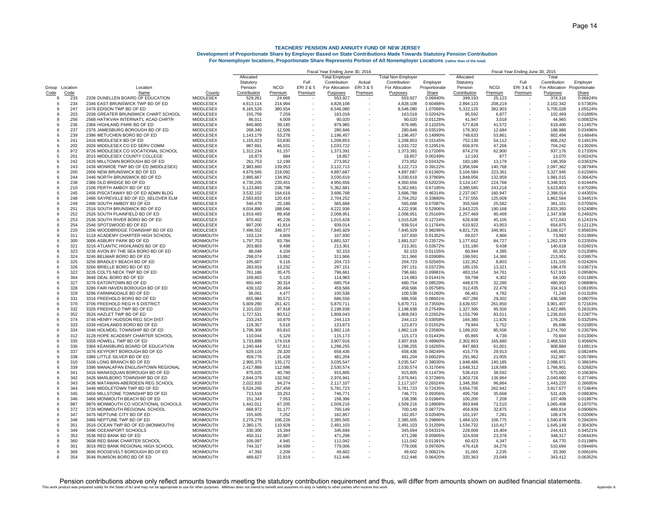|              |          |                                      |                  | Fiscal Year Ending June 30, 2016 |             |           |                      |           |                           |               | Fiscal Year Ending June 30, 2015 |             |           |                              |          |  |
|--------------|----------|--------------------------------------|------------------|----------------------------------|-------------|-----------|----------------------|-----------|---------------------------|---------------|----------------------------------|-------------|-----------|------------------------------|----------|--|
|              |          |                                      |                  | Allocated                        |             |           | <b>Total Employe</b> |           | <b>Total Non-Employer</b> |               | Allocated                        |             |           | Total                        |          |  |
|              |          |                                      |                  | Statutory                        |             | Full      | Contribution         | Actual    | Contribution              | Employer      | Statutory                        |             | Full      | Contribution                 | Employer |  |
| Group        | Location | Location                             |                  | Pension                          | <b>NCGI</b> | ERI 3 & 5 | For Allocation       | ERI 3 & 5 | For Allocation            | Proportionate | Pension                          | <b>NCGI</b> | ERI 3 & 5 | For Allocation Proportionate |          |  |
| Code         | Code     | Name                                 | County           | Contribution                     | Premium     | Premium   | Purposes             | Premium   | Purposes                  | Share         | Contribution                     | Premium     | Premium   | Purposes                     | Share    |  |
| 6            | 233      | 2336 DUNELLEN BOARD OF EDUCATION     | MIDDLESEX        | 529,261                          | 24,666      |           | 553,927              |           | 553,927                   | 0.06940%      | 349,193                          | 25,123      |           | 374,316                      | 0.06924% |  |
| 6            | 234      | 2346 EAST BRUNSWICK TWP BD OF ED     | <b>MIDDLESEX</b> | 4,613,114                        | 214.994     |           | 4,828,108            |           | 4,828,108                 | 0.60488%      | 2.894.123                        | 208.219     |           | 3,102,342                    | 0.57383% |  |
| 6            | 247      | 2476 EDISON TWP BD OF ED             | <b>MIDDLESEX</b> | 8,165,526                        | 380,554     |           | 8,546,080            |           | 8,546,080                 | 1.07068%      | 5,322,125                        | 382,903     |           | 5,705,028                    | 1.05524% |  |
| 8            | 203      | 2038 GREATER BRUNSWICK CHART.SCHOOL  | <b>MIDDLESEX</b> | 155,759                          | 7,259       |           | 163,018              |           | 163,018                   | 0.02042%      | 95,592                           | 6,877       |           | 102,469                      | 0.01895% |  |
| $\mathbf{R}$ | 256      | 2568 HATIKVAH INTERNAT'L ACAD CHRTR  | <b>MIDDLESEX</b> | 86,011                           | 4,009       |           | 90,020               |           | 90,020                    | 0.01128%      | 41.947                           | 3,018       |           | 44,965                       | 0.008329 |  |
| 6            | 236      | 2366 HIGHLAND PARK BD OF ED          | <b>MIDDLESEX</b> | 840,800                          | 39,185      |           | 879,985              |           | 879,985                   | 0.11025%      | 577,828                          | 41,572      |           | 619,400                      | 0.114579 |  |
| 6            | 237      | 2376 JAMESBURG BOROUGH BD OF ED      | <b>MIDDLESEX</b> | 268,340                          | 12,506      |           | 280,846              |           | 280,846                   | 0.03519%      | 176,302                          | 12,684      |           | 188,986                      | 0.03496% |  |
| 6            | 239      | 2396 METUCHEN BORO BD OF ED          | <b>MIDDLESEX</b> | 1,143,179                        | 53,278      |           | 1,196,457            |           | 1,196,457                 | 0.14990%      | 748,633                          | 53,861      |           | 802,494                      | 0.14844% |  |
| 6            | 241      | 2416 MIDDLESEX BD OF ED              | MIDDLESEX        | 1,155,023                        | 53,830      |           | 1,208,853            |           | 1,208,853                 | 0.15145%      | 752,130                          | 54,112      |           | 806,242                      | 0.149139 |  |
| 6            | 202      | 2026 MIDDLESEX CO ED SERV COMM       | <b>MIDDLESEX</b> | 987,691                          | 46,031      |           | 1,033,722            |           | 1,033,722                 | 0.12951%      | 656,976                          | 47,266      |           | 704,242                      | 0.130269 |  |
| 6            | 972      | 9726 MIDDLESEX CO VOCATIONAL SCHOOL  | <b>MIDDLESEX</b> | 1,312,234                        | 61,157      |           | 1,373,391            |           | 1,373,391                 | 0.17206%      | 874,276                          | 62,900      |           | 937,176                      | 0.173359 |  |
| 5            | 201      | 2015 MIDDLESEX COUNTY COLLEGE        | <b>MIDDLESEX</b> | 18,973                           | 884         |           | 19,857               |           | 19,857                    | 0.00249%      | 12,193                           | 877         |           | 13,070                       | 0.002429 |  |
| 6            | 242      | 2426 MILLTOWN BOROUGH BD OF ED       | MIDDLESEX        | 261,753                          | 12,199      |           | 273,952              |           | 273,952                   | 0.03432%      | 183,180                          | 13,179      |           | 196,359                      | 0.036329 |  |
| 6            | 243      | 2436 MONROE TWP BD OF ED (MIDDLESEX) | <b>MIDDLESEX</b> | 2,983,660                        | 139,053     |           | 3,122,713            |           | 3,122,713                 | 0.39122%      | 1,956,594                        | 140,768     |           | 2,097,362                    | 0.38794% |  |
| 6            | 200      |                                      |                  |                                  |             |           |                      |           |                           |               |                                  |             |           |                              |          |  |
|              |          | 2006 NEW BRUNSWICK BD OF ED          | <b>MIDDLESEX</b> | 4,679,595                        | 218,092     |           | 4,897,687            |           | 4,897,687                 | 0.61360%      | 3,104,584                        | 223,361     |           | 3,327,945                    | 0.615569 |  |
| 6            | 244      | 2446 NORTH BRUNSWICK BD OF ED        | <b>MIDDLESEX</b> | 2,895,667                        | 134,952     |           | 3,030,619            |           | 3,030,619                 | 0.37969%      | 1,848,056                        | 132,959     |           | 1,981,015                    | 0.366429 |  |
| 6            | 238      | 2386 OLD BRIDGE BD OF ED             | <b>MIDDLESEX</b> | 4,730,205                        | 220,451     |           | 4,950,656            |           | 4,950,656                 | 0.62023%      | 3,124,147                        | 224,768     |           | 3,348,915                    | 0.61944% |  |
| 6            | 210      | 2106 PERTH AMBOY BD OF ED            | <b>MIDDLESEX</b> | 5,123,883                        | 238,798     |           | 5,362,681            |           | 5,362,681                 | 0.67185%      | 3,380,585                        | 243,218     |           | 3,623,803                    | 0.67028% |  |
| 6            | 245      | 2456 PISCATAWAY BD OF ED ADMN BLDG   | <b>MIDDLESEX</b> | 3,532,152                        | 164.616     |           | 3,696,768            |           | 3,696,768                 | 0.46314%      | 2,237,067                        | 160,947     |           | 2,398,014                    | 0.44355% |  |
| 6            | 248      | 2486 SAYREVILLE BD OF ED SELOVER ELM | <b>MIDDLESEX</b> | 2,583,833                        | 120,419     |           | 2,704,252            |           | 2,704,252                 | 0.33880%      | 1,737,555                        | 125,009     |           | 1,862,564                    | 0.344519 |  |
| 6            | 249      | 2496 SOUTH AMBOY BD OF ED            | <b>MIDDLESEX</b> | 540,479                          | 25,189      |           | 565,668              |           | 565,668                   | 0.07087%      | 355,569                          | 25,582      |           | 381,151                      | 0.07050% |  |
| 6            | 251      | 2516 SOUTH BRUNSWICK BD OF ED        | <b>MIDDLESEX</b> | 4,034,890                        | 188,046     |           | 4,222,936            |           | 4,222,936                 | 0.52906%      | 2,643,225                        | 190,168     |           | 2,833,393                    | 0.52408% |  |
| 6            | 252      | 2526 SOUTH PLAINFIELD BD OF ED       | MIDDLESEX        | 1,919,493                        | 89,458      |           | 2,008,951            |           | 2,008,951                 | 0.25169%      | 1,257,469                        | 90,469      |           | 1,347,938                    | 0.24932% |  |
| 6            | 253      | 2536 SOUTH RIVER BORO BD OF ED       | <b>MIDDLESEX</b> | 970,402                          | 45,226      |           | 1,015,628            |           | 1,015,628                 | 0.12724%      | 626,938                          | 45,105      |           | 672,043                      | 0.12431% |  |
| 6            | 254      | 2546 SPOTSWOOD BD OF ED              | <b>MIDDLESEX</b> | 897,200                          | 41,814      |           | 939,014              |           | 939,014                   | 0.11764%      | 610,922                          | 43,953      |           | 654,875                      | 0.12113% |  |
| 6            | 220      | 2206 WOODBRIDGE TOWNSHIP BD OF ED    | <b>MIDDLESEX</b> | 7,496,552                        | 349,377     |           | 7,845,929            |           | 7,845,929                 | 0.98296%      | 4,821,726                        | 346,901     |           | 5,168,627                    | 0.95603% |  |
| 8            | 311      | 3118 ACADEMY CHARTER HIGH SCHOOL     | <b>MONMOUTH</b>  | 103,124                          | 4,806       |           | 107,930              |           | 107,930                   | 0.01352%      | 69,027                           | 4,966       |           | 73,993                       | 0.01369% |  |
| 6            | 300      | 3006 ASBURY PARK BD OF ED            | <b>MONMOUTH</b>  | 1,797,753                        | 83,784      |           | 1,881,537            |           | 1,881,537                 | 0.23572%      | 1,177,652                        | 84,727      |           | 1,262,379                    | 0.23350% |  |
| 6            | 321      | 3216 ATLANTIC HIGHLANDS BD OF ED     | <b>MONMOUTH</b>  | 203,803                          | 9.498       |           | 213,301              |           | 213,301                   | 0.02672%      | 131,180                          | 9,438       |           | 140,618                      | 0.02601% |  |
| 6            | 323      | 3236 AVON BY THE SEA BORO BD OF ED   | <b>MONMOUTH</b>  | 88,049                           | 4,104       |           | 92,153               |           | 92,153                    | 0.01155%      | 60,944                           | 4,385       |           | 65,329                       | 0.01208% |  |
| 6            | 324      | 3246 BELMAR BORO BD OF ED            | <b>MONMOUTH</b>  | 298,074                          | 13,892      |           | 311,966              |           | 311,966                   | 0.03908%      | 199,591                          | 14,360      |           | 213,951                      | 0.03957% |  |
| 6            | 325      |                                      |                  |                                  |             |           |                      |           |                           |               |                                  |             |           |                              |          |  |
|              |          | 3256 BRADLEY BEACH BD OF ED          | <b>MONMOUTH</b>  | 195.607                          | 9.116       |           | 204.723              |           | 204.723                   | 0.02565%      | 122.352                          | 8.803       |           | 131.155                      | 0.02426% |  |
| 6            | 326      | 3266 BRIELLE BORO BD OF ED           | <b>MONMOUTH</b>  | 283.919                          | 13,232      |           | 297,151              |           | 297,151                   | 0.03723%      | 185,155                          | 13,321      |           | 198,476                      | 0.03671% |  |
| 6            | 322      | 3226 COLTS NECK TWP BD OF ED         | <b>MONMOUTH</b>  | 761,186                          | 35,475      |           | 796,661              |           | 796,661                   | 0.09981%      | 483,154                          | 34,761      |           | 517,915                      | 0.09580% |  |
| 6            | 364      | 3646 DEAL BORO BD OF ED              | <b>MONMOUTH</b>  | 109,863                          | 5,120       |           | 114,983              |           | 114,983                   | 0.01441%      | 59,798                           | 4,302       |           | 64,100                       | 0.01186% |  |
| 6            | 327      | 3276 EATONTOWN BD OF ED              | <b>MONMOUTH</b>  | 650,440                          | 30,314      |           | 680,754              |           | 680,754                   | 0.08529%      | 448,670                          | 32,280      |           | 480,950                      | 0.08896% |  |
| 6            | 328      | 3286 FAIR HAVEN BOROUGH BD OF ED     | <b>MONMOUTH</b>  | 439,102                          | 20,464      |           | 459,566              |           | 459,566                   | 0.05758%      | 312,435                          | 22,478      |           | 334,913                      | 0.06195% |  |
| 6            | 329      | 3296 FARMINGDALE BD OF ED            | <b>MONMOUTH</b>  | 96.061                           | 4,477       |           | 100,538              |           | 100,538                   | 0.01260%      | 66,461                           | 4,782       |           | 71,243                       | 0.01318% |  |
| 6            | 331      | 3316 FREEHOLD BORO BD OF ED          | <b>MONMOUTH</b>  | 655,984                          | 30,572      |           | 686,556              |           | 686,556                   | 0.08601%      | 407,286                          | 29,302      |           | 436,588                      | 0.08075% |  |
| 6            | 370      | 3706 FREEHOLD REG H S DISTRICT       | <b>MONMOUTH</b>  | 5,609,290                        | 261,421     |           | 5,870,711            |           | 5,870,711                 | 0.73550%      | 3,639,557                        | 261,850     |           | 3,901,407                    | 0.721639 |  |
| 6            | 332      | 3326 FREEHOLD TWP BD OF ED           | <b>MONMOUTH</b>  | 2,101,020                        | 97,918      |           | 2,198,938            |           | 2,198,938                 | 0.27549%      | 1,327,395                        | 95,500      |           | 1,422,895                    | 0.26319% |  |
| 6            | 352      | 3526 HAZLET TWP BD OF ED             | <b>MONMOUTH</b>  | 1,727,531                        | 80,512      | $\sim$    | 1,808,043            |           | 1,808,043                 | 0.22652%      | 1,153,799                        | 83,011      |           | 1,236,810                    | 0.22877% |  |
| 6            | 374      | 3746 HENRY HUDSON REG SCH DIST       | <b>MONMOUTH</b>  | 233,243                          | 10,870      |           | 244,113              |           | 244,113                   | 0.03058%      | 164,380                          | 11,826      |           | 176,206                      | 0.032599 |  |
| 6            | 333      | 3336 HIGHLANDS BORO BD OF ED         | <b>MONMOUTH</b>  | 118,357                          | 5.516       |           | 123,873              |           | 123,873                   | 0.01552%      | 79,944                           | 5,752       |           | 85,696                       | 0.01585% |  |
| 6            | 334      | 3346 HOLMDEL TOWNSHIP BD OF ED       | <b>MONMOUTH</b>  | 1,798,308                        | 83,810      |           | 1,882,118            |           | 1,882,118                 | 0.23580%      | 1,189,202                        | 85,558      |           | 1,274,760                    | 0.23579% |  |
| 8            | 312      | 3128 HOPE ACADEMY CHARTER SCHOOL     | <b>MONMOUTH</b>  | 110,044                          | 5,129       |           | 115,173              |           | 115,173                   | 0.01443%      | 65,865                           | 4,739       |           | 70,604                       | 0.01306% |  |
| 6            | 335      | 3356 HOWELL TWP BD OF ED             | <b>MONMOUTH</b>  | 3,733,898                        | 174,018     |           | 3,907,916            |           | 3,907,916                 | 0.48960%      | 2,302,853                        | 165,680     |           | 2,468,533                    | 0.45660% |  |
| 6            |          | 3366 KEANSBURG BOARD OF EDUCATION    |                  |                                  |             |           |                      |           |                           |               |                                  |             |           |                              | 0.16811% |  |
|              | 336      |                                      | <b>MONMOUTH</b>  | 1,240,444                        | 57,811      |           | 1,298,255            |           | 1,298,255                 | 0.16265%      | 847,883                          | 61,001      |           | 908,884                      |          |  |
| 6            | 337      | 3376 KEYPORT BOROUGH BD OF ED        | <b>MONMOUTH</b>  | 629.116                          | 29.320      |           | 658.436              |           | 658.436                   | 0.08249%      | 415.778                          | 29.913      |           | 445.691                      | 0.08244% |  |
| 6            | 338      | 3386 LITTLE SILVER BD OF ED          | <b>MONMOUTH</b>  | 459,776                          | 21,428      |           | 481,204              |           | 481,204                   | 0.06029%      | 291.962                          | 21,005      |           | 312,967                      | 0.05789% |  |
| 6            | 310      | 3106 LONG BRANCH BD OF ED            | <b>MONMOUTH</b>  | 2,900,375                        | 135,172     |           | 3,035,547            |           | 3,035,547                 | 0.38030%      | 1,948,486                        | 140,185     |           | 2,088,671                    | 0.38634% |  |
| 6            | 339      | 3396 MANALAPAN ENGLISHTOWN REGIONAL  | MONMOUTH         | 2,417,888                        | 112,686     |           | 2,530,574            |           | 2,530,574                 | 0.31704%      | 1,648,312                        | 118,589     |           | 1,766,901                    | 0.32682% |  |
| -6           | 341      | 3416 MANASQUAN BOROUGH BD OF ED      | <b>MONMOUTH</b>  | 875,025                          | 40,780      |           | 915,805              |           | 915,805                   | 0.11473%      | 536,410                          | 38,592      |           | 575,002                      | 0.10636% |  |
| 6            | 342      | 3426 MARLBORO TOWNSHIP BD OF ED      | <b>MONMOUTH</b>  | 2,844,379                        | 132,562     |           | 2,976,941            |           | 2,976,941                 | 0.37296%      | 1,903,726                        | 136,964     |           | 2,040,690                    | 0.37746% |  |
| 6            | 343      | 3436 MATAWAN-ABERDEEN REG SCHOOL     | <b>MONMOUTH</b>  | 2,022,833                        | 94,274      |           | 2,117,107            |           | 2,117,107                 | 0.26524%      | 1,346,356                        | 96,864      |           | 1,443,220                    | 0.26695% |  |
| 6            | 344      | 3446 MIDDLETOWN TWP BD OF ED         | <b>MONMOUTH</b>  | 5,524,265                        | 257,458     |           | 5,781,723            |           | 5,781,723                 | 0.72435%      | 3,654,735                        | 262,942     |           | 3,917,677                    | 0.72464% |  |
| 6            | 345      | 3456 MILLSTONE TOWNSHIP BD OF ED     | <b>MONMOUTH</b>  | 713,518                          | 33,253      |           | 746,771              |           | 746,771                   | 0.09356%      | 495,758                          | 35,668      |           | 531,426                      | 0.09830% |  |
| 6            | 346      | 3466 MONMOUTH BEACH BD OF ED         | <b>MONMOUTH</b>  | 151,343                          | 7,053       |           | 158,396              |           | 158,396                   | 0.01984%      | 100,200                          | 7,209       |           | 107,409                      | 0.01987% |  |
| 6            | 987      | 9876 MONMOUTH CO VOCATIONAL SCHOOLS  | <b>MONMOUTH</b>  | 1,442,011                        | 67,205      |           | 1,509,216            |           | 1,509,216                 | 0.18908%      | 993.948                          | 71,510      |           | 1,065,458                    | 0.19707% |  |
| 6            | 372      | 3726 MONMOUTH REGIONAL SCHOOL        | <b>MONMOUTH</b>  | 668,972                          | 31,177      |           | 700,149              |           | 700,149                   | 0.08772%      | 456,939                          | 32,875      |           | 489,814                      | 0.09060% |  |
| 6            | 347      | 3476 NEPTUNE CITY BD OF ED           | <b>MONMOUTH</b>  | 155,605                          | 7,252       |           | 162,857              |           | 162,857                   | 0.02040%      | 101,197                          | 7,281       |           | 108,478                      | 0.02006% |  |
| 6            | 348      | 3486 NEPTUNE TWP BD OF ED            | <b>MONMOUTH</b>  | 2,279,279                        | 106,226     |           | 2,385,505            |           | 2,385,505                 | 0.29886%      | 1,484,103                        | 106,775     |           | 1,590,878                    | 0.29426% |  |
| 6            | 351      | 3516 OCEAN TWP BD OF ED (MONMOUTH)   | <b>MONMOUTH</b>  | 2.380.175                        | 110.928     |           | 2.491.103            |           | 2.491.103                 | 0.31209%      | 1.534.732                        | 110.417     |           | 1,645,149                    | 0.30430% |  |
| 6            | 349      | 3496 OCEANPORT SCHOOLS               | <b>MONMOUTH</b>  | 330,300                          | 15,394      |           | 345,694              |           | 345,694                   | 0.04331%      | 228,009                          | 16,404      |           | 244,413                      | 0.04521% |  |
| 6            |          |                                      |                  |                                  |             |           |                      |           |                           |               |                                  |             |           |                              |          |  |
|              | 353      | 3536 RED BANK BD OF ED               | <b>MONMOUTH</b>  | 450,311                          | 20,987      |           | 471,298              |           | 471,298                   | 0.05905%      | 324,939                          | 23,378      |           | 348,317                      | 0.06443% |  |
| 8            | 360      | 3608 RED BANK CHARTER SCHOOL         | <b>MONMOUTH</b>  | 106.097                          | 4.945       |           | 111.042              |           | 111.042                   | 0.01391%      | 60.423                           | 4.347       |           | 64.770                       | 0.01198% |  |
| 6            | 301      | 3016 RED BANK REGIONAL HIGH SCHOOL   | <b>MONMOUTH</b>  | 744.317                          | 34.689      |           | 779.006              |           | 779,006                   | 0.09760%      | 476.418                          | 34.276      |           | 510.694                      | 0.09446% |  |
| 6            | 369      | 3696 ROOSEVELT BOROUGH BD OF ED      | <b>MONMOUTH</b>  | 47,393                           | 2,209       |           | 49,602               |           | 49,602                    | 0.00621%      | 31,065                           | 2,235       |           | 33,300                       | 0.00616% |  |
| -6           | 354      | 3546 RUMSON BORO BD OF ED            | <b>MONMOUTH</b>  | 489.627                          | 22.819      |           | 512.446              |           | 512.446                   | 0.06420%      | 320.363                          | 23.049      |           | 343.412                      | 0.06352% |  |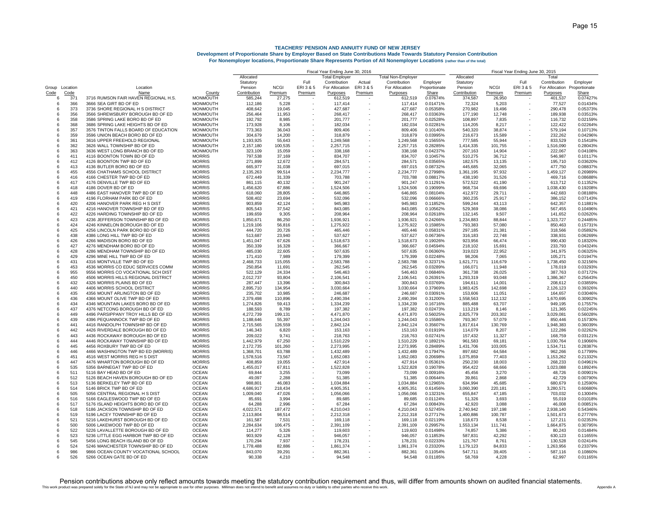|                |      |                                      |                 | Fiscal Year Ending June 30, 2016 |             |           |                       |         | Fiscal Year Ending June 30, 2015 |               |              |             |           |                              |          |
|----------------|------|--------------------------------------|-----------------|----------------------------------|-------------|-----------|-----------------------|---------|----------------------------------|---------------|--------------|-------------|-----------|------------------------------|----------|
|                |      |                                      |                 | Allocated                        |             |           | <b>Total Employer</b> |         | Total Non-Employer               |               | Allocated    |             |           | Total                        |          |
|                |      |                                      |                 | Statutory                        |             | Full      | Contribution          | Actual  | Contribution                     | Employer      | Statutory    |             | Full      | Contribution                 | Employer |
| Group Location |      | Location                             |                 | Pension                          | <b>NCGI</b> | ERI 3 & 5 | For Allocation        | ERI3&5  | For Allocation                   | Proportionate | Pension      | <b>NCGI</b> | ERI 3 & 5 | For Allocation Proportionate |          |
| Code           | Code | Name                                 | County          | Contribution                     | Premium     | Premium   | Purposes              | Premium | Purposes                         | Share         | Contribution | Premium     | Premium   | Purposes                     | Share    |
| 6              | 371  | 3716 RUMSON FAIR HAVEN REGIONAL H.S. | <b>MONMOUTH</b> | 585,244                          | 27,275      |           | 612,519               |         | 612,519                          | 0.07674%      | 374,587      | 26,950      |           | 401,537                      | 0.07427% |
| 6              | 366  | 3666 SEA GIRT BD OF ED               | <b>MONMOUTH</b> | 112,186                          | 5,228       |           | 117,414               |         | 117,414                          | 0.01471%      | 72,324       | 5,203       |           | 77,527                       | 0.01434% |
| 6              | 373  | 3736 SHORE REGIONAL H S DISTRICT     | <b>MONMOUTH</b> | 408,642                          | 19,045      |           | 427,687               |         | 427,687                          | 0.05358%      | 270,982      | 19,496      |           | 290,478                      | 0.05373% |
| 6              | 356  | 3566 SHREWSBURY BOROUGH BD OF ED     | <b>MONMOUTH</b> | 256,464                          | 11,953      |           | 268,417               |         | 268,417                          | 0.03363%      | 177,190      | 12,748      |           | 189,938                      | 0.035139 |
| 6              | 358  | 3586 SPRING LAKE BORO BD OF ED       | <b>MONMOUTH</b> | 192,792                          | 8,985       |           | 201,777               |         | 201,777                          | 0.02528%      | 108,897      | 7,835       |           | 116,732                      | 0.02159% |
| 6              | 368  | 3686 SPRING LAKE HEIGHTS BD OF ED    | <b>MONMOUTH</b> | 173,928                          | 8,106       |           | 182,034               |         | 182,034                          | 0.02281%      | 114,205      | 8,217       |           | 122,422                      | 0.02264% |
| 6              | 357  | 3576 TINTON FALLS BOARD OF EDUCATION | <b>MONMOUTH</b> | 773,363                          | 36.043      |           | 809,406               |         | 809.406                          | 0.10140%      | 540.320      | 38.874      |           | 579,194                      | 0.10713% |
|                |      |                                      |                 |                                  |             |           |                       |         |                                  |               |              |             |           |                              |          |
| 6              | 359  | 3596 UNION BEACH BORO BD OF ED       | <b>MONMOUTH</b> | 304,679                          | 14,200      |           | 318,879               |         | 318,879                          | 0.03995%      | 216.673      | 15,589      |           | 232,262                      | 0.04296% |
| 6              | 361  | 3616 UPPER FREEHOLD REGIONAL         | <b>MONMOUTH</b> | 1,193,925                        | 55,643      |           | 1,249,568             |         | 1,249,568                        | 0.15655%      | 777,585      | 55,944      |           | 833,529                      | 0.15418% |
| 6              | 362  | 3626 WALL TOWNSHIP BD OF ED          | MONMOUTH        | 2,157,180                        | 100,535     |           | 2,257,715             |         | 2,257,715                        | 0.28285%      | 1,414,335    | 101,755     |           | 1,516,090                    | 0.28043% |
| 6              | 363  | 3636 WEST LONG BRANCH BD OF ED       | <b>MONMOUTH</b> | 323,109                          | 15,059      |           | 338,168               |         | 338,168                          | 0.04237%      | 207,163      | 14,904      |           | 222,067                      | 0.04108% |
| -6             | 411  | 4116 BOONTON TOWN BD OF ED           | <b>MORRIS</b>   | 797,538                          | 37,169      |           | 834,707               |         | 834,707                          | 0.10457%      | 510,275      | 36,712      |           | 546,987                      | 0.10117% |
| 6              | 412  | 4126 BOONTON TWP BD OF ED            | <b>MORRIS</b>   | 271,899                          | 12,672      |           | 284,571               |         | 284,571                          | 0.03565%      | 182,575      | 13,135      |           | 195,710                      | 0.03620% |
| 6              | 413  | 4136 BUTLER BORO BD OF ED            | <b>MORRIS</b>   | 665,977                          | 31,038      |           | 697,015               |         | 697,015                          | 0.08732%      | 445,685      | 32,065      |           | 477,750                      | 0.08837% |
| 6              | 455  | 4556 CHATHAMS SCHOOL DISTRICT        | <b>MORRIS</b>   | 2,135,263                        | 99,514      |           | 2,234,777             |         | 2,234,777                        | 0.27998%      | 1,361,195    | 97,932      |           | 1,459,127                    | 0.26989% |
| 6              | 416  | 4166 CHESTER TWP BD OF ED            | <b>MORRIS</b>   | 672,449                          | 31,339      |           | 703,788               |         | 703,788                          | 0.08817%      | 438,190      | 31,526      |           | 469,716                      | 0.08688% |
| 6              | 417  | 4176 DENVILLE TWP BD OF ED           | <b>MORRIS</b>   | 861,115                          | 40,132      |           | 901,247               |         | 901,247                          | 0.11291%      | 572,522      | 41,190      |           | 613,712                      | 0.11352% |
| 6              | 418  | 4186 DOVER BD OF ED                  | <b>MORRIS</b>   | 1,456,620                        | 67,886      |           | 1,524,506             |         | 1,524,506                        | 0.19099%      | 968,734      | 69,696      |           | 1,038,430                    | 0.19208% |
| 6              | 448  | 4486 EAST HANOVER TWP BD OF ED       | <b>MORRIS</b>   | 618,060                          | 28,805      |           | 646,865               |         | 646,865                          | 0.08104%      | 412,972      | 29,711      |           | 442,683                      | 0.08188% |
| 6              | 419  | 4196 FLORHAM PARK BD OF ED           | <b>MORRIS</b>   | 508,402                          | 23,694      |           | 532,096               |         | 532,096                          | 0.06666%      | 360,235      | 25,917      |           | 386,152                      | 0.07143% |
| 6              | 420  | 4206 HANOVER PARK REG H S DIST       | <b>MORRIS</b>   | 903,859                          | 42,124      |           | 945,983               |         | 945,983                          | 0.11852%      | 599,244      | 43,113      |           | 642,357                      | 0.11881% |
| 6              | 421  | 4216 HANOVER TOWNSHIP BD OF ED       | <b>MORRIS</b>   | 805,543                          | 37,542      |           | 843,085               |         | 843,085                          | 0.10562%      | 529,369      | 38,086      |           | 567,455                      | 0.10496% |
| 6              | 422  | 4226 HARDING TOWNSHIP BD OF ED       | <b>MORRIS</b>   | 199,659                          | 9,305       |           | 208,964               |         | 208,964                          | 0.02618%      | 132.145      | 9,507       |           | 141,652                      | 0.02620% |
| 6              | 423  | 4236 JEFFERSON TOWNSHIP BD OF ED     | <b>MORRIS</b>   | 1,850,671                        | 86,250      |           | 1,936,921             |         | 1,936,921                        | 0.24266%      | 1,234,883    | 88,844      |           | 1,323,727                    | 0.24485% |
| 6              | 424  | 4246 KINNELON BOROUGH BD OF ED       | <b>MORRIS</b>   | 1,219,106                        | 56,816      |           | 1,275,922             |         | 1,275,922                        | 0.15985%      | 793,383      | 57,080      |           | 850,463                      | 0.15731% |
| 6              | 425  | 4256 LINCOLN PARK BORO BD OF ED      | <b>MORRIS</b>   | 444,720                          | 20,726      |           | 465,446               |         | 465,446                          | 0.05831%      | 297,185      | 21,381      |           | 318,566                      | 0.05892% |
| 6              |      |                                      |                 |                                  |             |           |                       |         |                                  |               |              |             |           |                              |          |
|                | 438  | 4386 LONG HILL TWP BD OF ED          | <b>MORRIS</b>   | 513.687                          | 23.940      |           | 537.627               |         | 537.627                          | 0.06736%      | 316.183      | 22.748      |           | 338.931                      | 0.06269% |
| 6              | 426  | 4266 MADISON BORO BD OF ED           | <b>MORRIS</b>   | 1,451,047                        | 67,626      |           | 1,518,673             |         | 1,518,673                        | 0.19026%      | 923.956      | 66,474      |           | 990.430                      | 0.18320% |
| 6              | 427  | 4276 MENDHAM BORO BD OF ED           | <b>MORRIS</b>   | 350,339                          | 16,328      |           | 366,667               |         | 366,667                          | 0.04594%      | 218,102      | 15,691      |           | 233,793                      | 0.04324% |
| 6              | 428  | 4286 MENDHAM TOWNSHIP BD OF ED       | <b>MORRIS</b>   | 485.030                          | 22,605      |           | 507,635               |         | 507,635                          | 0.06360%      | 319.023      | 22,952      |           | 341.975                      | 0.06325% |
| 6              | 429  | 4296 MINE HILL TWP BD OF ED          | <b>MORRIS</b>   | 171,410                          | 7,989       |           | 179,399               |         | 179,399                          | 0.02248%      | 98,206       | 7,065       |           | 105,271                      | 0.01947% |
| -6             | 431  | 4316 MONTVILLE TWP BD OF ED          | <b>MORRIS</b>   | 2,468,733                        | 115,055     |           | 2,583,788             |         | 2,583,788                        | 0.32371%      | 1,621,771    | 116,679     |           | 1,738,450                    | 0.32156% |
| 6              | 453  | 4536 MORRIS CO EDUC SERVICES COMM    | <b>MORRIS</b>   | 250,854                          | 11,691      |           | 262,545               |         | 262,545                          | 0.03289%      | 166,071      | 11,948      |           | 178,019                      | 0.03293% |
| 6              | 955  | 9556 MORRIS CO VOCATIONAL SCH DIST   | <b>MORRIS</b>   | 522,129                          | 24,334      |           | 546,463               |         | 546,463                          | 0.06846%      | 361,738      | 26,025      |           | 387,763                      | 0.07172% |
| 6              | 450  | 4506 MORRIS HILLS REGIONAL DISTRICT  | <b>MORRIS</b>   | 2,012,737                        | 93,804      |           | 2,106,541             |         | 2,106,541                        | 0.26391%      | 1,293,319    | 93,048      |           | 1,386,367                    | 0.25643% |
| 6              | 432  | 4326 MORRIS PLAINS BD OF ED          | <b>MORRIS</b>   | 287,447                          | 13,396      |           | 300,843               |         | 300,843                          | 0.03769%      | 194,611      | 14,001      |           | 208,612                      | 0.03859% |
| 6              | 440  | 4406 MORRIS SCHOOL DISTRICT          | <b>MORRIS</b>   | 2,895,710                        | 134,954     |           | 3,030,664             |         | 3,030,664                        | 0.37969%      | 1,983,425    | 142,698     |           | 2,126,123                    | 0.39326% |
| 6              | 435  | 4356 MOUNT ARLINGTON BD OF ED        | <b>MORRIS</b>   | 235,702                          | 10,985      |           | 246,687               |         | 246,687                          | 0.03091%      | 153,606      | 11,051      |           | 164,657                      | 0.03046% |
| 6              | 436  | 4366 MOUNT OLIVE TWP BD OF ED        | <b>MORRIS</b>   | 2,379,498                        | 110,896     |           | 2,490,394             |         | 2,490,394                        | 0.31200%      | 1,558,563    | 112,132     |           | 1,670,695                    | 0.30902% |
| 6              | 434  | 4346 MOUNTAIN LAKES BORO BD OF ED    | <b>MORRIS</b>   | 1,274,826                        | 59,413      |           | 1,334,239             |         | 1,334,239                        | 0.16716%      | 885,488      | 63,707      |           | 949,195                      | 0.175579 |
| 6              | 437  | 4376 NETCONG BOROUGH BD OF ED        | <b>MORRIS</b>   | 188,593                          | 8.789       |           | 197,382               |         | 197,382                          | 0.02473%      | 113,219      | 8.146       |           | 121,365                      | 0.02245% |
| 6              | 449  | 4496 PARSIPPANY TROY HILLS BD OF ED  | <b>MORRIS</b>   | 4,272,739                        | 199,131     |           | 4,471,870             |         | 4,471,870                        | 0.56025%      | 2,825,779    | 203,302     |           | 3,029,081                    | 0.56028% |
| 6              | 439  | 4396 PEQUANNOCK TWP BD OF ED         | <b>MORRIS</b>   | 1,188,646                        | 55,397      |           | 1,244,043             |         | 1,244,043                        | 0.15586%      | 793,367      | 57,079      |           | 850,446                      | 0.157309 |
| 6              | 441  | 4416 RANDOLPH TOWNSHIP BD OF ED      | <b>MORRIS</b>   | 2,715,565                        | 126,559     |           | 2,842,124             |         | 2,842,124                        | 0.35607%      | 1,817,614    | 130,769     |           | 1,948,383                    | 0.36039% |
| 6              | 442  | 4426 RIVERDALE BOROUGH BD OF ED      | <b>MORRIS</b>   | 146,343                          | 6,820       |           | 153,163               |         | 153,163                          | 0.01919%      | 114,079      | 8,207       |           | 122,286                      | 0.02262% |
| 6              | 443  | 4436 ROCKAWAY BOROUGH BD OF ED       | <b>MORRIS</b>   | 209.022                          | 9.741       |           | 218,763               |         | 218.763                          | 0.02741%      | 157.432      | 11.327      |           | 168,759                      | 0.03121% |
| 6              | 444  | 4446 ROCKAWAY TOWNSHIP BD OF ED      | <b>MORRIS</b>   | 1,442,979                        | 67,250      |           |                       |         | 1,510,229                        | 0.18921%      | 961.583      | 69,181      |           | 1,030,764                    | 0.19066% |
|                | 445  | 4456 ROXBURY TWP BD OF ED            | <b>MORRIS</b>   |                                  |             |           | 1,510,229             |         |                                  | 0.28489%      |              |             |           | 1,534,711                    | 0.28387% |
| 6              |      |                                      |                 | 2,172,735                        | 101,260     |           | 2,273,995             |         | 2,273,995                        |               | 1,431,706    | 103,005     |           |                              |          |
| 6              | 446  | 4466 WASHINGTON TWP BD ED (MORRIS)   | <b>MORRIS</b>   | 1,368,701                        | 63,788      |           | 1,432,489             |         | 1,432,489                        | 0.17947%      | 897,682      | 64,584      |           | 962,266                      | 0.17799% |
| 6              | 451  | 4516 WEST MORRIS REG H S DIST        | <b>MORRIS</b>   | 1,578,516                        | 73,567      |           | 1,652,083             |         | 1,652,083                        | 0.20698%      | 1,075,859    | 77,403      |           | 1,153,262                    | 0.21332% |
| 6              | 447  | 4476 WHARTON BOROUGH BD OF ED        | <b>MORRIS</b>   | 408,859                          | 19.055      |           | 427,914               |         | 427,914                          | 0.05361%      | 250,230      | 18,003      |           | 268,233                      | 0.04961% |
| 6              | 535  | 5356 BARNEGAT TWP BD OF ED           | <b>OCEAN</b>    | 1,455,017                        | 67,811      |           | 1,522,828             |         | 1,522,828                        | 0.19078%      | 954,422      | 68,666      |           | 1,023,088                    | 0.18924% |
| 6              | 511  | 5116 BAY HEAD BD OF ED               | <b>OCEAN</b>    | 69.844                           | 3,255       |           | 73,099                |         | 73,099                           | 0.00916%      | 45,456       | 3,270       |           | 48,726                       | 0.00901% |
| -6             | 512  | 5126 BEACH HAVEN BOROUGH BD OF ED    | <b>OCEAN</b>    | 49,097                           | 2,288       |           | 51,385                |         | 51,385                           | 0.00644%      | 39,861       | 2,868       |           | 42,729                       | 0.00790% |
| 6              | 513  | 5136 BERKELEY TWP BD OF ED           | <b>OCEAN</b>    | 988,801                          | 46,083      |           | 1,034,884             |         | 1,034,884                        | 0.12965%      | 634,994      | 45,685      |           | 680,679                      | 0.12590% |
| 6              | 514  | 5146 BRICK TWP BD OF ED              | <b>OCEAN</b>    | 4,686,917                        | 218,434     |           | 4,905,351             |         | 4,905,351                        | 0.61456%      | 3,060,390    | 220,181     |           | 3,280,571                    | 0.60680% |
| 6              | 505  | 5056 CENTRAL REGIONAL H S DIST       | <b>OCEAN</b>    | 1,009,040                        | 47,026      |           | 1,056,066             |         | 1,056,066                        | 0.13231%      | 655,847      | 47,185      |           | 703,032                      | 0.13004% |
| 6              | 516  | 5166 EAGLESWOOD TWP BD OF ED         | <b>OCEAN</b>    | 85,691                           | 3,994       |           | 89,685                |         | 89,685                           | 0.01124%      | 51,326       | 3,693       |           | 55,019                       | 0.010189 |
| 6              | 517  | 5176 ISLAND HEIGHTS BORO BD OF ED    | <b>OCEAN</b>    | 64,288                           | 2,996       |           | 67,284                |         | 67,284                           | 0.00843%      | 42,920       | 3,088       |           | 46,008                       | 0.008519 |
| 6              | 518  | 5186 JACKSON TOWNSHIP BD OF ED       | <b>OCEAN</b>    | 4,022,571                        | 187,472     |           | 4,210,043             |         | 4,210,043                        | 0.52745%      | 2,740,942    | 197,198     |           | 2,938,140                    | 0.54346% |
| 6              | 519  | 5196 LACEY TOWNSHIP BD OF ED         | <b>OCEAN</b>    | 2,113,804                        | 98,514      |           | 2,212,318             |         | 2,212,318                        | 0.27717%      | 1,400,886    | 100,787     |           | 1,501,673                    | 0.27776% |
| 6              | 521  | 5216 LAKEHURST BOROUGH BD OF ED      | <b>OCEAN</b>    | 161,587                          | 7.531       |           | 169.118               |         | 169.118                          | 0.02119%      | 118,673      | 8.538       |           | 127,211                      | 0.02353% |
| 6              | 500  | 5006 LAKEWOOD TWP BD OF ED           | <b>OCEAN</b>    | 2.284.634                        | 106,475     |           | 2.391.109             |         | 2.391.109                        | 0.29957%      | 1,553,134    | 111.741     |           | 1,664,875                    | 0.30795% |
| 6              |      |                                      | <b>OCEAN</b>    |                                  |             |           |                       |         |                                  |               |              |             |           |                              | 0.01484% |
| 6              | 522  | 5226 LAVALLETTE BOROUGH BD OF ED     | <b>OCEAN</b>    | 114,277                          | 5,326       |           | 119,603               |         | 119,603                          | 0.01498%      | 74,857       | 5,386       |           | 80,243                       |          |
|                | 523  | 5236 LITTLE EGG HARBOR TWP BD OF ED  |                 | 903.929                          | 42.128      |           | 946.057               |         | 946.057                          | 0.11853%      | 587.831      | 42.292      |           | 630.123                      | 0.11655% |
| 6              | 545  | 5456 LONG BEACH ISLAND BD OF ED      | <b>OCEAN</b>    | 170.294                          | 7.937       |           | 178,231               |         | 178,231                          | 0.02233%      | 121.767      | 8,761       |           | 130,528                      | 0.02414% |
| 6              | 524  | 5246 MANCHESTER TOWNSHIP BD OF ED    | <b>OCEAN</b>    | 1,778,488                        | 82.886      |           | 1,861,374             |         | 1,861,374                        | 0.23320%      | 1,179,123    | 84.833      |           | 1,263,956                    | 0.23379% |
| 6              | 986  | 9866 OCEAN COUNTY VOCATIONAL SCHOOL  | <b>OCEAN</b>    | 843,070                          | 39,291      |           | 882,361               |         | 882,361                          | 0.11054%      | 547,711      | 39,405      |           | 587,116                      | 0.10860% |
| ĥ              | 526  | 5266 OCEAN GATE BD OF ED             | OCEAN           | 90.338                           | 4.210       |           | 94.548                |         | 94.548                           | 0.01185%      | 58.769       | 4.228       |           | 62.997                       | 0.01165% |

This work product was prepared solely for the State of NJ and may not be appropriate to use for other purposes. Milliman does not iterated benefit and assumes no duty or lability to other parties who receive this work. Pension contributions above only reflect amounts towards meeting the statutory contribution requirement and thus, will differ from amounts shown on audited financial statements.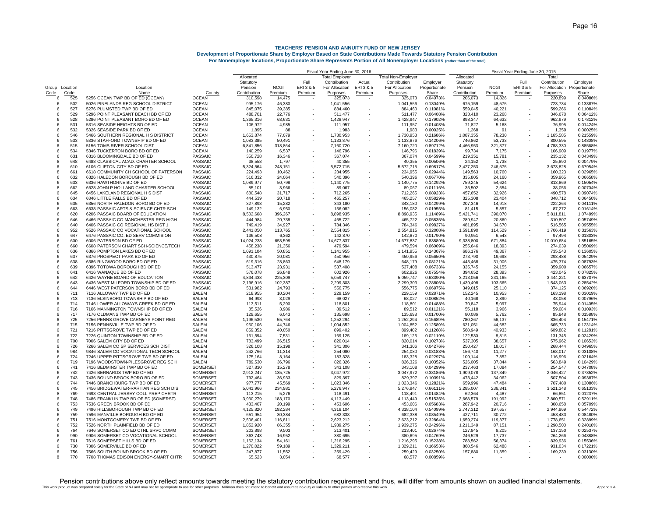|                |             |                                                                   |                           | Fiscal Year Ending June 30, 2016 |                   |           |                       |         |                           |                      | Fiscal Year Ending June 30, 2015 |                   |           |                      |                      |  |
|----------------|-------------|-------------------------------------------------------------------|---------------------------|----------------------------------|-------------------|-----------|-----------------------|---------|---------------------------|----------------------|----------------------------------|-------------------|-----------|----------------------|----------------------|--|
|                |             |                                                                   |                           | Allocated                        |                   |           | <b>Total Employer</b> |         | <b>Total Non-Employer</b> |                      | Allocated                        |                   |           | Total                |                      |  |
|                |             |                                                                   |                           | Statutory                        |                   | Full      | Contribution          | Actual  | Contribution              | Employer             | Statutory                        |                   | Full      | Contribution         | Employer             |  |
| Group Location |             | Location                                                          |                           | Pension                          | <b>NCGI</b>       | ERI 3 & 5 | For Allocation        | ERI3&5  | For Allocation            | Proportionate        | Pension                          | <b>NCGI</b>       | ERI 3 & 5 | For Allocation       | Proportionate        |  |
| Code<br>6      | Code<br>525 | Name<br>5256 OCEAN TWP BD OF ED (OCEAN)                           | County<br><b>OCEAN</b>    | Contribution<br>310,598          | Premium<br>14,475 | Premium   | Purposes<br>325,073   | Premium | Purposes<br>325,073       | Share<br>0.04073%    | Contribution<br>206,073          | Premium<br>14,826 | Premium   | Purposes<br>220,899  | Share<br>0.04086%    |  |
| 6              | 502         | 5026 PINELANDS REG SCHOOL DISTRICT                                | <b>OCEAN</b>              | 995,176                          | 46,380            |           | 1,041,556             |         | 1,041,556                 | 0.13049%             | 675,159                          | 48,575            |           | 723,734              | 0.13387%             |  |
| 6              | 527         | 5276 PLUMSTED TWP BD OF ED                                        | <b>OCEAN</b>              | 845,075                          | 39,385            |           | 884,460               |         | 884,460                   | 0.11081%             | 559,045                          | 40,221            |           | 599,266              | 0.11084%             |  |
| 6              | 529         | 5296 POINT PLEASANT BEACH BD OF ED                                | <b>OCEAN</b>              | 488,701                          | 22,776            |           | 511,477               |         | 511,477                   | 0.06408%             | 323,410                          | 23,268            |           | 346,678              | 0.06412%             |  |
| 6              | 528         | 5286 POINT PLEASANT BORO BD OF ED                                 | <b>OCEAN</b>              | 1,365,316                        | 63,631            |           | 1,428,947             |         | 1,428,947                 | 0.17902%             | 898,347                          | 64,632            |           | 962,979              | 0.17812%             |  |
| 6              | 531         | 5316 SEASIDE HEIGHTS BD OF ED                                     | <b>OCEAN</b>              | 106,972                          | 4,985             |           | 111,957               |         | 111,957                   | 0.01403%             | 71,827                           | 5,168             |           | 76,995               | 0.014249             |  |
| 6              | 532         | 5326 SEASIDE PARK BD OF ED                                        | <b>OCEAN</b>              | 1,895                            | 88                |           | 1,983                 |         | 1,983                     | 0.00025%             | 1,268                            | 91                |           | 1,359                | 0.000259             |  |
| 6              | 546         | 5466 SOUTHERN REGIONAL H S DISTRICT                               | <b>OCEAN</b>              | 1,653,874                        | 77,079            |           | 1,730,953             |         | 1,730,953                 | 0.21686%             | 1,087,355                        | 78,230            |           | 1,165,585            | 0.215599             |  |
| 6              | 533         | 5336 STAFFORD TOWNSHIP BD OF ED                                   | <b>OCEAN</b>              | 1,083,385                        | 50,491            |           | 1,133,876             |         | 1,133,876                 | 0.14206%             | 746,862                          | 53,733            |           | 800,595              | 0.148089             |  |
| 6              | 515         | 5156 TOMS RIVER SCHOOL DIST                                       | <b>OCEAN</b>              | 6.841.856                        | 318,864           |           | 7,160,720             |         | 7,160,720                 | 0.89712%             | 4,466,953                        | 321,377           |           | 4,788,330            | 0.885689             |  |
| 6              | 534         | 5346 TUCKERTON BORO BD OF ED                                      | <b>OCEAN</b>              | 140,259                          | 6,537             |           | 146,796               |         | 146,796                   | 0.01839%             | 99.734                           | 7,175             |           | 106,909              | 0.01977%             |  |
| 6              | 631         | 6316 BLOOMINGDALE BD OF ED                                        | PASSAIC                   | 350,728                          | 16,346            |           | 367,074               |         | 367.074                   | 0.04599%             | 219,351                          | 15,781            |           | 235,132              | 0.04349%             |  |
| 8              | 648         | 6488 CLASSICAL ACAD. CHARTER SCHOOL                               | <b>PASSAIC</b>            | 38,558                           | 1,797             |           | 40,355                |         | 40,355                    | 0.00506%             | 24,152                           | 1,738             |           | 25,890               | 0.00479%             |  |
| 6              | 610         | 6106 CLIFTON CITY BD OF ED                                        | PASSAIC                   | 5.324.564                        | 248,151           |           | 5,572,715             |         | 5,572,715                 | 0.69817%             | 3,427,253                        | 246,575           |           | 3,673,828            | 0.67954%             |  |
| -8             | 661         | 6618 COMMUNITY CH SCHOOL OF PATERSON                              | PASSAIC                   | 224,493                          | 10,462            |           | 234,955               |         | 234,955                   | 0.02944%             | 149,563                          | 10,760            |           | 160,323              | 0.02965%             |  |
| 6              | 632         | 6326 HALEDON BOROUGH BD OF ED                                     | PASSAIC                   | 516,332                          | 24,064            |           | 540,396               |         | 540,396                   | 0.06770%             | 335,805                          | 24,160            |           | 359,965              | 0.06658%             |  |
| -6             | 633         | 6336 HAWTHORNE BD OF ED                                           | PASSAIC                   | 1,089,977                        | 50,798            |           | 1,140,775             |         | 1,140,775                 | 0.14292%             | 759,245                          | 54,624            |           | 813,869              | 0.15054%             |  |
| -8             | 662         | 6628 JOHN P HOLLAND CHARTER SCHOOL                                | PASSAIC                   | 85,101                           | 3,966             |           | 89,067                |         | 89,067                    | 0.01116%             | 35,502                           | 2,554             |           | 38,056               | 0.00704%             |  |
| -6             | 645         | 6456 LAKELAND REGIONAL H S DIST                                   | PASSAIC                   | 680,548                          | 31,717            |           | 712,265               |         | 712,265                   | 0.08923%             | 457,652                          | 32,926            |           | 490,578              | 0.09074%             |  |
| 6              | 634         | 6346 LITTLE FALLS BD OF ED                                        | PASSAIC                   | 444,539                          | 20,718            |           | 465,257               |         | 465,257                   | 0.05829%             | 325,308                          | 23,404            |           | 348,712              | 0.06450%             |  |
| 6              | 635         | 6356 NORTH HALEDON BORO BD OF ED                                  | <b>PASSAIC</b>            | 327,898                          | 15,282            |           | 343,180               |         | 343,180                   | 0.04299%             | 207,346                          | 14,918            |           | 222,264              | 0.04111%             |  |
| 8              | 663         | 6638 PASSAIC ARTS & SCIENCE CHTR SCH                              | PASSAIC                   | 149,132                          | 6,950             |           | 156,082               |         | 156,082                   | 0.01955%             | 81,415                           | 5,857             |           | 87,272               | 0.01614%             |  |
| 6              | 620         | 6206 PASSAIC BOARD OF EDUCATION                                   | PASSAIC                   | 8,502,668                        | 396,267           |           | 8,898,935             |         | 8,898,935                 | 1.11489%             | 5,421,741                        | 390,070           |           | 5,811,811            | 1.07499%             |  |
| 6              | 646         | 6466 PASSAIC CO MANCHESTER REG HIGH                               | <b>PASSAIC</b>            | 444,984                          | 20,738            |           | 465,722               |         | 465,722                   | 0.05835%             | 289,947                          | 20,860            |           | 310,807              | 0.05749%             |  |
| 6              | 640         | 6406 PASSAIC CO REGIONAL HS DIST 1                                | PASSAIC                   | 749,419                          | 34,927            |           | 784,346               |         | 784,346                   | 0.09827%             | 481,895                          | 34,670            |           | 516,565              | 0.09555%             |  |
| 6<br>6         | 952         | 9526 PASSAIC CO VOCATIONAL SCHOOL                                 | <b>PASSAIC</b>            | 2,441,050                        | 113,765           |           | 2,554,815             |         | 2,554,815                 | 0.32008%             | 1,591,890                        | 114,529           |           | 1,706,419            | 0.31563%             |  |
| $\mathbf{6}$   | 647<br>600  | 6476 PASSAIC CO. ED SERV COMMISION<br>6006 PATERSON BD OF ED      | PASSAIC<br><b>PASSAIC</b> | 136,508<br>14,024,238            | 6,362<br>653,599  | ×.        | 142,870<br>14,677,837 |         | 142,870<br>14,677,837     | 0.01790%<br>1.83889% | 90,951<br>9,338,800              | 6,543<br>671,884  |           | 97,494<br>10,010,684 | 0.01803%<br>1.85165% |  |
| 8              | 660         | 6608 PATERSON CHART SCH-SCIENCE/TECH                              | PASSAIC                   | 458.238                          | 21.356            |           | 479,594               |         | 479.594                   | 0.06009%             | 255,646                          | 18.393            |           | 274.039              | 0.05069%             |  |
| -6             | 636         | 6366 POMPTON LAKES BD OF ED                                       | PASSAIC                   | 1,091,104                        | 50,851            |           | 1,141,955             |         | 1,141,955                 | 0.14307%             | 686.176                          | 49,367            |           | 735,543              | 0.13605%             |  |
| 6              | 637         | 6376 PROSPECT PARK BD OF ED                                       | PASSAIC                   | 430,875                          | 20,081            |           | 450,956               |         | 450,956                   | 0.05650%             | 273,790                          | 19,698            |           | 293,488              | 0.05429%             |  |
| $\epsilon$     | 638         | 6386 RINGWOOD BORO BD OF ED                                       | <b>PASSAIC</b>            | 619,316                          | 28,863            |           | 648.179               |         | 648,179                   | 0.08121%             | 443.468                          | 31,906            |           | 475,374              | 0.08793%             |  |
| 6              | 639         | 6396 TOTOWA BOROUGH BD OF ED                                      | PASSAIC                   | 513,477                          | 23,931            |           | 537,408               |         | 537,408                   | 0.06733%             | 335,745                          | 24,155            |           | 359,900              | 0.06657%             |  |
| 6              | 641         | 6416 WANAQUE BD OF ED                                             | PASSAIC                   | 576,078                          | 26,848            | ×.        | 602,926               |         | 602,926                   | 0.07554%             | 394,652                          | 28,393            |           | 423,045              | 0.07825%             |  |
| 6              | 642         | 6426 WAYNE BOARD OF EDUCATION                                     | PASSAIC                   | 4,834,438                        | 225,309           | $\sim$    | 5,059,747             |         | 5,059,747                 | 0.63390%             | 3,213,056                        | 231,165           |           | 3,444,221            | 0.63707%             |  |
| 6              | 643         | 6436 WEST MILFORD TOWNSHIP BD OF ED                               | PASSAIC                   | 2,196,916                        | 102,387           | $\sim$    | 2,299,303             |         | 2,299,303                 | 0.28806%             | 1,439,498                        | 103,565           |           | 1,543,063            | 0.28542%             |  |
| 6              | 644         | 6446 WEST PATERSON BORO BD OF ED                                  | <b>PASSAIC</b>            | 531,982                          | 24,793            |           | 556,775               |         | 556,775                   | 0.06975%             | 349,015                          | 25,110            |           | 374,125              | 0.06920%             |  |
| 6              | 711         | 7116 ALLOWAY TWP BD OF ED                                         | SALEM                     | 218,955                          | 10,204            |           | 229,159               |         | 229,159                   | 0.02871%             | 152,245                          | 10,953            |           | 163,198              | 0.03019%             |  |
| 6              | 713         | 7136 ELSINBORO TOWNSHIP BD OF ED                                  | <b>SALEM</b>              | 64,998                           | 3,029             |           | 68,027                |         | 68,027                    | 0.00852%             | 40,168                           | 2,890             |           | 43,058               | 0.00796%             |  |
| 6              | 714         | 7146 LOWER ALLOWAYS CREEK BD OF ED                                | <b>SALEM</b>              | 113,511                          | 5,290             |           | 118,801               |         | 118,801                   | 0.01488%             | 70,847                           | 5,097             |           | 75,944               | 0.01405%             |  |
| 6              | 716         | 7166 MANNINGTON TOWNSHIP BD OF ED                                 | <b>SALEM</b>              | 85,526                           | 3,986             | $\sim$    | 89,512                |         | 89,512                    | 0.01121%             | 55,118                           | 3,966             |           | 59,084               | 0.01093%             |  |
| 6              | 717         | 7176 OLDMANS TWP BD OF ED                                         | <b>SALEM</b>              | 129,655                          | 6,043             |           | 135,698               |         | 135,698                   | 0.01700%             | 80,086                           | 5,762             |           | 85,848               | 0.01588%             |  |
| 6              | 725         | 7256 PENNS GROVE CARNEYS POINT REG                                | <b>SALEM</b>              | 1,196,530                        | 55,764            |           | 1,252,294             |         | 1,252,294                 | 0.15689%             | 780,267                          | 56.137            |           | 836,404              | 0.15471%             |  |
| 6              | 715         | 7156 PENNSVILLE TWP BD OF ED                                      | <b>SALEM</b>              | 960,106                          | 44,746            |           | 1,004,852             |         | 1,004,852                 | 0.12589%             | 621,051                          | 44,682            |           | 665,733              | 0.12314%             |  |
| 6              | 721         | 7216 PITTSGROVE TWP BD OF ED                                      | <b>SALEM</b>              | 859,352                          | 40,050            |           | 899,402               |         | 899,402                   | 0.11268%             | 568,949                          | 40,933            |           | 609,882              | 0.11281%             |  |
| 6              | 722         | 7226 QUINTON TOWNSHIP BD OF ED                                    | SALEM                     | 161,594                          | 7,531             |           | 169,125               |         | 169,125                   | 0.02119%             | 122,530                          | 8,815             |           | 131,345              | 0.02429%             |  |
| 6              | 700         | 7006 SALEM CITY BD OF ED                                          | <b>SALEM</b>              | 783.499                          | 36.515            |           | 820.014               |         | 820.014                   | 0.10273%             | 537.305                          | 38.657            |           | 575,962              | 0.10653%             |  |
| 6              | 726         | 7266 SALEM CO SP SERVICES SCH DIST                                | <b>SALEM</b>              | 326,108                          | 15,198            |           | 341,306               |         | 341,306                   | 0.04276%             | 250.427                          | 18.017            |           | 268,444              | 0.04965%             |  |
| 6              | 984         | 9846 SALEM CO VOCATIONAL TECH SCHOOL                              | <b>SALEM</b>              | 242,766                          | 11,314            |           | 254,080               |         | 254,080                   | 0.03183%             | 156,740                          | 11,277            |           | 168,017              | 0.03108%             |  |
| 6              | 724         | 7246 UPPER PITTSGROVE TWP BD OF ED                                | <b>SALEM</b>              | 175,164                          | 8,164             |           | 183,328               |         | 183,328                   | 0.02297%             | 109,144                          | 7,852             |           | 116,996              | 0.02164%             |  |
| 6              | 719<br>741  | 7196 WOODSTOWN-PILESGROVE REG SCH<br>7416 BEDMINSTER TWP BD OF ED | SALEM<br>SOMERSET         | 789,530<br>327,830               | 36,796            |           | 826,326               |         | 826,326                   | 0.10352%<br>0.04299% | 526,005<br>237,463               | 37,844            |           | 563,849<br>254,547   | 0.10429%<br>0.04708% |  |
| 6<br>6         | 742         | 7426 BERNARDS TWP BD OF ED                                        | SOMERSET                  | 2,912,247                        | 15,278            |           | 343.108               |         | 343,108<br>3,047,972      | 0.38186%             | 1,909,078                        | 17,084<br>137,349 |           | 2,046,427            | 0.37852%             |  |
| 6              | 743         | 7436 BOUND BROOK BORO BD OF ED                                    | SOMERSET                  | 792,464                          | 135,725<br>36,933 |           | 3,047,972<br>829,397  |         | 829,397                   | 0.10391%             | 473,442                          | 34,062            |           | 507,504              | 0.09387%             |  |
| 6              | 744         | 7446 BRANCHBURG TWP BD OF ED                                      | SOMERSET                  | 977,777                          | 45,569            |           | 1,023,346             |         | 1,023,346                 | 0.12821%             | 659,996                          | 47,484            |           | 707,480              | 0.13086%             |  |
| 6              | 745         | 7456 BRIDGEWATER-RARITAN REG SCH DIS                              | SOMERSET                  | 5,041,966                        | 234,981           |           | 5,276,947             |         | 5,276,947                 | 0.66111%             | 3,285,007                        | 236,341           |           | 3,521,348            | 0.65133%             |  |
| 8              | 769         | 7698 CENTRAL JERSEY COLL PREP CHRTR                               | SOMERSET                  | 113,215                          | 5,276             |           | 118,491               |         | 118,491                   | 0.01484%             | 62,364                           | 4,487             |           | 66,851               | 0.01237%             |  |
| 6              | 748         | 7486 FRANKLIN TWP BD OF ED (SOMERST)                              | <b>SOMERSET</b>           | 3.930.279                        | 183,170           |           | 4,113,449             |         | 4,113,449                 | 0.51535%             | 2,668,579                        | 191,992           |           | 2,860,571            | 0.52911%             |  |
| 6              | 753         | 7536 GREEN BROOK BD OF ED                                         | SOMERSET                  | 433,407                          | 20,199            |           | 453,606               |         | 453,606                   | 0.05683%             | 287,942                          | 20,716            |           | 308,658              | 0.05709%             |  |
| 6              | 749         | 7496 HILLSBOROUGH TWP BD OF ED                                    | SOMERSET                  | 4,125,820                        | 192,284           |           | 4,318,104             |         | 4,318,104                 | 0.54099%             | 2,747,312                        | 197,657           |           | 2,944,969            | 0.54472%             |  |
| 6              | 759         | 7596 MANVILLE BOROUGH BD OF ED                                    | SOMERSET                  | 651,954                          | 30,384            |           | 682,338               |         | 682,338                   | 0.08549%             | 427,711                          | 30,772            |           | 458,483              | 0.08480%             |  |
| 6              | 751         | 7516 MONTGOMERY TWP BD OF ED                                      | <b>SOMERSET</b>           | 2,506,401                        | 116.811           |           | 2.623.212             |         | 2.623.212                 | 0.32864%             | 1.659.274                        | 119,377           |           | 1,778,651            | 0.32899%             |  |
| 6              | 752         | 7526 NORTH PLAINFIELD BD OF ED                                    | <b>SOMERSET</b>           | 1.852.920                        | 86.355            |           | 1.939.275             |         | 1,939,275                 | 0.24296%             | 1.211.349                        | 87.151            |           | 1,298,500            | 0.24018%             |  |
| 6              | 764         | 7646 SOMERSET CO ED CTNL SRVC COMM                                | SOMERSET                  | 203,898                          | 9,503             |           | 213,401               |         | 213,401                   | 0.02674%             | 127,945                          | 9,205             |           | 137,150              | 0.02537%             |  |
| ĥ              | 990         | 9906 SOMERSET CO VOCATIONAL SCHOOL                                | SOMERSET                  | 363,743                          | 16,952            |           | 380,695               |         | 380,695                   | 0.04769%             | 246,529                          | 17,737            |           | 264,266              | 0.04888%             |  |
| 6              | 761         | 7616 SOMERSET HILLS BD OF ED                                      | <b>SOMERSET</b>           | 1.162.134                        | 54.161            |           | 1,216,295             |         | 1,216,295                 | 0.15238%             | 783.562                          | 56.374            |           | 839,936              | 0.15536%             |  |
| 6              | 730         | 7306 SOMERVILLE BD OF ED                                          | SOMERSET                  | 1.270.022                        | 59.189            |           | 1.329.211             |         | 1,329,211                 | 0.16653%             | 868.546                          | 62.488            |           | 931.034              | 0.17221%             |  |
| 6              | 756         | 7566 SOUTH BOUND BROOK BD OF ED                                   | SOMERSET                  | 247,877                          | 11,552            |           | 259,429               |         | 259,429                   | 0.03250%             | 157,880                          | 11,359            |           | 169,239              | 0.03130%             |  |
|                | 770         | 7708 THOMAS EDISON ENERGY-SMART CHTR                              | SOMERSET                  | 65.523                           | 3.054             |           | 68.577                |         | 68.577                    | 0.00859%             |                                  |                   |           |                      | 0.00000%             |  |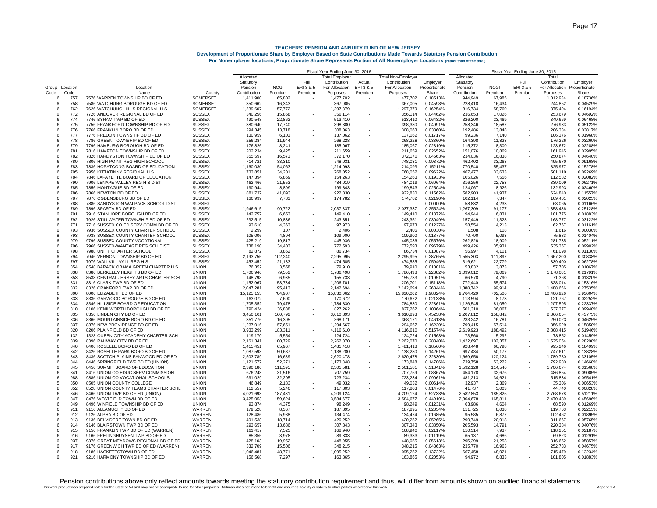|                   |             |                                                                        |                                | Fiscal Year Ending June 30, 2016 |                   |                          |                       |         |                           |                      | Fiscal Year Ending June 30, 2015 |                   |           |                       |                      |  |
|-------------------|-------------|------------------------------------------------------------------------|--------------------------------|----------------------------------|-------------------|--------------------------|-----------------------|---------|---------------------------|----------------------|----------------------------------|-------------------|-----------|-----------------------|----------------------|--|
|                   |             |                                                                        |                                | Allocated                        |                   |                          | <b>Total Employer</b> |         | <b>Total Non-Employer</b> |                      | Allocated                        |                   |           | Total                 |                      |  |
|                   |             |                                                                        |                                | Statutory                        |                   | Full                     | Contribution          | Actual  | Contribution              | Employer             | Statutory                        |                   | Full      | Contribution          | Employer             |  |
| Group Location    |             | Location                                                               |                                | Pension                          | <b>NCGI</b>       | ERI 3 & 5                | For Allocation        | ERI3&5  | For Allocation            | Proportionate        | Pension                          | <b>NCGI</b>       | ERI 3 & 5 | For Allocation        | Proportionate        |  |
| Code<br>6         | Code<br>757 | Name<br>7576 WARREN TOWNSHIP BD OF ED                                  | County<br>SOMERSET             | Contribution<br>1,411,900        | Premium<br>65,802 | Premium                  | Purposes<br>1,477,702 | Premium | Purposes<br>1,477,702     | Share<br>0.18513%    | Contribution<br>944,949          | Premium<br>67,985 | Premium   | Purposes<br>1,012,934 | Share<br>0.18736%    |  |
| 6                 | 758         | 7586 WATCHUNG BOROUGH BD OF ED                                         | SOMERSET                       | 350,662                          | 16,343            |                          | 367,005               |         | 367,005                   | 0.04598%             | 228,418                          | 16,434            |           | 244,852               | 0.04529%             |  |
| 6                 | 762         | 7626 WATCHUNG HILLS REGIONAL H S                                       | SOMERSET                       | 1,239,607                        | 57,772            |                          | 1,297,379             |         | 1,297,379                 | 0.16254%             | 816,734                          | 58,760            |           | 875,494               | 0.16194%             |  |
| 6                 | 772         | 7726 ANDOVER REGIONAL BD OF ED                                         | <b>SUSSEX</b>                  | 340,256                          | 15,858            |                          | 356,114               |         | 356,114                   | 0.04462%             | 236,653                          | 17,026            |           | 253,679               | 0.046929             |  |
| 6                 | 774         | 7746 BYRAM TWP BD OF ED                                                | <b>SUSSEX</b>                  | 490,548                          | 22,862            |                          | 513,410               |         | 513,410                   | 0.06432%             | 326,200                          | 23,469            |           | 349,669               | 0.064689             |  |
| 6                 | 775         | 7756 FRANKFORD TOWNSHIP BD OF ED                                       | <b>SUSSEX</b>                  | 380,640                          | 17,740            |                          | 398,380               |         | 398,380                   | 0.04991%             | 258.346                          | 18,587            |           | 276,933               | 0.051229             |  |
| 6                 | 776         | 7766 FRANKLIN BORO BD OF ED                                            | <b>SUSSEX</b>                  | 294,345                          | 13,718            |                          | 308,063               |         | 308,063                   | 0.03860%             | 192,486                          | 13,848            |           | 206,334               | 0.038179             |  |
| 6                 | 777         | 7776 FREDON TOWNSHIP BD OF ED                                          | <b>SUSSEX</b>                  | 130,959                          | 6,103             |                          | 137,062               |         | 137,062                   | 0.01717%             | 99,236                           | 7,140             |           | 106,376               | 0.019689             |  |
| 6                 | 778         | 7786 GREEN TOWNSHIP BD OF ED                                           | <b>SUSSEX</b>                  | 256,284                          | 11,944            |                          | 268,228               |         | 268,228                   | 0.03360%             | 164,398                          | 11,828            |           | 176,226               | 0.03260%             |  |
| 6                 | 779         | 7796 HAMBURG BOROUGH BD OF ED                                          | <b>SUSSEX</b>                  | 176,826                          | 8.241             |                          | 185,067               |         | 185.067                   | 0.02319%             | 115.372                          | 8.300             |           | 123.672               | 0.022889             |  |
| 6                 | 781         | 7816 HAMPTON TOWNSHIP BD OF ED                                         | <b>SUSSEX</b>                  | 202,234                          | 9.425             |                          | 211,659               |         | 211.659                   | 0.02652%             | 151.076                          | 10,869            |           | 161,945               | 0.02995%             |  |
| -6                | 782         | 7826 HARDYSTON TOWNSHIP BD OF ED                                       | <b>SUSSEX</b>                  | 355,597                          | 16,573            |                          | 372,170               |         | 372,170                   | 0.04663%             | 234,036                          | 16,838            |           | 250,874               | 0.04640%             |  |
| 6                 | 780         | 7806 HIGH POINT REG HIGH SCHOOL                                        | <b>SUSSEX</b>                  | 714,721                          | 33,310            |                          | 748,031               |         | 748,031                   | 0.09372%             | 462,402                          | 33,268            |           | 495,670               | 0.091689             |  |
| 6                 | 783         | 7836 HOPATCONG BOARD OF EDUCATION                                      | <b>SUSSEX</b>                  | 1,160,030                        | 54.063            |                          | 1,214,093             |         | 1,214,093                 | 0.15211%             | 770.540                          | 55,437            |           | 825.977               | 0.152789             |  |
| -6                | 795<br>784  | 7956 KITTATINNY REGIONAL H S<br>7846 LAFAYETTE BOARD OF EDUCATION      | <b>SUSSEX</b>                  | 733,851<br>147,394               | 34,201            |                          | 768,052               |         | 768,052                   | 0.09622%<br>0.01933% | 467.477<br>105,026               | 33,633            |           | 501.110<br>112,582    | 0.09269%             |  |
| 6<br>-6           | 790         | 7906 LENAPE VALLEY REG H S DIST                                        | <b>SUSSEX</b><br><b>SUSSEX</b> | 462,466                          | 6,869<br>21,553   |                          | 154,263<br>484,019    |         | 154,263<br>484,019        | 0.06064%             | 316,256                          | 7,556<br>22,753   |           | 339,009               | 0.02082%<br>0.06271% |  |
| -6                | 785         | 7856 MONTAGUE BD OF ED                                                 | <b>SUSSEX</b>                  | 190,944                          | 8,899             |                          | 199,843               |         | 199,843                   | 0.02504%             | 124,067                          | 8,926             |           | 132,993               | 0.02460%             |  |
| -6                | 786         | 7866 NEWTON BD OF ED                                                   | <b>SUSSEX</b>                  | 881,737                          | 41,093            |                          | 922,830               |         | 922,830                   | 0.11562%             | 582,903                          | 41,937            |           | 624,840               | 0.11557%             |  |
| 6                 | 787         | 7876 OGDENSBURG BD OF ED                                               | <b>SUSSEX</b>                  | 166,999                          | 7,783             |                          | 174,782               |         | 174,782                   | 0.02190%             | 102,114                          | 7,347             |           | 109,461               | 0.02025%             |  |
| 6                 | 788         | 7886 SANDYSTON WALPACK SCHOOL DIST                                     | <b>SUSSEX</b>                  |                                  |                   |                          |                       |         |                           | 0.00000%             | 58,832                           | 4,233             |           | 63,065                | 0.01166%             |  |
| -6                | 789         | 7896 SPARTA BD OF ED                                                   | <b>SUSSEX</b>                  | 1,946,615                        | 90,722            |                          | 2,037,337             |         | 2,037,337                 | 0.25524%             | 1,267,309                        | 91,177            |           | 1,358,486             | 0.25128%             |  |
| 6                 | 791         | 7916 STANHOPE BOROUGH BD OF ED                                         | <b>SUSSEX</b>                  | 142,757                          | 6,653             | $\overline{\phantom{a}}$ | 149,410               |         | 149,410                   | 0.01872%             | 94,944                           | 6,831             |           | 101,775               | 0.01883%             |  |
| 6                 | 792         | 7926 STILLWATER TOWNSHIP BD OF ED                                      | <b>SUSSEX</b>                  | 232,515                          | 10,836            |                          | 243,351               |         | 243,351                   | 0.03049%             | 157,449                          | 11,328            |           | 168,777               | 0.03122%             |  |
| 6                 | 771         | 7716 SUSSEX CO ED SERV COMM BD OF ED                                   | <b>SUSSEX</b>                  | 93,610                           | 4,363             |                          | 97,973                |         | 97,973                    | 0.01227%             | 58,554                           | 4,213             |           | 62,767                | 0.01161%             |  |
| 6                 | 793         | 7936 SUSSEX COUNTY CHARTER SCHOOL                                      | <b>SUSSEX</b>                  | 2,299                            | 107               |                          | 2,406                 |         | 2,406                     | 0.00030%             | 1,508                            | 108               |           | 1,616                 | 0.00030%             |  |
| 8                 | 793         | 7938 SUSSEX COUNTY CHARTER SCHOOL                                      | <b>SUSSEX</b>                  | 105,006                          | 4,894             |                          | 109,900               |         | 109,900                   | 0.01377%             | 70,790                           | 5,093             |           | 75,883                | 0.01404%             |  |
| $\mathbf{6}$      | 979         | 9796 SUSSEX COUNTY VOCATIONAL                                          | <b>SUSSEX</b>                  | 425,219                          | 19,817            |                          | 445,036               |         | 445,036                   | 0.05576%             | 262,826                          | 18,909            |           | 281,735               | 0.05211%             |  |
| 6                 | 796         | 7966 SUSSEX-WANTAGE REG SCH DIST                                       | <b>SUSSEX</b>                  | 738.190                          | 34.403            |                          | 772.593               |         | 772.593                   | 0.09679%             | 499.426                          | 35.931            |           | 535.357               | 0.09902%             |  |
| 8                 | 798         | 7988 UNITY CHARTER SCHOOL                                              | <b>SUSSEX</b>                  | 82,872                           | 3,862             |                          | 86,734                |         | 86,734                    | 0.01087%             | 56,997                           | 4,101             |           | 61,098                | 0.01130%             |  |
| 6                 | 794         | 7946 VERNON TOWNSHIP BD OF ED                                          | <b>SUSSEX</b>                  | 2,193,755                        | 102,240           |                          | 2,295,995             |         | 2,295,995                 | 0.28765%             | 1,555,303                        | 111,897           |           | 1,667,200             | 0.30838%             |  |
| $\epsilon$        | 797         | 7976 WALLKILL VALL REG H S                                             | <b>SUSSEX</b>                  | 453,452                          | 21,133            |                          | 474,585               |         | 474,585                   | 0.05946%             | 316,621                          | 22,779            |           | 339,400               | 0.06278%             |  |
| $\mathsf{R}$<br>6 | 854<br>838  | 8548 BARACK OBAMA GREEN CHARTER H.S.<br>8386 BERKELEY HEIGHTS BD OF ED | <b>UNION</b><br><b>UNION</b>   | 76,352                           | 3,558             | ×.                       | 79,910                |         | 79,910                    | 0.01001%             | 53,832                           | 3,873             |           | 57,705                | 0.01067%<br>0.21791% |  |
| 8                 | 853         | 8538 CENTRAL JERSEY ARTS CHARTER SCH                                   | <b>UNION</b>                   | 1,706,946<br>148,798             | 79,552<br>6,935   | $\sim$                   | 1,786,498<br>155,733  |         | 1,786,498<br>155,733      | 0.22382%<br>0.01951% | 1,099,012<br>66,578              | 79,069<br>4,790   |           | 1,178,081<br>71,368   | 0.01320%             |  |
| 6                 | 831         | 8316 CLARK TWP BD OF ED                                                | <b>UNION</b>                   | 1,152,967                        | 53,734            | $\sim$                   | 1,206,701             |         | 1,206,701                 | 0.15118%             | 772,440                          | 55,574            |           | 828,014               | 0.15316%             |  |
| 6                 | 832         | 8326 CRANFORD TWP BD OF ED                                             | <b>UNION</b>                   | 2,047,281                        | 95,413            | $\sim$                   | 2,142,694             |         | 2,142,694                 | 0.26844%             | 1,388,742                        | 99,914            |           | 1,488,656             | 0.27535%             |  |
| 6                 | 800         | 8006 ELIZABETH BD OF ED                                                | <b>UNION</b>                   | 15,125,155                       | 704,907           | ×.                       | 15,830,062            |         | 15,830,062                | 1.98324%             | 9,764,420                        | 702,506           |           | 10,466,926            | 1.93604%             |  |
| 6                 | 833         | 8336 GARWOOD BOROUGH BD OF ED                                          | <b>UNION</b>                   | 163,072                          | 7,600             | $\sim$                   | 170,672               |         | 170,672                   | 0.02138%             | 113,594                          | 8,173             |           | 121,767               | 0.02252%             |  |
| 6                 | 834         | 8346 HILLSIDE BOARD OF EDUCATION                                       | <b>UNION</b>                   | 1,705,352                        | 79,478            |                          | 1,784,830             |         | 1,784,830                 | 0.22361%             | 1,126,545                        | 81,050            |           | 1,207,595             | 0.22337%             |  |
| 6                 | 810         | 8106 KENILWORTH BOROUGH BD OF ED                                       | <b>UNION</b>                   | 790,424                          | 36,838            | $\sim$                   | 827,262               |         | 827,262                   | 0.10364%             | 501,310                          | 36,067            |           | 537,377               | 0.09940%             |  |
| 6                 | 835         | 8356 LINDEN CITY BD OF ED                                              | <b>UNION</b>                   | 3,450,101                        | 160,792           |                          | 3,610,893             |         | 3,610,893                 | 0.45238%             | 2,207,812                        | 158,842           |           | 2,366,654             | 0.43775%             |  |
| 6                 | 836         | 8366 MOUNTAINSIDE BORO BD OF ED                                        | <b>UNION</b>                   | 351,776                          | 16,395            |                          | 368,171               |         | 368,171                   | 0.04613%             | 233,242                          | 16,781            |           | 250,023               | 0.04625%             |  |
| 6                 | 837         | 8376 NEW PROVIDENCE BD OF ED                                           | <b>UNION</b>                   | 1,237,016                        | 57,651            |                          | 1,294,667             |         | 1,294,667                 | 0.16220%             | 799,415                          | 57,514            |           | 856,929               | 0.15850%             |  |
| 6                 | 820         | 8206 PLAINFIELD BD OF ED                                               | <b>UNION</b>                   | 3,933,299                        | 183,311           |                          | 4,116,610             |         | 4,116,610                 | 0.51574%             | 2,619,923                        | 188,492           |           | 2,808,415             | 0.51946%             |  |
| 8<br>6            | 132<br>839  | 1328 QUEEN CITY ACADEMY CHARTER SCH<br>8396 RAHWAY CITY BD OF ED       | <b>UNION</b><br><b>UNION</b>   | 119,170<br>2.161.341             | 5,554<br>100.729  |                          | 124,724<br>2.262.070  |         | 124,724<br>2.262.070      | 0.01563%<br>0.28340% | 73,560<br>1.422.697              | 5,292<br>102,357  |           | 78,852<br>1,525,054   | 0.01459%<br>0.28208% |  |
| 6                 | 840         | 8406 ROSELLE BORO BD OF ED                                             | <b>UNION</b>                   | 1,415,451                        | 65,967            |                          | 1,481,418             |         | 1,481,418                 | 0.18560%             | 928.448                          | 66,798            |           | 995,246               | 0.18409%             |  |
| 6                 | 842         | 8426 ROSELLE PARK BORO BD OF ED                                        | <b>UNION</b>                   | 1,087,593                        | 50,687            |                          | 1,138,280             |         | 1,138,280                 | 0.14261%             | 697,434                          | 50,177            |           | 747,611               | 0.13828%             |  |
| 6                 | 843         | 8436 SCOTCH PLAINS FANWOOD BD OF ED                                    | <b>UNION</b>                   | 2,503,789                        | 116,689           |                          | 2,620,478             |         | 2,620,478                 | 0.32830%             | 1,669,656                        | 120,124           |           | 1,789,780             | 0.33105%             |  |
| 6                 | 844         | 8446 SPRINGFIELD TWP BD ED (UNION)                                     | <b>UNION</b>                   | 1,121,577                        | 52,271            |                          | 1,173,848             |         | 1,173,848                 | 0.14706%             | 739,758                          | 53,222            |           | 792,980               | 0.14668%             |  |
| 6                 | 845         | 8456 SUMMIT BOARD OF EDUCATION                                         | <b>UNION</b>                   | 2,390,186                        | 111,395           |                          | 2,501,581             |         | 2,501,581                 | 0.31341%             | 1,592,128                        | 114,546           |           | 1,706,674             | 0.31568%             |  |
| 6                 | 841         | 8416 UNION CO EDUC SERV COMMISSION                                     | <b>UNION</b>                   | 676,243                          | 31,516            |                          | 707,759               |         | 707,759                   | 0.08867%             | 454.178                          | 32,676            |           | 486,854               | 0.09005%             |  |
| 6                 | 988         | 9886 UNION CO VOCATIONAL SCHOOLS                                       | <b>UNION</b>                   | 691.029                          | 32,205            |                          | 723,234               |         | 723,234                   | 0.09061%             | 481,213                          | 34,621            |           | 515,834               | 0.09541%             |  |
| 5                 | 850         | 8505 UNION COUNTY COLLEGE                                              | <b>UNION</b>                   | 46,849                           | 2,183             |                          | 49,032                |         | 49,032                    | 0.00614%             | 32,937                           | 2,369             |           | 35,306                | 0.00653%             |  |
| 8                 | 852         | 8528 UNION COUNTY TEAMS CHARTER SCHL                                   | <b>UNION</b>                   | 112,557                          | 5,246             |                          | 117,803               |         | 117,803                   | 0.01476%             | 41,737                           | 3,003             |           | 44,740                | 0.00828%             |  |
| 6                 | 846         | 8466 UNION TWP BD OF ED (UNION)                                        | <b>UNION</b>                   | 4,021,693                        | 187,431           |                          | 4,209,124             |         | 4,209,124                 | 0.52733%             | 2,582,853                        | 185,825           |           | 2,768,678             | 0.51211%             |  |
| 6                 | 847         | 8476 WESTFIELD TOWN BD OF ED                                           | <b>UNION</b>                   | 3,425,053                        | 159,624           |                          | 3,584,677             |         | 3,584,677                 | 0.44910%             | 2,304,678                        | 165,811           |           | 2,470,489             | 0.45696%             |  |
| 6                 | 849         | 8496 WINFIELD TOWNSHIP BD OF ED                                        | <b>UNION</b>                   | 93,874                           | 4,375             |                          | 98,249                |         | 98,249                    | 0.01231%             | 63,986                           | 4,604             |           | 68,590                | 0.01269%             |  |
| 6                 | 911         | 9116 ALLAMUCHY BD OF ED                                                | WARREN                         | 179,528                          | 8,367             |                          | 187,895               |         | 187,895                   | 0.02354%             | 111,725                          | 8,038             |           | 119,763               | 0.02215%             |  |
| 6<br>ĥ            | 912         | 9126 ALPHA BD OF ED                                                    | WARREN                         | 128,486                          | 5,988             |                          | 134,474               |         | 134,474                   | 0.01685%             | 95,585                           | 6,877             |           | 102,462               | 0.01895%             |  |
| 6                 | 913<br>914  | 9136 BELVIDERE TOWN BD OF ED<br>9146 BLAIRSTOWN TWP BD OF ED           | WARREN<br><b>WARREN</b>        | 401.538<br>293.657               | 18.714<br>13.686  |                          | 420.252<br>307,343    |         | 420.252<br>307.343        | 0.05265%<br>0.03850% | 290.749<br>205.593               | 20.918<br>14.791  |           | 311.667<br>220.384    | 0.05765%<br>0.04076% |  |
| 6                 | 915         | 9156 FRANKLIN TWP BD OF ED (WARREN)                                    | WARREN                         | 161,417                          | 7,523             |                          | 168,940               |         | 168,940                   | 0.02117%             | 110,314                          | 7,937             |           | 118,251               | 0.02187%             |  |
| ĥ                 | 916         | 9166 FRELINGHUYSEN TWP BD OF ED                                        | WARREN                         | 85,355                           | 3,978             |                          | 89,333                |         | 89,333                    | 0.01119%             | 65,137                           | 4,686             |           | 69,823                | 0.01291%             |  |
| ĥ                 | 937         | 9376 GREAT MEADOWS REGIONAL BD OF ED                                   | <b>WARREN</b>                  | 428.103                          | 19.952            |                          | 448.055               |         | 448.055                   | 0.05613%             | 295.399                          | 21,253            |           | 316,652               | 0.05857%             |  |
| 6                 | 917         | 9176 GREENWICH TWP BD OF ED (WARREN)                                   | <b>WARREN</b>                  | 332.709                          | 15.506            |                          | 348.215               |         | 348,215                   | 0.04363%             | 235.770                          | 16.963            |           | 252.733               | 0.04675%             |  |
| 6                 | 918         | 9186 HACKETTSTOWN BD OF ED                                             | <b>WARREN</b>                  | 1,046,481                        | 48.771            |                          | 1,095,252             |         | 1,095,252                 | 0.13722%             | 667,458                          | 48,021            |           | 715,479               | 0.13234%             |  |
| ĥ                 | 921         | 9216 HARMONY TOWNSHIP BD OF ED                                         | <b>WARRFN</b>                  | 156,568                          | 7.297             |                          | 163.865               |         | 163.865                   | 0.02053%             | 94.972                           | 6.833             |           | 101.805               | 0.01883%             |  |